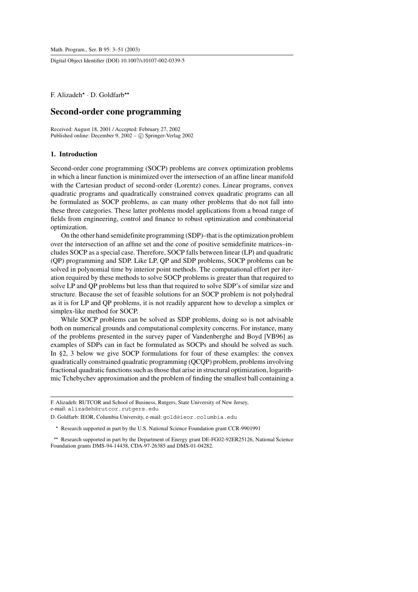Digital Object Identifier (DOI) 10.1007/s10107-002-0339-5

F. Alizadeh<sup>\*</sup> · D. Goldfarb<sup>\*\*</sup>

# **Second-order cone programming**

Received: August 18, 2001 / Accepted: February 27, 2002 Published online: December 9,  $2002 - (c)$  Springer-Verlag 2002

# **1. Introduction**

Second-order cone programming (SOCP) problems are convex optimization problems in which a linear function is minimized over the intersection of an affine linear manifold with the Cartesian product of second-order (Lorentz) cones. Linear programs, convex quadratic programs and quadratically constrained convex quadratic programs can all be formulated as SOCP problems, as can many other problems that do not fall into these three categories. These latter problems model applications from a broad range of fields from engineering, control and finance to robust optimization and combinatorial optimization.

On the other hand semidefinite programming (SDP)–that is the optimization problem over the intersection of an affine set and the cone of positive semidefinite matrices–includes SOCP as a special case. Therefore, SOCP falls between linear (LP) and quadratic (QP) programming and SDP. Like LP, QP and SDP problems, SOCP problems can be solved in polynomial time by interior point methods. The computational effort per iteration required by these methods to solve SOCP problems is greater than that required to solve LP and QP problems but less than that required to solve SDP's of similar size and structure. Because the set of feasible solutions for an SOCP problem is not polyhedral as it is for LP and QP problems, it is not readily apparent how to develop a simplex or simplex-like method for SOCP.

While SOCP problems can be solved as SDP problems, doing so is not advisable both on numerical grounds and computational complexity concerns. For instance, many of the problems presented in the survey paper of Vandenberghe and Boyd [VB96] as examples of SDPs can in fact be formulated as SOCPs and should be solved as such. In §2, 3 below we give SOCP formulations for four of these examples: the convex quadratically constrained quadratic programming (QCQP) problem, problems involving fractional quadratic functions such as those that arise in structural optimization, logarithmic Tchebychev approximation and the problem of finding the smallest ball containing a

F. Alizadeh: RUTCOR and School of Business, Rutgers, State University of New Jersey, e-mail: alizadeh@rutcor.rutgers.edu

D. Goldfarb: IEOR, Columbia University, e-mail: gold@ieor.columbia.edu

\* Research supported in part by the U.S. National Science Foundation grant CCR-9901991

\*\* Research supported in part by the Department of Energy grant DE-FG02-92ER25126, National Science Foundation grants DMS-94-14438, CDA-97-26385 and DMS-01-04282.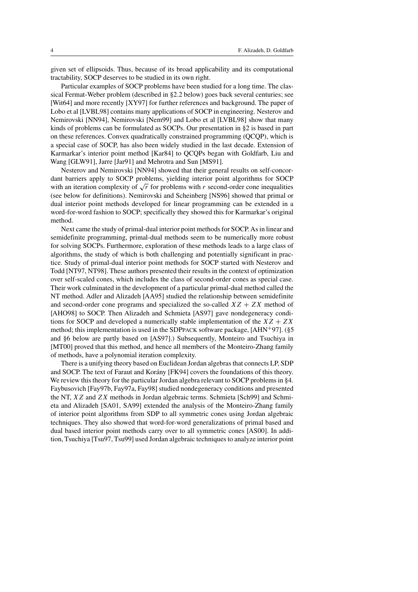given set of ellipsoids. Thus, because of its broad applicability and its computational tractability, SOCP deserves to be studied in its own right.

Particular examples of SOCP problems have been studied for a long time. The classical Fermat-Weber problem (described in §2.2 below) goes back several centuries; see [Wit64] and more recently [XY97] for further references and background. The paper of Lobo et al [LVBL98] contains many applications of SOCP in engineering. Nesterov and Nemirovski [NN94], Nemirovski [Nem99] and Lobo et al [LVBL98] show that many kinds of problems can be formulated as SOCPs. Our presentation in §2 is based in part on these references. Convex quadratically constrained programming (QCQP), which is a special case of SOCP, has also been widely studied in the last decade. Extension of Karmarkar's interior point method [Kar84] to QCQPs began with Goldfarb, Liu and Wang [GLW91], Jarre [Jar91] and Mehrotra and Sun [MS91].

Nesterov and Nemirovski [NN94] showed that their general results on self-concordant barriers apply to SOCP problems, yielding interior point algorithms for SOCP with an iteration complexity of  $\sqrt{r}$  for problems with r second-order cone inequalities (see below for definitions). Nemirovski and Scheinberg [NS96] showed that primal or dual interior point methods developed for linear programming can be extended in a word-for-word fashion to SOCP; specifically they showed this for Karmarkar's original method.

Next came the study of primal-dual interior point methods for SOCP. As in linear and semidefinite programming, primal-dual methods seem to be numerically more robust for solving SOCPs. Furthermore, exploration of these methods leads to a large class of algorithms, the study of which is both challenging and potentially significant in practice. Study of primal-dual interior point methods for SOCP started with Nesterov and Todd [NT97, NT98]. These authors presented their results in the context of optimization over self-scaled cones, which includes the class of second-order cones as special case. Their work culminated in the development of a particular primal-dual method called the NT method. Adler and Alizadeh [AA95] studied the relationship between semidefinite and second-order cone programs and specialized the so-called  $XZ + ZX$  method of [AHO98] to SOCP. Then Alizadeh and Schmieta [AS97] gave nondegeneracy conditions for SOCP and developed a numerically stable implementation of the  $XZ + ZX$ method; this implementation is used in the SDPPACK software package,  $[AHN^{+}97]$ . (§5 and §6 below are partly based on [AS97].) Subsequently, Monteiro and Tsuchiya in [MT00] proved that this method, and hence all members of the Monteiro-Zhang family of methods, have a polynomial iteration complexity.

There is a unifying theory based on Euclidean Jordan algebras that connects LP, SDP and SOCP. The text of Faraut and Korány [FK94] covers the foundations of this theory. We review this theory for the particular Jordan algebra relevant to SOCP problems in §4. Faybusovich [Fay97b, Fay97a, Fay98] studied nondegeneracy conditions and presented the NT, XZ and ZX methods in Jordan algebraic terms. Schmieta [Sch99] and Schmieta and Alizadeh [SA01, SA99] extended the analysis of the Monteiro-Zhang family of interior point algorithms from SDP to all symmetric cones using Jordan algebraic techniques. They also showed that word-for-word generalizations of primal based and dual based interior point methods carry over to all symmetric cones [AS00]. In addition, Tsuchiya [Tsu97, Tsu99] used Jordan algebraic techniques to analyze interior point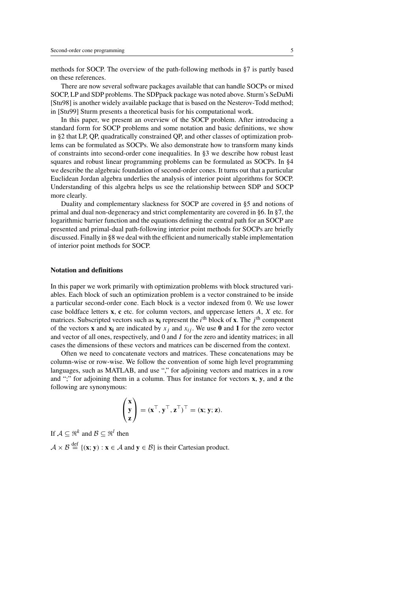methods for SOCP. The overview of the path-following methods in §7 is partly based on these references.

There are now several software packages available that can handle SOCPs or mixed SOCP, LP and SDP problems. The SDPpack package was noted above. Sturm's SeDuMi [Stu98] is another widely available package that is based on the Nesterov-Todd method; in [Stu99] Sturm presents a theoretical basis for his computational work.

In this paper, we present an overview of the SOCP problem. After introducing a standard form for SOCP problems and some notation and basic definitions, we show in §2 that LP, QP, quadratically constrained QP, and other classes of optimization problems can be formulated as SOCPs. We also demonstrate how to transform many kinds of constraints into second-order cone inequalities. In §3 we describe how robust least squares and robust linear programming problems can be formulated as SOCPs. In §4 we describe the algebraic foundation of second-order cones. It turns out that a particular Euclidean Jordan algebra underlies the analysis of interior point algorithms for SOCP. Understanding of this algebra helps us see the relationship between SDP and SOCP more clearly.

Duality and complementary slackness for SOCP are covered in §5 and notions of primal and dual non-degeneracy and strict complementarity are covered in §6. In §7, the logarithmic barrier function and the equations defining the central path for an SOCP are presented and primal-dual path-following interior point methods for SOCPs are briefly discussed. Finally in §8 we deal with the efficient and numerically stable implementation of interior point methods for SOCP.

# **Notation and definitions**

In this paper we work primarily with optimization problems with block structured variables. Each block of such an optimization problem is a vector constrained to be inside a particular second-order cone. Each block is a vector indexed from 0. We use lower case boldface letters **x**, **c** etc. for column vectors, and uppercase letters A, X etc. for matrices. Subscripted vectors such as  $\mathbf{x}_i$  represent the  $i^{\text{th}}$  block of **x**. The  $j^{\text{th}}$  component of the vectors **x** and  $\mathbf{x}_i$  are indicated by  $x_i$  and  $x_{ij}$ . We use 0 and 1 for the zero vector and vector of all ones, respectively, and 0 and  $I$  for the zero and identity matrices; in all cases the dimensions of these vectors and matrices can be discerned from the context.

Often we need to concatenate vectors and matrices. These concatenations may be column-wise or row-wise. We follow the convention of some high level programming languages, such as MATLAB, and use "," for adjoining vectors and matrices in a row and ";" for adjoining them in a column. Thus for instance for vectors **x**, **y**, and **z** the following are synonymous:

$$
\begin{pmatrix} \mathbf{x} \\ \mathbf{y} \\ \mathbf{z} \end{pmatrix} = (\mathbf{x}^\top, \mathbf{y}^\top, \mathbf{z}^\top)^\top = (\mathbf{x}; \mathbf{y}; \mathbf{z}).
$$

If  $A \subset \mathbb{R}^k$  and  $B \subset \mathbb{R}^l$  then  $A \times B \stackrel{\text{def}}{=} \{(\mathbf{x}; \mathbf{y}) : \mathbf{x} \in A \text{ and } \mathbf{y} \in B\}$  is their Cartesian product.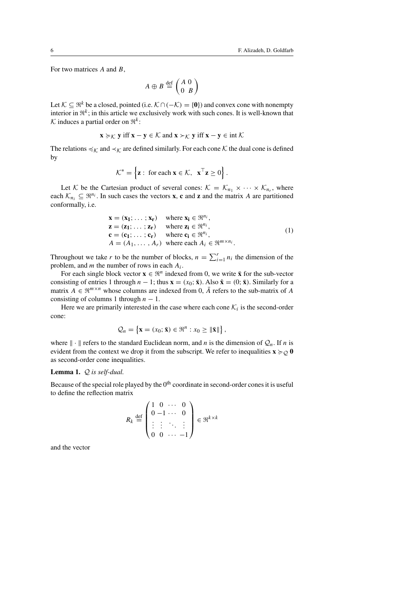For two matrices A and B,

$$
A \oplus B \stackrel{\text{def}}{=} \left( \begin{array}{cc} A & 0 \\ 0 & B \end{array} \right)
$$

Let  $K \subseteq \mathbb{R}^k$  be a closed, pointed (i.e.  $K \cap (-\mathcal{K}) = \{0\}$ ) and convex cone with nonempty interior in  $\mathbb{R}^k$ ; in this article we exclusively work with such cones. It is well-known that K induces a partial order on  $\mathbb{R}^k$ :

$$
\mathbf{x} \succcurlyeq_{\mathcal{K}} \mathbf{y} \text{ iff } \mathbf{x} - \mathbf{y} \in \mathcal{K} \text{ and } \mathbf{x} \succ_{\mathcal{K}} \mathbf{y} \text{ iff } \mathbf{x} - \mathbf{y} \in \text{int } \mathcal{K}
$$

The relations  $\preccurlyeq_{\mathcal{K}}$  and  $\prec_{\mathcal{K}}$  are defined similarly. For each cone  $\mathcal{K}$  the dual cone is defined by

$$
\mathcal{K}^* = \left\{ \mathbf{z} : \text{ for each } \mathbf{x} \in \mathcal{K}, \ \mathbf{x}^\top \mathbf{z} \geq 0 \right\}.
$$

Let K be the Cartesian product of several cones:  $K = \mathcal{K}_{n_1} \times \cdots \times \mathcal{K}_{n_r}$ , where each  $\mathcal{K}_{n_i} \subseteq \mathbb{R}^{n_i}$ . In such cases the vectors **x**, **c** and **z** and the matrix A are partitioned conformally, i.e.

$$
\mathbf{x} = (\mathbf{x}_1; \dots; \mathbf{x}_r) \quad \text{where } \mathbf{x}_i \in \mathbb{R}^{n_i},
$$
  
\n
$$
\mathbf{z} = (\mathbf{z}_1; \dots; \mathbf{z}_r) \quad \text{where } \mathbf{z}_i \in \mathbb{R}^{n_i},
$$
  
\n
$$
\mathbf{c} = (\mathbf{c}_1; \dots; \mathbf{c}_r) \quad \text{where } \mathbf{c}_i \in \mathbb{R}^{n_i},
$$
  
\n
$$
A = (A_1, \dots, A_r) \quad \text{where each } A_i \in \mathbb{R}^{m \times n_i}.
$$
  
\n(1)

Throughout we take r to be the number of blocks,  $n = \sum_{i=1}^{r} n_i$  the dimension of the problem, and m the number of rows in each  $A_i$ .

For each single block vector  $\mathbf{x} \in \mathbb{R}^n$  indexed from 0, we write  $\bar{\mathbf{x}}$  for the sub-vector consisting of entries 1 through  $n - 1$ ; thus  $\mathbf{x} = (x_0; \bar{\mathbf{x}})$ . Also  $\hat{\mathbf{x}} = (0; \bar{\mathbf{x}})$ . Similarly for a matrix  $A \in \mathbb{R}^{m \times n}$  whose columns are indexed from 0,  $\overline{A}$  refers to the sub-matrix of A consisting of columns 1 through  $n - 1$ .

Here we are primarily interested in the case where each cone  $\mathcal{K}_i$  is the second-order cone:

$$
\mathcal{Q}_n = \left\{ \mathbf{x} = (x_0; \bar{\mathbf{x}}) \in \mathbb{R}^n : x_0 \geq ||\bar{\mathbf{x}}|| \right\},\
$$

where  $\|\cdot\|$  refers to the standard Euclidean norm, and n is the dimension of  $Q_n$ . If n is evident from the context we drop it from the subscript. We refer to inequalities  $\mathbf{x} \succcurlyeq_{\mathcal{O}} \mathbf{0}$ as second-order cone inequalities.

# **Lemma 1.** Q *is self-dual.*

Because of the special role played by the  $0<sup>th</sup>$  coordinate in second-order cones it is useful to define the reflection matrix

$$
R_k \stackrel{\text{def}}{=} \begin{pmatrix} 1 & 0 & \cdots & 0 \\ 0 & -1 & \cdots & 0 \\ \vdots & \vdots & \ddots & \vdots \\ 0 & 0 & \cdots & -1 \end{pmatrix} \in \mathfrak{R}^{k \times k}
$$

and the vector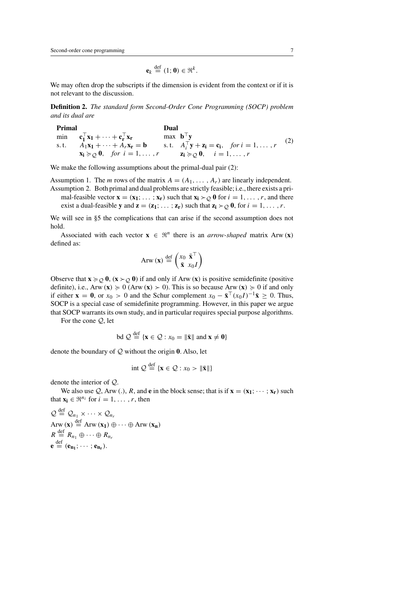$$
\mathbf{e}_k \stackrel{\text{def}}{=} (1; \mathbf{0}) \in \mathfrak{R}^k.
$$

We may often drop the subscripts if the dimension is evident from the context or if it is not relevant to the discussion.

**Definition 2.** *The standard form Second-Order Cone Programming (SOCP) problem and its dual are*

| Primal |                                                                                          | Dual                              |                                                                               |     |
|--------|------------------------------------------------------------------------------------------|-----------------------------------|-------------------------------------------------------------------------------|-----|
|        | min $c_1^{\dagger} x_1 + \cdots + c_r^{\dagger} x_r$                                     | max $\mathbf{b}^{\top}\mathbf{y}$ |                                                                               |     |
|        | s.t. $A_1x_1 + \cdots + A_rx_r = b$                                                      |                                   | s.t. $A_i^{\top} \mathbf{y} + \mathbf{z_i} = \mathbf{c_i}$ , for $i = 1, , r$ | (2) |
|        | $\mathbf{x_i} \succcurlyeq_{\mathcal{Q}} \mathbf{0}, \quad \text{for } i = 1, \ldots, r$ |                                   | $\mathbf{z_i} \succcurlyeq_{\mathcal{Q}} \mathbf{0}, \quad i = 1, \ldots, r$  |     |

We make the following assumptions about the primal-dual pair  $(2)$ :

Assumption 1. The *m* rows of the matrix  $A = (A_1, \ldots, A_r)$  are linearly independent.

Assumption 2. Both primal and dual problems are strictly feasible; i.e., there exists a primal-feasible vector  $\mathbf{x} = (\mathbf{x}_1; \dots; \mathbf{x}_r)$  such that  $\mathbf{x}_i \succ o \mathbf{0}$  for  $i = 1, \dots, r$ , and there exist a dual-feasible **y** and  $z = (z_1; \ldots; z_r)$  such that  $z_i \succ o \mathbf{0}$ , for  $i = 1, \ldots, r$ .

We will see in §5 the complications that can arise if the second assumption does not hold.

Associated with each vector  $\mathbf{x} \in \mathbb{R}^n$  there is an *arrow-shaped* matrix Arw  $(\mathbf{x})$ defined as:

$$
Arw(\mathbf{x}) \stackrel{\text{def}}{=} \begin{pmatrix} x_0 & \bar{\mathbf{x}}^{\top} \\ \bar{\mathbf{x}} & x_0 I \end{pmatrix}
$$

Observe that  $\mathbf{x} \succcurlyeq_Q \mathbf{0}$ ,  $(\mathbf{x} \succ_Q \mathbf{0})$  if and only if Arw  $(\mathbf{x})$  is positive semidefinite (positive definite), i.e., Arw  $(\mathbf{x}) \ge 0$  (Arw  $(\mathbf{x}) > 0$ ). This is so because Arw  $(\mathbf{x}) \ge 0$  if and only if either **x** = **0**, or  $x_0 > 0$  and the Schur complement  $x_0 - \bar{\mathbf{x}}^{\top}(x_0I)^{-1}\bar{\mathbf{x}} > 0$ . Thus, SOCP is a special case of semidefinite programming. However, in this paper we argue that SOCP warrants its own study, and in particular requires special purpose algorithms.

For the cone Q, let

$$
\mathrm{bd}\; \mathcal{Q} \stackrel{\mathrm{def}}{=} \{ \mathbf{x} \in \mathcal{Q} : x_0 = \|\bar{\mathbf{x}}\| \text{ and } \mathbf{x} \neq \mathbf{0} \}
$$

denote the boundary of Q without the origin **0**. Also, let

$$
\text{int } Q \stackrel{\text{def}}{=} \{ \mathbf{x} \in \mathcal{Q} : x_0 > \|\bar{\mathbf{x}}\|\}
$$

denote the interior of Q.

We also use  $Q$ , Arw (.), R, and **e** in the block sense; that is if  $\mathbf{x} = (\mathbf{x}_1; \dots; \mathbf{x}_r)$  such that  $\mathbf{x_i} \in \mathbb{R}^{n_i}$  for  $i = 1, \ldots, r$ , then

$$
Q \stackrel{\text{def}}{=} Q_{n_1} \times \cdots \times Q_{n_r}
$$
  
Arw  $(\mathbf{x}) \stackrel{\text{def}}{=}$  Arw  $(\mathbf{x}_1) \oplus \cdots \oplus$  Arw  $(\mathbf{x}_n)$   
 $R \stackrel{\text{def}}{=} R_{n_1} \oplus \cdots \oplus R_{n_r}$   
 $\mathbf{e} \stackrel{\text{def}}{=} (\mathbf{e}_{\mathbf{n}_1}; \cdots; \mathbf{e}_{\mathbf{n}_r}).$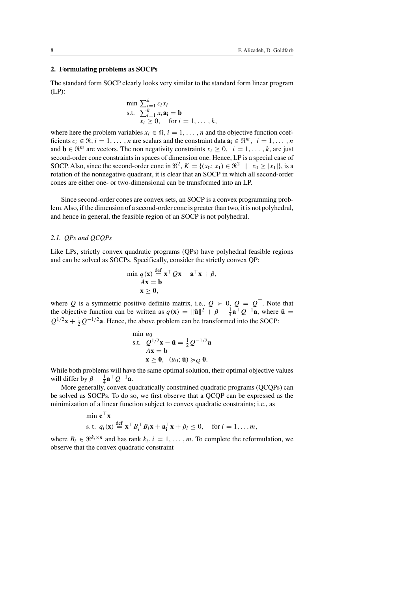# **2. Formulating problems as SOCPs**

The standard form SOCP clearly looks very similar to the standard form linear program (LP):

$$
\min \sum_{i=1}^{k} c_i x_i
$$
\n
$$
\text{s.t.} \quad \sum_{i=1}^{k} x_i \mathbf{a_i} = \mathbf{b}
$$
\n
$$
x_i \geq 0, \quad \text{for } i = 1, \dots, k,
$$

where here the problem variables  $x_i \in \mathfrak{R}$ ,  $i = 1, \ldots, n$  and the objective function coefficients  $c_i \in \mathbb{R}, i = 1, \ldots, n$  are scalars and the constraint data  $\mathbf{a_i} \in \mathbb{R}^m, i = 1, \ldots, n$ and **b**  $\in \mathbb{R}^m$  are vectors. The non negativity constraints  $x_i \geq 0$ ,  $i = 1, \ldots, k$ , are just second-order cone constraints in spaces of dimension one. Hence, LP is a special case of SOCP. Also, since the second-order cone in  $\mathbb{R}^2$ ,  $K = \{(x_0; x_1) \in \mathbb{R}^2 \mid x_0 > |x_1|\}$ , is a rotation of the nonnegative quadrant, it is clear that an SOCP in which all second-order cones are either one- or two-dimensional can be transformed into an LP.

Since second-order cones are convex sets, an SOCP is a convex programming problem.Also, if the dimension of a second-order cone is greater than two, it is not polyhedral, and hence in general, the feasible region of an SOCP is not polyhedral.

### *2.1. QPs and QCQPs*

Like LPs, strictly convex quadratic programs (QPs) have polyhedral feasible regions and can be solved as SOCPs. Specifically, consider the strictly convex QP:

$$
\min q(\mathbf{x}) \stackrel{\text{def}}{=} \mathbf{x}^\top Q \mathbf{x} + \mathbf{a}^\top \mathbf{x} + \beta,
$$
  
\n
$$
A \mathbf{x} = \mathbf{b}
$$
  
\n
$$
\mathbf{x} \geq \mathbf{0},
$$

where Q is a symmetric positive definite matrix, i.e.,  $Q > 0$ ,  $Q = Q^{\top}$ . Note that the objective function can be written as  $q(\mathbf{x}) = ||\mathbf{\bar{u}}||^2 + \beta - \frac{1}{4}\mathbf{a}^\top Q^{-1}\mathbf{a}$ , where  $\mathbf{\bar{u}} =$  $Q^{1/2}$ **x** +  $\frac{1}{2}Q^{-1/2}$ **a**. Hence, the above problem can be transformed into the SOCP:

$$
\begin{array}{ll}\n\min u_0\\
\text{s.t.} & Q^{1/2}\mathbf{x} - \bar{\mathbf{u}} = \frac{1}{2} Q^{-1/2} \mathbf{a} \\
& Ax = \mathbf{b} \\
& \mathbf{x} \geq \mathbf{0}, \ (u_0; \bar{\mathbf{u}}) \succcurlyeq_Q \mathbf{0}.\n\end{array}
$$

While both problems will have the same optimal solution, their optimal objective values will differ by  $\beta - \frac{1}{4} \mathbf{a}^\top Q^{-1} \mathbf{a}$ .

More generally, convex quadratically constrained quadratic programs (QCQPs) can be solved as SOCPs. To do so, we first observe that a QCQP can be expressed as the minimization of a linear function subject to convex quadratic constraints; i.e., as

$$
\begin{aligned}\n\min \mathbf{c}^\top \mathbf{x} \\
\text{s.t. } q_i(\mathbf{x}) &\stackrel{\text{def}}{=} \mathbf{x}^\top B_i^\top B_i \mathbf{x} + \mathbf{a}_i^\top \mathbf{x} + \beta_i \le 0, \quad \text{for } i = 1, \dots m,\n\end{aligned}
$$

where  $B_i \in \mathbb{R}^{k_i \times n}$  and has rank  $k_i$ ,  $i = 1, \ldots, m$ . To complete the reformulation, we observe that the convex quadratic constraint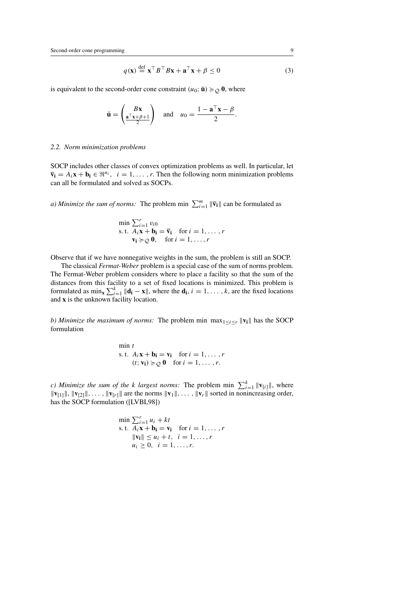$$
q(\mathbf{x}) \stackrel{\text{def}}{=} \mathbf{x}^\top B^\top B \mathbf{x} + \mathbf{a}^\top \mathbf{x} + \beta \le 0 \tag{3}
$$

is equivalent to the second-order cone constraint  $(u_0; \bar{\mathbf{u}}) \succcurlyeq_{\mathcal{O}} \mathbf{0}$ , where

$$
\bar{\mathbf{u}} = \begin{pmatrix} B\mathbf{x} \\ \frac{\mathbf{a}^\top \mathbf{x} + \beta + 1}{2} \end{pmatrix} \quad \text{and} \quad u_0 = \frac{1 - \mathbf{a}^\top \mathbf{x} - \beta}{2}.
$$

### *2.2. Norm minimization problems*

SOCP includes other classes of convex optimization problems as well. In particular, let  $\overline{\mathbf{v}}_i = A_i \mathbf{x} + \mathbf{b}_i \in \mathbb{R}^{n_i}$ ,  $i = 1, \ldots, r$ . Then the following norm minimization problems can all be formulated and solved as SOCPs.

*a) Minimize the sum of norms:* The problem min  $\sum_{i=1}^{m} \|\bar{\mathbf{v}}_i\|$  can be formulated as

$$
\min \sum_{i=1}^{r} v_{i0}
$$
\n
$$
\text{s.t. } A_i \mathbf{x} + \mathbf{b_i} = \overline{\mathbf{v}}_i \quad \text{for } i = 1, \dots, r
$$
\n
$$
\mathbf{v_i} \succcurlyeq \mathbf{0}, \quad \text{for } i = 1, \dots, r
$$

Observe that if we have nonnegative weights in the sum, the problem is still an SOCP.

The classical *Fermat-Weber* problem is a special case of the sum of norms problem. The Fermat-Weber problem considers where to place a facility so that the sum of the distances from this facility to a set of fixed locations is minimized. This problem is formulated as  $\min_{\mathbf{x}} \sum_{i=1}^{k} ||\mathbf{d_i} - \mathbf{x}||$ , where the  $\mathbf{d_i}$ ,  $i = 1, ..., k$ , are the fixed locations and **x** is the unknown facility location.

*b) Minimize the maximum of norms:* The problem min max $_{1 \le i \le r} ||\mathbf{v_i}||$  has the SOCP formulation

> $min t$ s. t.  $A_i \mathbf{x} + \mathbf{b_i} = \mathbf{v_i}$  for  $i = 1, \ldots, r$  $(t; \mathbf{v_i}) \succcurlyeq_{\mathcal{Q}} \mathbf{0}$  for  $i = 1, \ldots, r$ .

*c)* Minimize the sum of the k largest norms: The problem min  $\sum_{i=1}^{k} ||\mathbf{v}_{[i]}||$ , where  $\|\mathbf{v}_{1}\|$ ,  $\|\mathbf{v}_{2}\|$ , ...,  $\|\mathbf{v}_{r}\|$  are the norms  $\|\mathbf{v}_{1}\|$ , ...,  $\|\mathbf{v}_{r}\|$  sorted in nonincreasing order, has the SOCP formulation ([LVBL98])

$$
\min \sum_{i=1}^{r} u_i + kt
$$
\n
$$
\text{s.t. } A_i \mathbf{x} + \mathbf{b_i} = \mathbf{v_i} \quad \text{for } i = 1, \dots, r
$$
\n
$$
\|\mathbf{v_i}\| \le u_i + t, \quad i = 1, \dots, r
$$
\n
$$
u_i \ge 0, \quad i = 1, \dots, r.
$$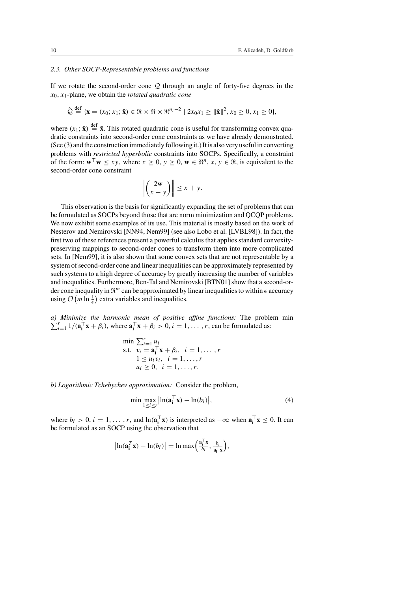# *2.3. Other SOCP-Representable problems and functions*

If we rotate the second-order cone  $Q$  through an angle of forty-five degrees in the x0, x1-plane, we obtain the *rotated quadratic cone*

$$
\hat{Q} \stackrel{\text{def}}{=} \{ \mathbf{x} = (x_0; x_1; \hat{\mathbf{x}}) \in \mathfrak{R} \times \mathfrak{R} \times \mathfrak{R}^{n_i - 2} \mid 2x_0 x_1 \ge ||\hat{\mathbf{x}}||^2, x_0 \ge 0, x_1 \ge 0 \},
$$

where  $(x_1; \hat{x}) \stackrel{\text{def}}{=} \bar{x}$ . This rotated quadratic cone is useful for transforming convex quadratic constraints into second-order cone constraints as we have already demonstrated. (See (3) and the construction immediately following it.) It is also very useful in converting problems with *restricted hyperbolic* constraints into SOCPs. Specifically, a constraint of the form:  $\mathbf{w}^\top \mathbf{w} \leq xy$ , where  $x \geq 0$ ,  $y \geq 0$ ,  $\mathbf{w} \in \mathbb{R}^n$ ,  $x, y \in \mathbb{R}$ , is equivalent to the second-order cone constraint

$$
\left\| \begin{pmatrix} 2\mathbf{w} \\ x - y \end{pmatrix} \right\| \leq x + y.
$$

This observation is the basis for significantly expanding the set of problems that can be formulated as SOCPs beyond those that are norm minimization and QCQP problems. We now exhibit some examples of its use. This material is mostly based on the work of Nesterov and Nemirovski [NN94, Nem99] (see also Lobo et al. [LVBL98]). In fact, the first two of these references present a powerful calculus that applies standard convexitypreserving mappings to second-order cones to transform them into more complicated sets. In [Nem99], it is also shown that some convex sets that are not representable by a system of second-order cone and linear inequalities can be approximately represented by such systems to a high degree of accuracy by greatly increasing the number of variables and inequalities. Furthermore, Ben-Tal and Nemirovski [BTN01] show that a second-order cone inequality in  $\mathbb{R}^m$  can be approximated by linear inequalities to within  $\epsilon$  accuracy using  $\mathcal{O}\left(m \ln \frac{1}{\epsilon}\right)$  extra variables and inequalities.

*a)* Minimize the harmonic mean of positive affine functions: The problem min  $\sum_{i=1}^{r} (A_i - A_i)$  where  $A_i = A_i$ ,  $\ge 0$  i  $-1$  r can be formulated as:  $\sum_{i=1}^{r} 1/(\mathbf{a}_i^{\top} \mathbf{x} + \beta_i)$ , where  $\mathbf{a}_i^{\top} \mathbf{x} + \beta_i > 0$ ,  $i = 1, \ldots, r$ , can be formulated as:

> $\min \sum_{i=1}^r u_i$ s.t.  $\overline{v_i} = \mathbf{a}_i^{\top} \mathbf{x} + \beta_i, \quad i = 1, \dots, r$  $1 \le u_i v_i, i = 1, ..., r$  $u_i > 0, \ \ i = 1, \ldots, r.$

*b) Logarithmic Tchebychev approximation:* Consider the problem,

$$
\min \max_{1 \le i \le r} \left| \ln(\mathbf{a}_i^\top \mathbf{x}) - \ln(b_i) \right|,\tag{4}
$$

where  $b_i > 0$ ,  $i = 1, ..., r$ , and  $\ln(\mathbf{a}_i^T \mathbf{x})$  is interpreted as  $-\infty$  when  $\mathbf{a}_i^T \mathbf{x} \le 0$ . It can be formulated as an SOCP using the observation that

$$
\left|\ln(\mathbf{a}_i^T \mathbf{x}) - \ln(b_i)\right| = \ln \max\left(\frac{\mathbf{a}_i^T \mathbf{x}}{b_i}, \frac{b_i}{\mathbf{a}_i^T \mathbf{x}}\right),
$$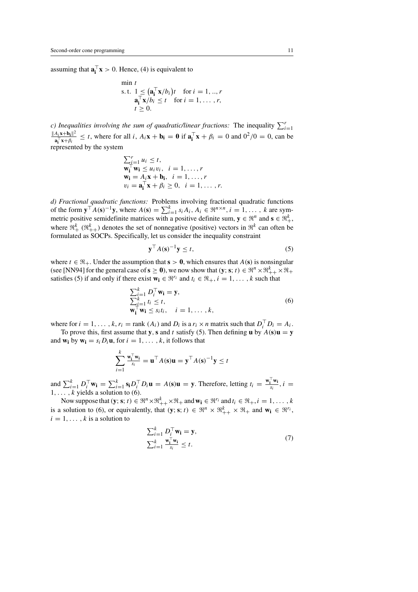assuming that  $\mathbf{a}_i^{\top} \mathbf{x} > 0$ . Hence, (4) is equivalent to

$$
\min t
$$
\ns.t.  $1 \leq (\mathbf{a}_i^\top \mathbf{x}/b_i)t$  for  $i = 1, ..., r$   
\n $\mathbf{a}_i^\top \mathbf{x}/b_i \leq t$  for  $i = 1, ..., r$ ,  
\n $t \geq 0$ .

*c)* Inequalities involving the sum of quadratic/linear fractions: The inequality  $\sum_{i=1}^{r}$  $||A_i\mathbf{x}+\mathbf{b_i}||^2$  $\frac{A_i \mathbf{x} + \mathbf{b}_i \|\mathbf{x}}{\mathbf{a}_i^\top \mathbf{x} + \beta_i} \le t$ , where for all i,  $A_i \mathbf{x} + \mathbf{b}_i = \mathbf{0}$  if  $\mathbf{a}_i^\top \mathbf{x} + \beta_i = 0$  and  $0^2/0 = 0$ , can be represented by the system

$$
\sum_{i=1}^{r} u_i \leq t,
$$
  
\n
$$
\mathbf{w}_i^{\top} \mathbf{w}_i \leq u_i v_i, \quad i = 1, ..., r
$$
  
\n
$$
\mathbf{w}_i = A_i \mathbf{x} + \mathbf{b}_i, \quad i = 1, ..., r
$$
  
\n
$$
v_i = \mathbf{a}_i^{\top} \mathbf{x} + \beta_i \geq 0, \quad i = 1, ..., r.
$$

*d) Fractional quadratic functions:* Problems involving fractional quadratic functions of the form  $\mathbf{y}^\top A(\mathbf{s})^{-1} \mathbf{y}$ , where  $A(\mathbf{s}) = \sum_{i=1}^k s_i A_i$ ,  $A_i \in \mathbb{R}^{n \times n}$ ,  $i = 1, \ldots, k$  are symmetric positive semidefinite matrices with a positive definite sum,  $y \in \mathbb{R}^n$  and  $s \in \mathbb{R}^k_+$ . where  $\mathfrak{R}^k_+$  ( $\mathfrak{R}^k_{++}$ ) denotes the set of nonnegative (positive) vectors in  $\mathfrak{R}^k$  can often be formulated as SOCPs. Specifically, let us consider the inequality constraint

$$
\mathbf{y}^{\top} A(\mathbf{s})^{-1} \mathbf{y} \le t,\tag{5}
$$

where  $t \in \mathbb{R}_+$ . Under the assumption that  $s > 0$ , which ensures that  $A(s)$  is nonsingular (see [NN94] for the general case of  $\mathbf{s} \geq \mathbf{0}$ ), we now show that  $(\mathbf{y}; \mathbf{s}; t) \in \mathbb{R}^n \times \mathbb{R}^k_{++} \times \mathbb{R}_+$ satisfies (5) if and only if there exist  $\mathbf{w}_i \in \mathbb{R}^{r_i}$  and  $t_i \in \mathbb{R}_+$ ,  $i = 1, \ldots, k$  such that

$$
\sum_{i=1}^{k} D_{i}^{\top} \mathbf{w}_{i} = \mathbf{y},
$$
\n
$$
\sum_{i=1}^{k} t_{i} \leq t,
$$
\n
$$
\mathbf{w}_{i}^{\top} \mathbf{w}_{i} \leq s_{i} t_{i}, \quad i = 1, \dots, k,
$$
\n(6)

where for  $i = 1, ..., k$ ,  $r_i = \text{rank}(A_i)$  and  $D_i$  is a  $r_i \times n$  matrix such that  $D_i^\top D_i = A_i$ .

To prove this, first assume that **y**, **s** and t satisfy (5). Then defining **u** by  $A$ (**s**)**u** = **y** and  $\mathbf{w_i}$  by  $\mathbf{w_i} = s_i D_i \mathbf{u}$ , for  $i = 1, \ldots, k$ , it follows that

$$
\sum_{i=1}^k \frac{\mathbf{w}_i^\top \mathbf{w}_i}{s_i} = \mathbf{u}^\top A(\mathbf{s}) \mathbf{u} = \mathbf{y}^\top A(\mathbf{s})^{-1} \mathbf{y} \le t
$$

and  $\sum_{i=1}^{k} D_i^{\top} \mathbf{w_i} = \sum_{i=1}^{k} \mathbf{s_i} D_i^{\top} D_i \mathbf{u} = A(\mathbf{s}) \mathbf{u} = \mathbf{y}$ . Therefore, letting  $t_i = \frac{\mathbf{w_i^{\top} w_i}}{s_i}$ ,  $i =$  $1, \ldots, k$  yields a solution to (6).

Now suppose that  $(\mathbf{y}; \mathbf{s}; t) \in \mathbb{R}^n \times \mathbb{R}^k_+ \times \mathbb{R}_+$  and  $\mathbf{w_i} \in \mathbb{R}^{r_i}$  and  $t_i \in \mathbb{R}_+$ ,  $i = 1, \ldots, k$ is a solution to (6), or equivalently, that  $(y; s; t) \in \mathbb{R}^n \times \mathbb{R}^k_{++} \times \mathbb{R}_+$  and  $w_i \in \mathbb{R}^{r_i}$ ,  $i = 1, \ldots, k$  is a solution to

$$
\sum_{i=1}^{k} D_i^{\top} \mathbf{w}_i = \mathbf{y},
$$
  

$$
\sum_{i=1}^{k} \frac{\mathbf{w}_i^{\top} \mathbf{w}_i}{s_i} \le t.
$$
 (7)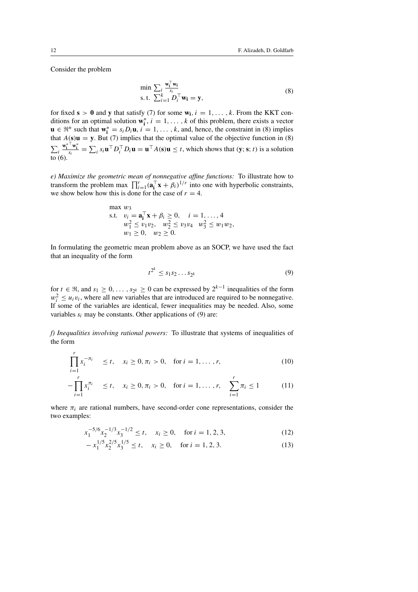Consider the problem

$$
\min \sum_{i} \frac{\mathbf{w}_{i}^{\top} \mathbf{w}_{i}}{s_{i}} \n\text{s.t.} \sum_{i=1}^{k} D_{i}^{\top} \mathbf{w}_{i} = \mathbf{y},
$$
\n(8)

for fixed  $s > 0$  and y that satisfy (7) for some  $w_i$ ,  $i = 1, \ldots, k$ . From the KKT conditions for an optimal solution  $\mathbf{w}_i^*$ ,  $i = 1, ..., k$  of this problem, there exists a vector **u** ∈  $\mathbb{R}^n$  such that  $\mathbf{w}_i^* = s_i D_i \mathbf{u}, i = 1, \dots, k$ , and, hence, the constraint in (8) implies that  $A(s)\mathbf{u} = \mathbf{y}$ . But (7) implies that the optimal value of the objective function in (8)  $\sum_i$  $\frac{\mathbf{w}_i^* \cdot \mathbf{w}_i^*}{s_i} = \sum_i s_i \mathbf{u}^\top D_i^\top D_i \mathbf{u} = \mathbf{u}^\top A(\mathbf{s}) \mathbf{u} \le t$ , which shows that  $(\mathbf{y}; \mathbf{s}; t)$  is a solution  $\overline{10}(6)$ .

*e) Maximize the geometric mean of nonnegative affine functions:* To illustrate how to transform the problem max  $\prod_{i=1}^{r} (\mathbf{a}_i^{\top} \mathbf{x} + \beta_i)^{1/r}$  into one with hyperbolic constraints, we show below how this is done for the case of  $r = 4$ .

max 
$$
w_3
$$
  
\ns.t.  $v_i = \mathbf{a}_i^{\top} \mathbf{x} + \beta_i \ge 0$ ,  $i = 1, ..., 4$   
\n $w_1^2 \le v_1 v_2$ ,  $w_2^2 \le v_3 v_4$   $w_3^2 \le w_1 w_2$ ,  
\n $w_1 \ge 0$ ,  $w_2 \ge 0$ .

In formulating the geometric mean problem above as an SOCP, we have used the fact that an inequality of the form

$$
t^{2^k} \le s_1 s_2 \dots s_{2^k} \tag{9}
$$

for  $t \in \Re$ , and  $s_1 \geq 0, \ldots, s_{2^k} \geq 0$  can be expressed by  $2^{k-1}$  inequalities of the form  $w_i^2 \le u_i v_i$ , where all new variables that are introduced are required to be nonnegative. If some of the variables are identical, fewer inequalities may be needed. Also, some variables  $s_i$  may be constants. Other applications of (9) are:

*f) Inequalities involving rational powers:* To illustrate that systems of inequalities of the form

$$
\prod_{i=1}^{r} x_i^{-\pi_i} \le t, \quad x_i \ge 0, \pi_i > 0, \quad \text{for } i = 1, ..., r,
$$
\n(10)

$$
-\prod_{i=1}^{r} x_i^{\pi_i} \le t, \quad x_i \ge 0, \pi_i > 0, \quad \text{for } i = 1, ..., r, \quad \sum_{i=1}^{r} \pi_i \le 1 \tag{11}
$$

where  $\pi_i$  are rational numbers, have second-order cone representations, consider the two examples:

$$
x_1^{-5/6} x_2^{-1/3} x_3^{-1/2} \le t, \quad x_i \ge 0, \quad \text{for } i = 1, 2, 3,
$$
 (12)

$$
-x_1^{1/5}x_2^{2/5}x_3^{1/5} \le t, \quad x_i \ge 0, \quad \text{for } i = 1, 2, 3. \tag{13}
$$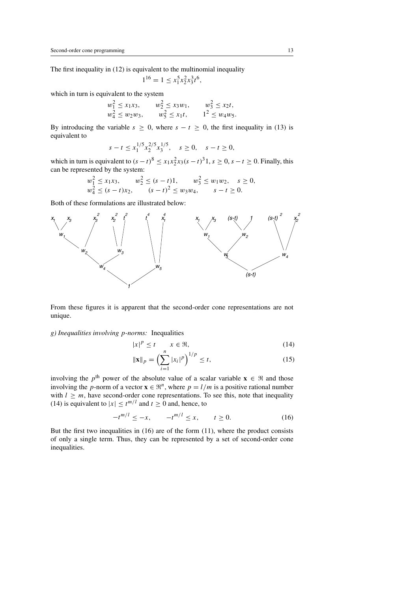The first inequality in (12) is equivalent to the multinomial inequality

$$
1^{16} = 1 \le x_1^5 x_2^2 x_3^3 t^6,
$$

which in turn is equivalent to the system

$$
w_1^2 \le x_1 x_3
$$
,  $w_2^2 \le x_3 w_1$ ,  $w_3^2 \le x_2 t$ ,  
\n $w_4^2 \le w_2 w_3$ ,  $w_5^2 \le x_1 t$ ,  $1^2 \le w_4 w_5$ .

By introducing the variable  $s \geq 0$ , where  $s - t \geq 0$ , the first inequality in (13) is equivalent to

$$
s - t \le x_1^{1/5} x_2^{2/5} x_3^{1/5}, \quad s \ge 0, \quad s - t \ge 0,
$$

which in turn is equivalent to  $(s-t)^8 \le x_1 x_2^2 x_3 (s-t)^3 1$ ,  $s \ge 0$ ,  $s-t \ge 0$ . Finally, this can be represented by the system:

$$
w_1^2 \le x_1 x_3, \qquad w_2^2 \le (s-t)1, \qquad w_3^2 \le w_1 w_2, \qquad s \ge 0,
$$
  

$$
w_4^2 \le (s-t) x_2, \qquad (s-t)^2 \le w_3 w_4, \qquad s-t \ge 0.
$$

Both of these formulations are illustrated below:



From these figures it is apparent that the second-order cone representations are not unique.

*g) Inequalities involving* p*-norms:* Inequalities

$$
|x|^p \le t \qquad x \in \mathfrak{R},\tag{14}
$$

$$
\|\mathbf{x}\|_{p} = \left(\sum_{i=1}^{n} |x_{i}|^{p}\right)^{1/p} \le t,
$$
\n(15)

involving the p<sup>th</sup> power of the absolute value of a scalar variable  $\mathbf{x} \in \mathbb{R}$  and those involving the p-norm of a vector  $\mathbf{x} \in \mathbb{R}^n$ , where  $p = l/m$  is a positive rational number with  $l \geq m$ , have second-order cone representations. To see this, note that inequality (14) is equivalent to  $|x| \le t^{m/l}$  and  $t \ge 0$  and, hence, to

$$
-t^{m/l} \le -x, \qquad -t^{m/l} \le x, \qquad t \ge 0. \tag{16}
$$

But the first two inequalities in  $(16)$  are of the form  $(11)$ , where the product consists of only a single term. Thus, they can be represented by a set of second-order cone inequalities.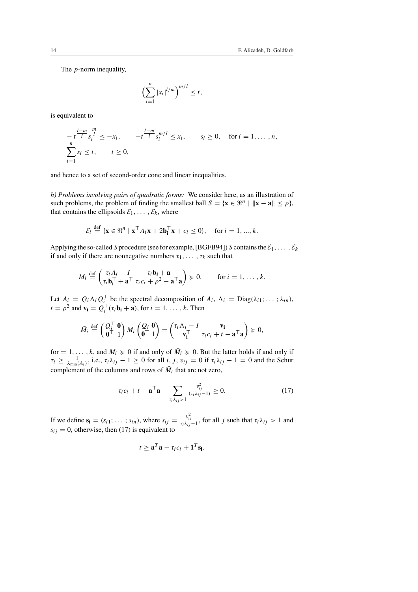The p-norm inequality,

$$
\left(\sum_{i=1}^n |x_i|^{l/m}\right)^{m/l} \leq t,
$$

is equivalent to

$$
-t^{\frac{l-m}{l}} s_i^{\frac{m}{l}} \le -x_i, \qquad -t^{\frac{l-m}{l}} s_i^{m/l} \le x_i, \qquad s_i \ge 0, \quad \text{for } i = 1, ..., n,
$$
  

$$
\sum_{i=1}^n s_i \le t, \qquad t \ge 0,
$$

and hence to a set of second-order cone and linear inequalities.

*h) Problems involving pairs of quadratic forms:* We consider here, as an illustration of such problems, the problem of finding the smallest ball  $S = {\mathbf{x} \in \mathbb{R}^n \mid ||\mathbf{x} - \mathbf{a}|| \le \rho},$ that contains the ellipsoids  $\mathcal{E}_1, \ldots, \mathcal{E}_k$ , where

$$
\mathcal{E}_i \stackrel{\text{def}}{=} \{ \mathbf{x} \in \mathbb{R}^n \mid \mathbf{x}^\top A_i \mathbf{x} + 2\mathbf{b}_i^\top \mathbf{x} + c_i \le 0 \}, \quad \text{for } i = 1, ..., k.
$$

Applying the so-called S procedure (see for example, [BGFB94]) S contains the  $\mathcal{E}_1,\ldots,\mathcal{E}_k$ if and only if there are nonnegative numbers  $\tau_1, \ldots, \tau_k$  such that

$$
M_i \stackrel{\text{def}}{=} \begin{pmatrix} \tau_i A_i - I & \tau_i \mathbf{b_i} + \mathbf{a} \\ \tau_i \mathbf{b_i}^\top + \mathbf{a}^\top \ \tau_i c_i + \rho^2 - \mathbf{a}^\top \mathbf{a} \end{pmatrix} \succcurlyeq 0, \quad \text{for } i = 1, \ldots, k.
$$

Let  $A_i = Q_i \Lambda_i Q_i^{\top}$  be the spectral decomposition of  $A_i$ ,  $\Lambda_i = \text{Diag}(\lambda_{i1}; \dots; \lambda_{in})$ ,  $t = \rho^2$  and  $\mathbf{v_i} = Q_i^\top(\tau_i \mathbf{b_i} + \mathbf{a})$ , for  $i = 1, \dots, k$ . Then

$$
\bar{M}_i \stackrel{\text{def}}{=} \begin{pmatrix} Q_i^\top \ \mathbf{0} \\ \mathbf{0}^\top \end{pmatrix} M_i \begin{pmatrix} Q_i & \mathbf{0} \\ \mathbf{0}^\top \end{pmatrix} = \begin{pmatrix} \tau_i \Lambda_i - I & \mathbf{v_i} \\ \mathbf{v_i^\top} & \tau_i c_i + t - \mathbf{a}^\top \mathbf{a} \end{pmatrix} \succcurlyeq 0,
$$

for = 1, ..., k, and  $M_i \ge 0$  if and only of  $\overline{M}_i \ge 0$ . But the latter holds if and only if  $\tau_i \ge \frac{1}{\lambda_{\min}(A_i)}$ , i.e.,  $\tau_i \lambda_{ij} - 1 \ge 0$  for all  $i, j, v_{ij} = 0$  if  $\tau_i \lambda_{ij} - 1 = 0$  and the Schur complement of the columns and rows of  $\overline{M}_i$  that are not zero,

$$
\tau_i c_i + t - \mathbf{a}^\top \mathbf{a} - \sum_{\tau_i \lambda_{ij} > 1} \frac{v_{ij}^2}{(\tau_i \lambda_{ij} - 1)} \ge 0.
$$
 (17)

If we define  $\mathbf{s_i} = (s_{i1}; \dots; s_{in})$ , where  $s_{ij} = \frac{v_{ij}^2}{\tau_i \lambda_{ij} - 1}$ , for all j such that  $\tau_i \lambda_{ij} > 1$  and  $s_{ij} = 0$ , otherwise, then (17) is equivalent to

$$
t \geq \mathbf{a}^T \mathbf{a} - \tau_i c_i + \mathbf{1}^T \mathbf{s_i}.
$$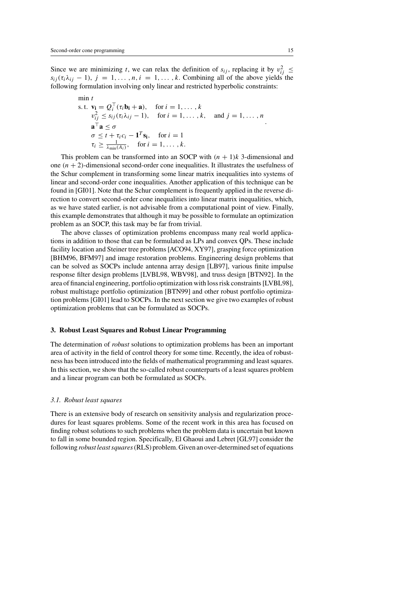Since we are minimizing t, we can relax the definition of  $s_{ij}$ , replacing it by  $v_{ij}^2 \leq$  $s_{ij}$  ( $\tau_i \lambda_{ij}$  – 1),  $j = 1, \ldots, n, i = 1, \ldots, k$ . Combining all of the above yields the following formulation involving only linear and restricted hyperbolic constraints:

$$
\begin{aligned}\n\min t & \text{s.t. } \mathbf{v_i} = Q_i^\top(\tau_i \mathbf{b_i} + \mathbf{a}), \quad \text{for } i = 1, \dots, k \\
v_{ij}^2 &\le s_{ij}(\tau_i \lambda_{ij} - 1), \quad \text{for } i = 1, \dots, k, \quad \text{and } j = 1, \dots, n \\
\mathbf{a}^\top \mathbf{a} &\le \sigma \\
\sigma &\le t + \tau_i c_i - \mathbf{1}^T \mathbf{s_i}, \quad \text{for } i = 1 \\
\tau_i &\ge \frac{1}{\lambda_{\min}(A_i)}, \quad \text{for } i = 1, \dots, k.\n\end{aligned}
$$

This problem can be transformed into an SOCP with  $(n + 1)k$  3-dimensional and one  $(n + 2)$ -dimensional second-order cone inequalities. It illustrates the usefulness of the Schur complement in transforming some linear matrix inequalities into systems of linear and second-order cone inequalities. Another application of this technique can be found in [GI01]. Note that the Schur complement is frequently applied in the reverse direction to convert second-order cone inequalities into linear matrix inequalities, which, as we have stated earlier, is not advisable from a computational point of view. Finally, this example demonstrates that although it may be possible to formulate an optimization problem as an SOCP, this task may be far from trivial.

The above classes of optimization problems encompass many real world applications in addition to those that can be formulated as LPs and convex QPs. These include facility location and Steiner tree problems [ACO94, XY97], grasping force optimization [BHM96, BFM97] and image restoration problems. Engineering design problems that can be solved as SOCPs include antenna array design [LB97], various finite impulse response filter design problems [LVBL98, WBV98], and truss design [BTN92]. In the area of financial engineering, portfolio optimization with loss risk constraints [LVBL98], robust multistage portfolio optimization [BTN99] and other robust portfolio optimization problems [GI01] lead to SOCPs. In the next section we give two examples of robust optimization problems that can be formulated as SOCPs.

### **3. Robust Least Squares and Robust Linear Programming**

The determination of *robust* solutions to optimization problems has been an important area of activity in the field of control theory for some time. Recently, the idea of robustness has been introduced into the fields of mathematical programming and least squares. In this section, we show that the so-called robust counterparts of a least squares problem and a linear program can both be formulated as SOCPs.

### *3.1. Robust least squares*

There is an extensive body of research on sensitivity analysis and regularization procedures for least squares problems. Some of the recent work in this area has focused on finding robust solutions to such problems when the problem data is uncertain but known to fall in some bounded region. Specifically, El Ghaoui and Lebret [GL97] consider the following *robust least squares*(RLS) problem. Given an over-determined set of equations

.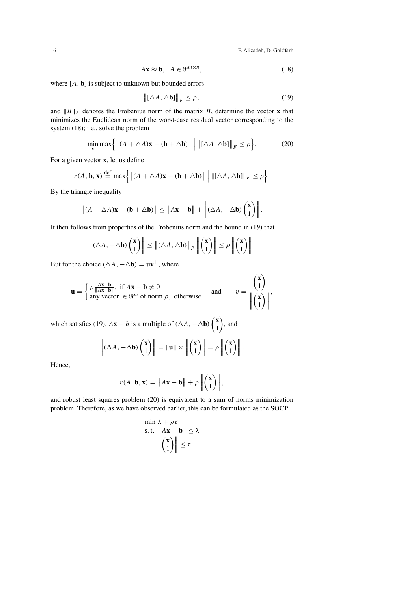$$
A\mathbf{x} \approx \mathbf{b}, \quad A \in \mathbb{R}^{m \times n}, \tag{18}
$$

where  $[A, b]$  is subject to unknown but bounded errors

$$
\left\| [\Delta A, \Delta \mathbf{b}] \right\|_F \le \rho, \tag{19}
$$

and  $\|B\|_F$  denotes the Frobenius norm of the matrix B, determine the vector **x** that minimizes the Euclidean norm of the worst-case residual vector corresponding to the system (18); i.e., solve the problem

$$
\min_{\mathbf{x}} \max \left\{ \left\| (A + \triangle A)\mathbf{x} - (\mathbf{b} + \triangle \mathbf{b}) \right\| \, \left| \, \left\| [\triangle A, \triangle \mathbf{b}] \right\|_F \le \rho \right\}.
$$
 (20)

For a given vector **x**, let us define

$$
r(A, \mathbf{b}, \mathbf{x}) \stackrel{\text{def}}{=} \max \left\{ \left\| (A + \triangle A)\mathbf{x} - (\mathbf{b} + \triangle \mathbf{b}) \right\| \Big| \|\left[ \triangle A, \triangle \mathbf{b} \right]\|_F \le \rho \right\}.
$$

By the triangle inequality

$$
\|(A + \triangle A)\mathbf{x} - (\mathbf{b} + \triangle \mathbf{b})\| \le \|A\mathbf{x} - \mathbf{b}\| + \left\| (\triangle A, -\triangle \mathbf{b}) {\binom{\mathbf{x}}{1}} \right\|.
$$

It then follows from properties of the Frobenius norm and the bound in (19) that

$$
\left\| (\Delta A, -\Delta \mathbf{b}) \begin{pmatrix} \mathbf{x} \\ 1 \end{pmatrix} \right\| \leq \left\| (\Delta A, \Delta \mathbf{b}) \right\|_F \left\| \begin{pmatrix} \mathbf{x} \\ 1 \end{pmatrix} \right\| \leq \rho \left\| \begin{pmatrix} \mathbf{x} \\ 1 \end{pmatrix} \right\|.
$$

But for the choice  $(\triangle A, -\triangle b) = uv^{\top}$ , where

$$
\mathbf{u} = \begin{cases} \rho \frac{Ax - b}{\|Ax - b\|}, & \text{if } A\mathbf{x} - \mathbf{b} \neq 0 \\ \text{any vector } \in \mathbb{R}^m \text{ of norm } \rho, \text{ otherwise} \end{cases} \quad \text{and} \quad v = \frac{\begin{pmatrix} \mathbf{x} \\ 1 \end{pmatrix}}{\left\| \begin{pmatrix} \mathbf{x} \\ 1 \end{pmatrix} \right\|},
$$

which satisfies (19),  $A\mathbf{x} - b$  is a multiple of  $(\Delta A, -\Delta \mathbf{b})\begin{pmatrix} \mathbf{x} & 0 \\ 0 & 1 \end{pmatrix}$ 1  $\hat{a}$ , and

$$
\left\| (\Delta A, -\Delta \mathbf{b}) \begin{pmatrix} \mathbf{x} \\ 1 \end{pmatrix} \right\| = \|\mathbf{u}\| \times \left\| \begin{pmatrix} \mathbf{x} \\ 1 \end{pmatrix} \right\| = \rho \left\| \begin{pmatrix} \mathbf{x} \\ 1 \end{pmatrix} \right\|.
$$

Hence,

$$
r(A, \mathbf{b}, \mathbf{x}) = \|A\mathbf{x} - \mathbf{b}\| + \rho \left\| \begin{pmatrix} \mathbf{x} \\ 1 \end{pmatrix} \right\|,
$$

and robust least squares problem (20) is equivalent to a sum of norms minimization problem. Therefore, as we have observed earlier, this can be formulated as the SOCP

$$
\min \lambda + \rho \tau
$$
\ns.t.  $\|A\mathbf{x} - \mathbf{b}\| \le \lambda$   
\n $\left\| \begin{pmatrix} \mathbf{x} \\ 1 \end{pmatrix} \right\| \le \tau$ .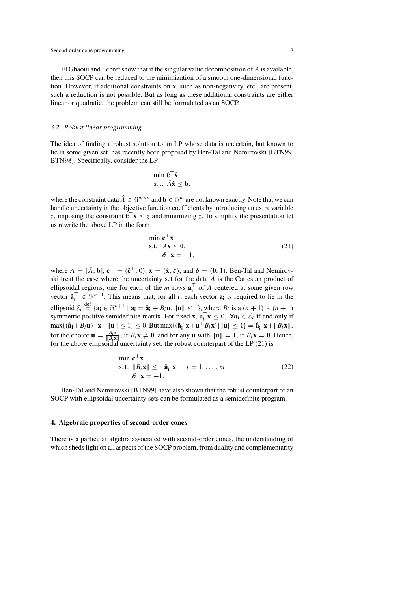El Ghaoui and Lebret show that if the singular value decomposition of A is available, then this SOCP can be reduced to the minimization of a smooth one-dimensional function. However, if additional constraints on **x**, such as non-negativity, etc., are present, such a reduction is not possible. But as long as these additional constraints are either linear or quadratic, the problem can still be formulated as an SOCP.

#### *3.2. Robust linear programming*

The idea of finding a robust solution to an LP whose data is uncertain, but known to lie in some given set, has recently been proposed by Ben-Tal and Nemirovski [BTN99, BTN98]. Specifically, consider the LP

$$
\min_{\mathbf{\hat{c}} \in \mathbf{\hat{f}}}\hat{\mathbf{\hat{x}}} \ns.t. \quad \hat{A}\hat{\mathbf{x}} \leq \mathbf{b}.
$$

where the constraint data  $\hat{A} \in \mathbb{R}^{m \times n}$  and  $\mathbf{b} \in \mathbb{R}^m$  are not known exactly. Note that we can handle uncertainty in the objective function coefficients by introducing an extra variable z, imposing the constraint  $\hat{\mathbf{c}}^T\hat{\mathbf{x}} < z$  and minimizing z. To simplify the presentation let us rewrite the above LP in the form

$$
\min \mathbf{c}^{\top} \mathbf{x} \n\text{s.t.} \quad A\mathbf{x} \le \mathbf{0}, \n\delta^{\top} \mathbf{x} = -1,
$$
\n(21)

where  $A = [\hat{A}, \mathbf{b}], \mathbf{c}^{\top} = (\hat{\mathbf{c}}^{\top}; 0), \mathbf{x} = (\hat{\mathbf{x}}; \hat{\boldsymbol{\xi}}),$  and  $\delta = (\mathbf{0}; 1)$ . Ben-Tal and Nemirovski treat the case where the uncertainty set for the data A is the Cartesian product of ellipsoidal regions, one for each of the m rows  $\mathbf{a}_i^{\top}$  of A centered at some given row vector  $\hat{\mathbf{a}}_i^{\top} \in \mathbb{R}^{n+1}$ . This means that, for all *i*, each vector  $\mathbf{a}_i$  is required to lie in the ellipsoid  $\mathcal{E}_i \stackrel{\text{def}}{=} {\mathbf{a_i}} \in \mathbb{R}^{n+1} \mid {\mathbf{a_i}} = {\mathbf{\hat{a_i}}} + B_i {\mathbf{u}}, ||{\mathbf{u}}|| \le 1$ , where  $B_i$  is a  $(n+1) \times (n+1)$ symmetric positive semidefinite matrix. For fixed **x**,  $\mathbf{a}_i^{\top} \mathbf{x} \leq 0$ ,  $\forall \mathbf{a_i} \in \mathcal{E}_i$  if and only if  $\max\{(\hat{\mathbf{a}}_i + B_i \mathbf{u})^\top \mathbf{x} \mid \|\mathbf{u}\| \leq 1\} \leq 0$ . But  $\max\{(\hat{\mathbf{a}}_i^\top \mathbf{x} + \mathbf{u}^\top B_i \mathbf{x}) \mid \|\mathbf{u}\| \leq 1\} = \hat{\mathbf{a}}_i^\top \mathbf{x} + \|B_i \mathbf{x}\|$ , for the choice  $\mathbf{u} = \frac{B_i \mathbf{x}}{\|B_i \mathbf{x}\|}$ , if  $B_i \mathbf{x} \neq \mathbf{0}$ , and for any  $\mathbf{u}$  with  $\|\mathbf{u}\| = 1$ , if  $B_i \mathbf{x} = \mathbf{0}$ . Hence, for the above ellipsoidal uncertainty set, the robust counterpart of the LP (21) is

$$
\min \mathbf{c}^{\top} \mathbf{x} \n\text{s.t. } \|B_i \mathbf{x}\| \le -\hat{\mathbf{a}}_i^{\top} \mathbf{x}, \quad i = 1, \dots, m \n\delta^{\top} \mathbf{x} = -1.
$$
\n(22)

Ben-Tal and Nemirovski [BTN99] have also shown that the robust counterpart of an SOCP with ellipsoidal uncertainty sets can be formulated as a semidefinite program.

#### **4. Algebraic properties of second-order cones**

There is a particular algebra associated with second-order cones, the understanding of which sheds light on all aspects of the SOCP problem, from duality and complementarity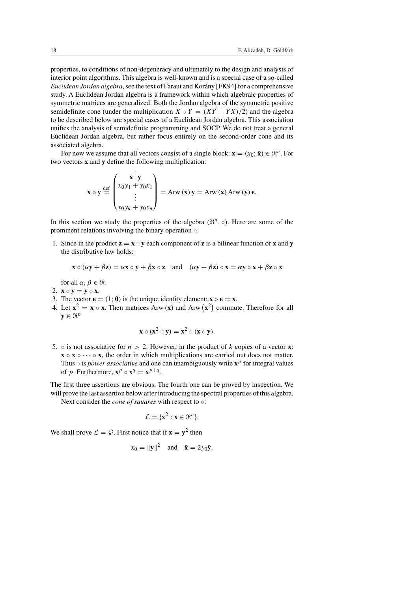properties, to conditions of non-degeneracy and ultimately to the design and analysis of interior point algorithms. This algebra is well-known and is a special case of a so-called *Euclidean Jordan algebra*, see the text of Faraut and Korány [FK94] for a comprehensive study. A Euclidean Jordan algebra is a framework within which algebraic properties of symmetric matrices are generalized. Both the Jordan algebra of the symmetric positive semidefinite cone (under the multiplication  $X \circ Y = (XY + YX)/2$ ) and the algebra to be described below are special cases of a Euclidean Jordan algebra. This association unifies the analysis of semidefinite programming and SOCP. We do not treat a general Euclidean Jordan algebra, but rather focus entirely on the second-order cone and its associated algebra.

For now we assume that all vectors consist of a single block:  $\mathbf{x} = (x_0; \bar{\mathbf{x}}) \in \mathbb{R}^n$ . For two vectors **x** and **y** define the following multiplication:

$$
\mathbf{x} \circ \mathbf{y} \stackrel{\text{def}}{=} \begin{pmatrix} \mathbf{x}^{\top} \mathbf{y} \\ x_0 y_1 + y_0 x_1 \\ \vdots \\ x_0 y_n + y_0 x_n \end{pmatrix} = \text{Arw}(\mathbf{x}) \mathbf{y} = \text{Arw}(\mathbf{x}) \text{Arw}(\mathbf{y}) \mathbf{e}.
$$

In this section we study the properties of the algebra  $(\mathbb{R}^n, \circ)$ . Here are some of the prominent relations involving the binary operation ◦.

1. Since in the product  $z = x \circ y$  each component of z is a bilinear function of x and y the distributive law holds:

$$
\mathbf{x} \circ (\alpha \mathbf{y} + \beta \mathbf{z}) = \alpha \mathbf{x} \circ \mathbf{y} + \beta \mathbf{x} \circ \mathbf{z} \quad \text{and} \quad (\alpha \mathbf{y} + \beta \mathbf{z}) \circ \mathbf{x} = \alpha \mathbf{y} \circ \mathbf{x} + \beta \mathbf{z} \circ \mathbf{x}
$$

for all  $\alpha, \beta \in \Re$ .

- 2.  $\mathbf{x} \circ \mathbf{v} = \mathbf{v} \circ \mathbf{x}$ .
- 3. The vector  $\mathbf{e} = (1; 0)$  is the unique identity element:  $\mathbf{x} \circ \mathbf{e} = \mathbf{x}$ .
- 4. Let  $\mathbf{x}^2 = \mathbf{x} \circ \mathbf{x}$ . Then matrices Arw (**x**) and Arw  $(\mathbf{x}^2)$  commute. Therefore for all  $\mathbf{y} \in \mathbb{R}^n$

$$
\mathbf{x} \circ (\mathbf{x}^2 \circ \mathbf{y}) = \mathbf{x}^2 \circ (\mathbf{x} \circ \mathbf{y}).
$$

5.  $\circ$  is not associative for  $n > 2$ . However, in the product of k copies of a vector **x**:  $\mathbf{x} \circ \mathbf{x} \circ \cdots \circ \mathbf{x}$ , the order in which multiplications are carried out does not matter. Thus  $\circ$  is *power associative* and one can unambiguously write  $\mathbf{x}^p$  for integral values of *p*. Furthermore,  $\mathbf{x}^p \circ \mathbf{x}^q = \mathbf{x}^{p+q}$ .

The first three assertions are obvious. The fourth one can be proved by inspection. We will prove the last assertion below after introducing the spectral properties of this algebra.

Next consider the *cone of squares* with respect to ○:

$$
\mathcal{L} = \{ \mathbf{x}^2 : \mathbf{x} \in \mathbb{R}^n \}.
$$

We shall prove  $\mathcal{L} = \mathcal{Q}$ . First notice that if  $\mathbf{x} = \mathbf{y}^2$  then

$$
x_0 = ||\mathbf{y}||^2 \quad \text{and} \quad \bar{\mathbf{x}} = 2y_0 \bar{\mathbf{y}}.
$$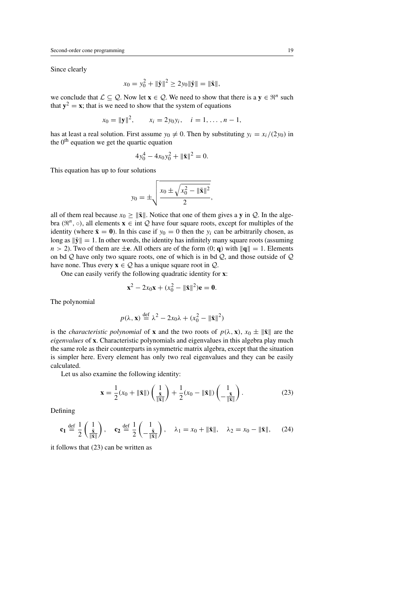Since clearly

$$
x_0 = y_0^2 + {\|\bar{\mathbf{y}}\|^2} \ge 2y_0{\|\bar{\mathbf{y}}\|} = {\|\bar{\mathbf{x}}\|},
$$

we conclude that  $\mathcal{L} \subseteq \mathcal{Q}$ . Now let  $\mathbf{x} \in \mathcal{Q}$ . We need to show that there is a  $\mathbf{y} \in \mathbb{R}^n$  such that  $y^2 = x$ ; that is we need to show that the system of equations

$$
x_0 = ||\mathbf{y}||^2
$$
,  $x_i = 2y_0y_i$ ,  $i = 1, ..., n-1$ ,

has at least a real solution. First assume  $y_0 \neq 0$ . Then by substituting  $y_i = x_i/(2y_0)$  in the  $0<sup>th</sup>$  equation we get the quartic equation

$$
4y_0^4 - 4x_0y_0^2 + ||\bar{\mathbf{x}}||^2 = 0.
$$

This equation has up to four solutions

$$
y_0 = \pm \sqrt{\frac{x_0 \pm \sqrt{x_0^2 - \|\bar{\mathbf{x}}\|^2}}{2}},
$$

all of them real because  $x_0 > ||\bar{\mathbf{x}}||$ . Notice that one of them gives a **y** in Q. In the algebra ( $\mathfrak{R}^n$ ,  $\circ$ ), all elements  $\mathbf{x} \in \text{int } \mathcal{Q}$  have four square roots, except for multiples of the identity (where  $\bar{\mathbf{x}} = \mathbf{0}$ ). In this case if  $y_0 = 0$  then the  $y_i$  can be arbitrarily chosen, as long as  $\|\bar{\mathbf{y}}\| = 1$ . In other words, the identity has infinitely many square roots (assuming  $n > 2$ ). Two of them are  $\pm$ **e**. All others are of the form  $(0; \mathbf{q})$  with  $\|\mathbf{q}\| = 1$ . Elements on bd  $Q$  have only two square roots, one of which is in bd  $Q$ , and those outside of  $Q$ have none. Thus every  $\mathbf{x} \in \mathcal{Q}$  has a unique square root in  $\mathcal{Q}$ .

One can easily verify the following quadratic identity for **x**:

$$
\mathbf{x}^2 - 2x_0 \mathbf{x} + (x_0^2 - ||\bar{\mathbf{x}}||^2)\mathbf{e} = \mathbf{0}.
$$

The polynomial

$$
p(\lambda, \mathbf{x}) \stackrel{\text{def}}{=} \lambda^2 - 2x_0\lambda + (x_0^2 - ||\bar{\mathbf{x}}||^2)
$$

is the *characteristic polynomial* of **x** and the two roots of  $p(\lambda, \mathbf{x})$ ,  $x_0 \pm ||\bar{\mathbf{x}}||$  are the *eigenvalues* of **x**. Characteristic polynomials and eigenvalues in this algebra play much the same role as their counterparts in symmetric matrix algebra, except that the situation is simpler here. Every element has only two real eigenvalues and they can be easily calculated.

Let us also examine the following identity:

$$
\mathbf{x} = \frac{1}{2}(x_0 + \|\bar{\mathbf{x}}\|) \left(\frac{1}{\|\bar{\mathbf{x}}\|}\right) + \frac{1}{2}(x_0 - \|\bar{\mathbf{x}}\|) \left(\frac{1}{-\frac{\bar{\mathbf{x}}}{\|\bar{\mathbf{x}}\|}}\right). \tag{23}
$$

Defining

$$
\mathbf{c}_1 \stackrel{\text{def}}{=} \frac{1}{2} \begin{pmatrix} 1 \\ \frac{\bar{\mathbf{x}}}{\|\bar{\mathbf{x}}\|} \end{pmatrix}, \quad \mathbf{c}_2 \stackrel{\text{def}}{=} \frac{1}{2} \begin{pmatrix} 1 \\ -\frac{\bar{\mathbf{x}}}{\|\bar{\mathbf{x}}\|} \end{pmatrix}, \quad \lambda_1 = x_0 + \|\bar{\mathbf{x}}\|, \quad \lambda_2 = x_0 - \|\bar{\mathbf{x}}\|, \tag{24}
$$

it follows that (23) can be written as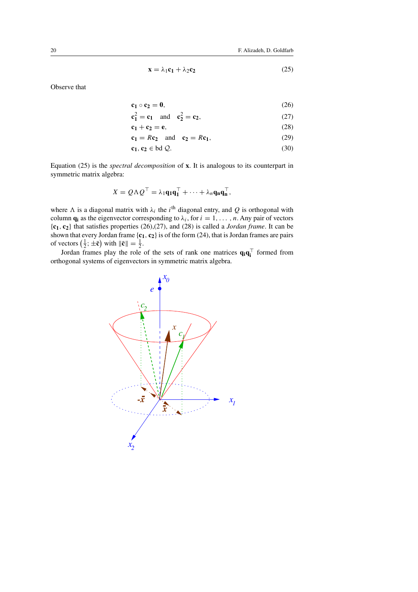$$
\mathbf{x} = \lambda_1 \mathbf{c}_1 + \lambda_2 \mathbf{c}_2 \tag{25}
$$

Observe that

$$
\mathbf{c}_1 \circ \mathbf{c}_2 = \mathbf{0},\tag{26}
$$

$$
c_1^2 = c_1 \text{ and } c_2^2 = c_2,
$$
 (27)

$$
\mathbf{c}_1 + \mathbf{c}_2 = \mathbf{e},\tag{28}
$$

$$
\mathbf{c}_1 = R\mathbf{c}_2 \quad \text{and} \quad \mathbf{c}_2 = R\mathbf{c}_1,\tag{29}
$$

$$
\mathbf{c_1}, \mathbf{c_2} \in \text{bd } \mathcal{Q}. \tag{30}
$$

Equation (25) is the *spectral decomposition* of **x**. It is analogous to its counterpart in symmetric matrix algebra:

$$
X = Q \Lambda Q^{\top} = \lambda_1 \mathbf{q}_1 \mathbf{q}_1^{\top} + \cdots + \lambda_n \mathbf{q}_n \mathbf{q}_n^{\top},
$$

where  $\Lambda$  is a diagonal matrix with  $\lambda_i$  the i<sup>th</sup> diagonal entry, and Q is orthogonal with column **q**<sub>i</sub> as the eigenvector corresponding to  $\lambda_i$ , for  $i = 1, \ldots, n$ . Any pair of vectors {**c1**, **c2**} that satisfies properties (26),(27), and (28) is called a *Jordan frame*. It can be shown that every Jordan frame  $\{c_1, c_2\}$  is of the form (24), that is Jordan frames are pairs of vectors  $\left(\frac{1}{2}, \pm \bar{\mathbf{c}}\right)$  with  $\|\bar{\mathbf{c}}\| = \frac{1}{2}$ .

Jordan frames play the role of the sets of rank one matrices  $\mathbf{q}_i \mathbf{q}_i^{\top}$  formed from orthogonal systems of eigenvectors in symmetric matrix algebra.

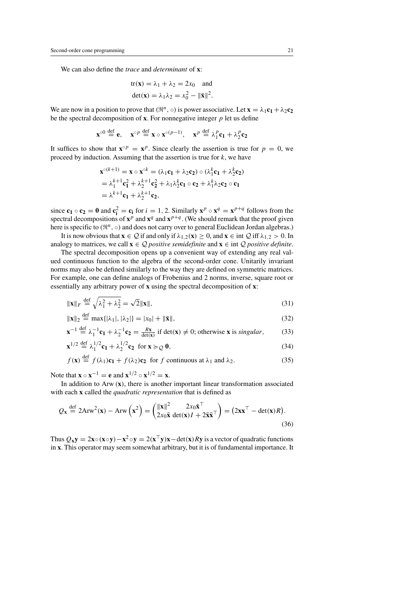We can also define the *trace* and *determinant* of **x**:

$$
\text{tr}(\mathbf{x}) = \lambda_1 + \lambda_2 = 2x_0 \quad \text{and}
$$
\n
$$
\text{det}(\mathbf{x}) = \lambda_1 \lambda_2 = x_0^2 - ||\bar{\mathbf{x}}||^2.
$$

We are now in a position to prove that  $(\mathbb{R}^n, \circ)$  is power associative. Let  $\mathbf{x} = \lambda_1 \mathbf{c}_1 + \lambda_2 \mathbf{c}_2$ be the spectral decomposition of  $\bf{x}$ . For nonnegative integer  $p$  let us define

$$
\mathbf{x}^{\circ 0} \stackrel{\text{def}}{=} \mathbf{e}, \quad \mathbf{x}^{\circ p} \stackrel{\text{def}}{=} \mathbf{x} \circ \mathbf{x}^{\circ (p-1)}, \quad \mathbf{x}^p \stackrel{\text{def}}{=} \lambda_1^p \mathbf{c}_1 + \lambda_2^p \mathbf{c}_2
$$

It suffices to show that  $\mathbf{x} \circ p = \mathbf{x}^p$ . Since clearly the assertion is true for  $p = 0$ , we proceed by induction. Assuming that the assertion is true for  $k$ , we have

$$
\mathbf{x}^{\circ(k+1)} = \mathbf{x} \circ \mathbf{x}^{\circ k} = (\lambda_1 \mathbf{c}_1 + \lambda_2 \mathbf{c}_2) \circ (\lambda_1^k \mathbf{c}_1 + \lambda_2^k \mathbf{c}_2)
$$
  
=  $\lambda_1^{k+1} \mathbf{c}_1^2 + \lambda_2^{k+1} \mathbf{c}_2^2 + \lambda_1 \lambda_2^k \mathbf{c}_1 \circ \mathbf{c}_2 + \lambda_1^k \lambda_2 \mathbf{c}_2 \circ \mathbf{c}_1$   
=  $\lambda^{k+1} \mathbf{c}_1 + \lambda_2^{k+1} \mathbf{c}_2$ ,

since  $\mathbf{c}_1 \circ \mathbf{c}_2 = \mathbf{0}$  and  $\mathbf{c}_i^2 = \mathbf{c}_i$  for  $i = 1, 2$ . Similarly  $\mathbf{x}^p \circ \mathbf{x}^q = \mathbf{x}^{p+q}$  follows from the spectral decompositions of  $\mathbf{x}^p$  and  $\mathbf{x}^q$  and  $\mathbf{x}^{p+q}$ . (We should remark that the proof given here is specific to  $(\mathbb{R}^n, \circ)$  and does not carry over to general Euclidean Jordan algebras.)

It is now obvious that  $\mathbf{x} \in \mathcal{Q}$  if and only if  $\lambda_{1,2}(\mathbf{x}) \geq 0$ , and  $\mathbf{x} \in \text{int } \mathcal{Q}$  iff  $\lambda_{1,2} > 0$ . In analogy to matrices, we call  $\mathbf{x} \in \mathcal{Q}$  *positive semidefinite* and  $\mathbf{x} \in \text{int } \mathcal{Q}$  *positive definite.* 

The spectral decomposition opens up a convenient way of extending any real valued continuous function to the algebra of the second-order cone. Unitarily invariant norms may also be defined similarly to the way they are defined on symmetric matrices. For example, one can define analogs of Frobenius and 2 norms, inverse, square root or essentially any arbitrary power of **x** using the spectral decomposition of **x**:

$$
\|\mathbf{x}\|_F \stackrel{\text{def}}{=} \sqrt{\lambda_1^2 + \lambda_2^2} = \sqrt{2} \|\mathbf{x}\|,\tag{31}
$$

$$
\|\mathbf{x}\|_2 \stackrel{\text{def}}{=} \max\{|\lambda_1|, |\lambda_2|\} = |x_0| + \|\bar{\mathbf{x}}\|,\tag{32}
$$

$$
\mathbf{x}^{-1} \stackrel{\text{def}}{=} \lambda_1^{-1} \mathbf{c}_1 + \lambda_2^{-1} \mathbf{c}_2 = \frac{R\mathbf{x}}{\det(\mathbf{x})} \text{ if } \det(\mathbf{x}) \neq 0; \text{ otherwise } \mathbf{x} \text{ is singular}, \tag{33}
$$

$$
\mathbf{x}^{1/2} \stackrel{\text{def}}{=} \lambda_1^{1/2} \mathbf{c}_1 + \lambda_2^{1/2} \mathbf{c}_2 \quad \text{for } \mathbf{x} \succcurlyeq_{\mathcal{Q}} \mathbf{0},\tag{34}
$$

$$
f(\mathbf{x}) \stackrel{\text{def}}{=} f(\lambda_1)\mathbf{c}_1 + f(\lambda_2)\mathbf{c}_2 \text{ for } f \text{ continuous at } \lambda_1 \text{ and } \lambda_2. \tag{35}
$$

Note that  $\mathbf{x} \circ \mathbf{x}^{-1} = \mathbf{e}$  and  $\mathbf{x}^{1/2} \circ \mathbf{x}^{1/2} = \mathbf{x}$ .

In addition to Arw (**x**), there is another important linear transformation associated with each **x** called the *quadratic representation* that is defined as

$$
Q_{\mathbf{x}} \stackrel{\text{def}}{=} 2 \text{Arw}^2(\mathbf{x}) - \text{Arw}\left(\mathbf{x}^2\right) = \begin{pmatrix} \|\mathbf{x}\|^2 & 2x_0 \bar{\mathbf{x}}^\top \\ 2x_0 \bar{\mathbf{x}} \det(\mathbf{x})I + 2\bar{\mathbf{x}} \bar{\mathbf{x}}^\top \end{pmatrix} = \left(2\mathbf{x}\mathbf{x}^\top - \det(\mathbf{x})R\right). \tag{36}
$$

Thus  $Q_x y = 2x \circ (x \circ y) - x^2 \circ y = 2(x^\top y)x - \det(x)Ry$  is a vector of quadratic functions in **x**. This operator may seem somewhat arbitrary, but it is of fundamental importance. It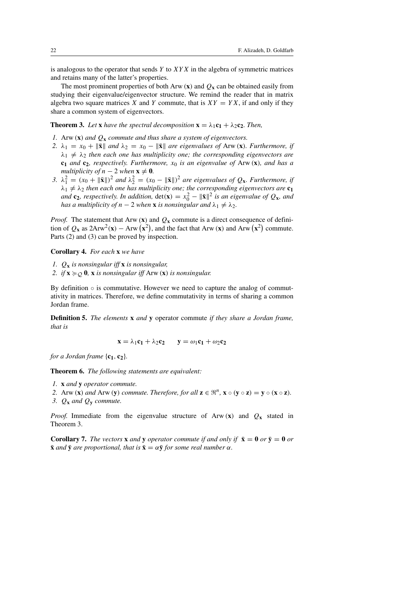is analogous to the operator that sends  $Y$  to  $XYX$  in the algebra of symmetric matrices and retains many of the latter's properties.

The most prominent properties of both Arw  $(\mathbf{x})$  and  $Q_{\mathbf{x}}$  can be obtained easily from studying their eigenvalue/eigenvector structure. We remind the reader that in matrix algebra two square matrices X and Y commute, that is  $XY = YX$ , if and only if they share a common system of eigenvectors.

**Theorem 3.** Let **x** have the spectral decomposition  $\mathbf{x} = \lambda_1 \mathbf{c}_1 + \lambda_2 \mathbf{c}_2$ . Then,

- *1.* Arw (**x**) *and* Q**<sup>x</sup>** *commute and thus share a system of eigenvectors.*
- *2.*  $\lambda_1 = x_0 + \|\bar{\mathbf{x}}\|$  and  $\lambda_2 = x_0 \|\bar{\mathbf{x}}\|$  are eigenvalues of Arw (**x**)*. Furthermore, if*  $\lambda_1 \neq \lambda_2$  *then each one has multiplicity one; the corresponding eigenvectors are*  $c_1$  *and*  $c_2$ *, respectively. Furthermore,*  $x_0$  *is an eigenvalue of* Arw  $(x)$ *, and has a multiplicity of*  $n - 2$  *when*  $\mathbf{x} \neq \mathbf{0}$ *.*
- 3.  $\lambda_1^2 = (x_0 + ||\bar{\mathbf{x}}||)^2$  and  $\lambda_2^2 = (x_0 ||\bar{\mathbf{x}}||)^2$  are eigenvalues of  $Q_{\mathbf{x}}$ *. Furthermore, if*  $\lambda_1 \neq \lambda_2$  *then each one has multiplicity one; the corresponding eigenvectors are*  $c_1$ *and* **c**<sub>2</sub>*, respectively. In addition,*  $det(\mathbf{x}) = x_0^2 - ||\bar{\mathbf{x}}||^2$  *is an eigenvalue of*  $Q_{\mathbf{x}}$ *<i>, and has a multiplicity of*  $n - 2$  *when* **x** *is nonsingular and*  $\lambda_1 \neq \lambda_2$ *.*

*Proof.* The statement that Arw  $(\mathbf{x})$  and  $Q_{\mathbf{x}}$  commute is a direct consequence of definition of  $Q_x$  as  $2Arw^2(x) - Arw(x^2)$ , and the fact that Arw (x) and Arw  $(x^2)$  commute. Parts (2) and (3) can be proved by inspection.

**Corollary 4.** *For each* **x** *we have*

- *1.* Q**<sup>x</sup>** *is nonsingular iff* **x** *is nonsingular,*
- 2. if  $\mathbf{x} \succcurlyeq_{\mathcal{O}} \mathbf{0}$ ,  $\mathbf{x}$  *is nonsingular iff* Arw  $(\mathbf{x})$  *is nonsingular.*

By definition  $\circ$  is commutative. However we need to capture the analog of commutativity in matrices. Therefore, we define commutativity in terms of sharing a common Jordan frame.

**Definition 5.** *The elements* **x** *and* **y** operator commute *if they share a Jordan frame, that is*

$$
\mathbf{x} = \lambda_1 \mathbf{c}_1 + \lambda_2 \mathbf{c}_2 \qquad \mathbf{y} = \omega_1 \mathbf{c}_1 + \omega_2 \mathbf{c}_2
$$

*for a Jordan frame*  $\{c_1, c_2\}$ *.* 

**Theorem 6.** *The following statements are equivalent:*

- *1.* **x** *and* **y** *operator commute.*
- *2.* Arw (**x**) *and* Arw (**y**) *commute. Therefore, for all*  $z \in \mathbb{R}^n$ ,  $x \circ (y \circ z) = y \circ (x \circ z)$ .
- *3.*  $Q_x$  *and*  $Q_y$  *commute.*

*Proof.* Immediate from the eigenvalue structure of Arw  $(\mathbf{x})$  and  $Q_{\mathbf{x}}$  stated in Theorem 3.

**Corollary 7.** *The vectors* **x** *and* **y** *operator commute if and only if*  $\bar{\mathbf{x}} = \mathbf{0}$  *or*  $\bar{\mathbf{y}} = \mathbf{0}$  *or*  $\bar{\mathbf{x}}$  *and*  $\bar{\mathbf{y}}$  *are proportional, that is*  $\bar{\mathbf{x}} = \alpha \bar{\mathbf{y}}$  *for some real number*  $\alpha$ *.*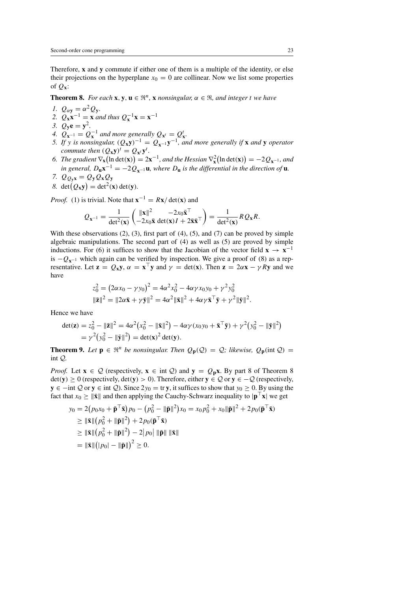Therefore, **x** and **y** commute if either one of them is a multiple of the identity, or else their projections on the hyperplane  $x_0 = 0$  are collinear. Now we list some properties of Q**x**:

**Theorem 8.** *For each* **x**, **y**, **u**  $\in \mathbb{R}^n$ , **x** *nonsingular*,  $\alpha \in \mathbb{R}$ *, and integer t we have* 

- *1.*  $Q_{\alpha y} = \alpha^2 Q_y$ .
- 2.  $Q_{\mathbf{x}} \mathbf{x}^{-1} = \mathbf{x}$  *and thus*  $Q_{\mathbf{x}}^{-1} \mathbf{x} = \mathbf{x}^{-1}$
- *3.*  $Q_{\bf v} {\bf e} = {\bf y}^2$ .
- 4.  $Q_{\mathbf{x}^{-1}} = Q_{\mathbf{x}}^{-1}$  and more generally  $Q_{\mathbf{x}^{t}} = Q_{\mathbf{x}}^{t}$ .
- *5.* If y is nonsingular,  $(Q_x y)^{-1} = Q_{x^{-1}} y^{-1}$ , and more generally if **x** and **y** operator *commute then*  $(Q_{\mathbf{x}} \mathbf{y})^t = Q_{\mathbf{x}^t} \mathbf{y}^t$ .
- 6. *The gradient*  $\nabla_{\mathbf{x}}(\ln \det(\mathbf{x})) = 2\mathbf{x}^{-1}$ *, and the Hessian*  $\nabla_{\mathbf{x}}^2(\ln \det(\mathbf{x})) = -2Q_{\mathbf{x}^{-1}}$ *, and in general,*  $D$ **ux**<sup>−1</sup> = −2 $Q$ **x**−1**u***, where*  $D$ **u** *is the differential in the direction of* **u***.*
- *7.*  $Q_{Q_yx} = Q_yQ_xQ_y$
- 8. det( $Q_{\mathbf{x}}\mathbf{y}$ ) = det<sup>2</sup>(**x**) det(**y**).

*Proof.* (1) is trivial. Note that  $\mathbf{x}^{-1} = R\mathbf{x}/\det(\mathbf{x})$  and

$$
Q_{\mathbf{x}^{-1}} = \frac{1}{\det^2(\mathbf{x})} \begin{pmatrix} \|\mathbf{x}\|^2 & -2x_0 \bar{\mathbf{x}}^\top \\ -2x_0 \bar{\mathbf{x}} \det(\mathbf{x}) I + 2\bar{\mathbf{x}} \bar{\mathbf{x}}^\top \end{pmatrix} = \frac{1}{\det^2(\mathbf{x})} R Q_{\mathbf{x}} R.
$$

With these observations  $(2)$ ,  $(3)$ , first part of  $(4)$ ,  $(5)$ , and  $(7)$  can be proved by simple algebraic manipulations. The second part of (4) as well as (5) are proved by simple inductions. For (6) it suffices to show that the Jacobian of the vector field  $\mathbf{x} \rightarrow \mathbf{x}^{-1}$ is  $-Q_{x^{-1}}$  which again can be verified by inspection. We give a proof of (8) as a representative. Let  $\mathbf{z} = Q_{\mathbf{x}} \mathbf{y}$ ,  $\alpha = \mathbf{x}^{\top} \mathbf{y}$  and  $\gamma = \det(\mathbf{x})$ . Then  $\mathbf{z} = 2\alpha \mathbf{x} - \gamma R \mathbf{y}$  and we have

$$
z_0^2 = (2\alpha x_0 - \gamma y_0)^2 = 4\alpha^2 x_0^2 - 4\alpha \gamma x_0 y_0 + \gamma^2 y_0^2
$$
  

$$
\|\bar{\mathbf{z}}\|^2 = \|2\alpha \bar{\mathbf{x}} + \gamma \bar{\mathbf{y}}\|^2 = 4\alpha^2 \|\bar{\mathbf{x}}\|^2 + 4\alpha \gamma \bar{\mathbf{x}}^\top \bar{\mathbf{y}} + \gamma^2 \|\bar{\mathbf{y}}\|^2.
$$

Hence we have

$$
\begin{split} \det(\mathbf{z}) &= z_0^2 - \|\bar{\mathbf{z}}\|^2 = 4\alpha^2 \big(x_0^2 - \|\bar{\mathbf{x}}\|^2\big) - 4\alpha \gamma (x_0 y_0 + \bar{\mathbf{x}}^\top \bar{\mathbf{y}}) + \gamma^2 \big(y_0^2 - \|\bar{\mathbf{y}}\|^2\big) \\ &= \gamma^2 \big(y_0^2 - \|\bar{\mathbf{y}}\|^2\big) = \det(\mathbf{x})^2 \det(\mathbf{y}). \end{split}
$$

**Theorem 9.** Let  $\mathbf{p} \in \mathbb{R}^n$  be nonsingular. Then  $Q_{\mathbf{p}}(Q) = Q$ ; likewise,  $Q_{\mathbf{p}}(\text{int }Q) =$ int Q*.*

*Proof.* Let  $\mathbf{x} \in \mathcal{Q}$  (respectively,  $\mathbf{x} \in \text{int } \mathcal{Q}$ ) and  $\mathbf{y} = Q_p \mathbf{x}$ . By part 8 of Theorem 8 det(**y**) ≥ 0 (respectively, det(**y**) > 0). Therefore, either **y** ∈ Q or **y** ∈ −Q (respectively, **y** ∈ −int Q or **y** ∈ int Q). Since  $2y_0 =$  tr **y**, it suffices to show that  $y_0 \ge 0$ . By using the fact that  $x_0 \ge ||\bar{\mathbf{x}}||$  and then applying the Cauchy-Schwarz inequality to  $|\mathbf{p}^{\perp} \mathbf{x}|$  we get

$$
y_0 = 2(p_0x_0 + \bar{\mathbf{p}}^\top \bar{\mathbf{x}})p_0 - (p_0^2 - \|\bar{\mathbf{p}}\|^2)x_0 = x_0p_0^2 + x_0\|\bar{\mathbf{p}}\|^2 + 2p_0(\bar{\mathbf{p}}^\top \bar{\mathbf{x}})
$$
  
\n
$$
\geq \|\bar{\mathbf{x}}\| (p_0^2 + \|\bar{\mathbf{p}}\|^2) + 2p_0(\bar{\mathbf{p}}^\top \bar{\mathbf{x}})
$$
  
\n
$$
\geq \|\bar{\mathbf{x}}\| (p_0^2 + \|\bar{\mathbf{p}}\|^2) - 2|p_0| \|\bar{\mathbf{p}}\| \|\bar{\mathbf{x}}\|
$$
  
\n
$$
= \|\bar{\mathbf{x}}\| (|p_0| - \|\bar{\mathbf{p}}\|)^2 \geq 0.
$$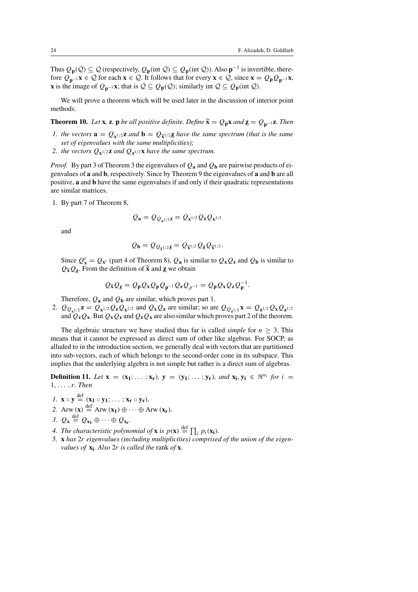Thus  $Q_p(\mathcal{Q}) \subseteq \mathcal{Q}$  (respectively,  $Q_p(\text{int } \mathcal{Q}) \subseteq Q_p(\text{int } \mathcal{Q})$ ). Also  $p^{-1}$  is invertible, therefore  $Q_{p^{-1}}x \in Q$  for each  $x \in Q$ . It follows that for every  $x \in Q$ , since  $x = Q_p Q_{p^{-1}}x$ , **x** is the image of  $Q_{p^{-1}}$ **x**; that is  $Q ⊆ Q_p(Q)$ ; similarly int  $Q ⊆ Q_p(int Q)$ .

We will prove a theorem which will be used later in the discussion of interior point methods.

**Theorem 10.** *Let* **x***,* **z***,* **p** *be all positive definite. Define*  $\tilde{\mathbf{x}} = Q_p \mathbf{x}$  *and*  $\mathbf{z} = Q_{p^{-1}} \mathbf{z}$ *. Then I, the vectors*  $\mathbf{a} = Q_{p^{-1/2}} \mathbf{z}$  *and*  $\mathbf{b} = Q_{\tilde{\mathbf{x}}^{1/2}} \mathbf{z}$  *have the sam* 

- *1. the vectors*  $\mathbf{a} = Q_{\mathbf{x}^{1/2}}\mathbf{z}$  *and*  $\mathbf{b} = Q_{\tilde{\mathbf{x}}^{1/2}}\mathbf{z}$  *have the same spectrum (that is the same set of eigenvalues with the same multiplicities); set of eigenvalues with the same multiplicities);*
- 2. the vectors  $Q_{\mathbf{x}^{1/2}}\mathbf{z}$  *and*  $Q_{\mathbf{z}^{1/2}}\mathbf{x}$  *have the same spectrum.*

*Proof.* By part 3 of Theorem 3 the eigenvalues of  $Q_a$  and  $Q_b$  are pairwise products of eigenvalues of **a** and **b**, respectively. Since by Theorem 9 the eigenvalues of **a** and **b** are all positive, **a** and **b** have the same eigenvalues if and only if their quadratic representations are similar matrices.

1. By part 7 of Theorem 8,

$$
Q_{\mathbf{a}} = Q_{Q_{\mathbf{x}^{1/2}}\mathbf{z}} = Q_{\mathbf{x}^{1/2}} Q_{\mathbf{z}} Q_{\mathbf{x}^{1/2}}
$$

and

$$
Q_{\mathbf{b}} = Q_{Q_{\widetilde{\mathbf{x}}^{1/2}\mathbf{Z}}} = Q_{\widetilde{\mathbf{x}}^{1/2}} Q_{\mathbf{Z}} Q_{\widetilde{\mathbf{x}}^{1/2}}.
$$

Since  $Q_x^t = Q_{x^t}$  (part 4 of Theorem 8),  $Q_a$  is similar to  $Q_x Q_z$  and  $Q_b$  is similar to  $Q_{\tilde{x}}Q_{z}$ . From the definition of  $\tilde{x}$  and  $\tilde{z}$  we obtain

$$
Q_{\widetilde{\mathbf{X}}}Q_{\underline{\mathbf{Z}}} = Q_{\mathbf{p}}Q_{\mathbf{X}}Q_{\mathbf{p}}Q_{\mathbf{p}^{-1}}Q_{\mathbf{z}}Q_{p^{-1}} = Q_{\mathbf{p}}Q_{\mathbf{X}}Q_{\mathbf{z}}Q_{\mathbf{p}}^{-1}.
$$

Therefore,  $Q_a$  and  $Q_b$  are similar, which proves part 1.

2.  $Q_{Q_{x^{1/2}}}z = Q_{x^{1/2}}Q_{z}Q_{x^{1/2}}$  and  $Q_{x}Q_{z}$  are similar; so are  $Q_{Q_{x^{1/2}}}x = Q_{z^{1/2}}Q_{x}Q_{z^{1/2}}$ and  $Q_{\mathbf{z}}Q_{\mathbf{x}}$ . But  $Q_{\mathbf{x}}Q_{\mathbf{z}}$  and  $Q_{\mathbf{z}}Q_{\mathbf{x}}$  are also similar which proves part 2 of the theorem.

The algebraic structure we have studied thus far is called *simple* for  $n > 3$ . This means that it cannot be expressed as direct sum of other like algebras. For SOCP, as alluded to in the introduction section, we generally deal with vectors that are partitioned into sub-vectors, each of which belongs to the second-order cone in its subspace. This implies that the underlying algebra is not simple but rather is a direct sum of algebras.

**Definition 11.** *Let*  $\mathbf{x} = (\mathbf{x}_1; \dots; \mathbf{x}_r)$ *,*  $\mathbf{y} = (\mathbf{y}_1; \dots; \mathbf{y}_r)$ *, and*  $\mathbf{x}_i, \mathbf{y}_i \in \mathbb{R}^{n_i}$  for  $i =$ 1,... ,r*. Then*

- *1.*  $\mathbf{x} \circ \mathbf{y} \stackrel{\text{def}}{=} (\mathbf{x}_1 \circ \mathbf{y}_1; \ldots; \mathbf{x}_r \circ \mathbf{y}_r).$
- 2. Arw  $(\mathbf{x}) \stackrel{\text{def}}{=} \text{Arw}(\mathbf{x}_1) \oplus \cdots \oplus \text{Arw}(\mathbf{x}_r)$ .
- 3.  $Q_{\mathbf{x}} \stackrel{\text{def}}{=} Q_{\mathbf{x}_1} \oplus \cdots \oplus Q_{\mathbf{x}_r}$ .
- 4. The characteristic polynomial of **x** is  $p(\mathbf{x}) \stackrel{\text{def}}{=} \prod_i p_i(\mathbf{x_i}).$
- *5.* **x** *has* 2r *eigenvalues (including multiplicities) comprised of the union of the eigenvalues of* **xi***. Also* 2r *is called the* rank *of* **x***.*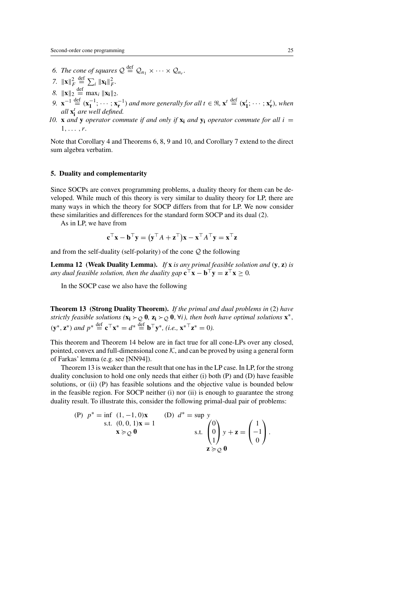- 6. The cone of squares  $Q \stackrel{\text{def}}{=} Q_{n_1} \times \cdots \times Q_{n_r}$ .
- *7.*  $\|\mathbf{x}\|_F^2$  $\stackrel{\text{def}}{=} \sum_i ||\mathbf{x_i}||_F^2.$
- *8.*  $||\mathbf{x}||_2 \stackrel{\text{def}}{=} \max_i ||\mathbf{x_i}||_2.$
- *9.*  $\mathbf{x}^{-1} \stackrel{\text{def}}{=} (\mathbf{x}_1^{-1}; \cdots; \mathbf{x}_r^{-1})$  and more generally for all  $t \in \mathbb{R}, \mathbf{x}^t \stackrel{\text{def}}{=} (\mathbf{x}_1^t; \cdots; \mathbf{x}_r^t)$ , when *all* **x**<sup>t</sup> **<sup>i</sup>** *are well defined.*
- 10. **x** *and* **y** *operator commute if and only if*  $\mathbf{x}_i$  *and*  $\mathbf{y}_i$  *operator commute for all*  $i =$ 1,... ,r*.*

Note that Corollary 4 and Theorems 6, 8, 9 and 10, and Corollary 7 extend to the direct sum algebra verbatim.

# **5. Duality and complementarity**

Since SOCPs are convex programming problems, a duality theory for them can be developed. While much of this theory is very similar to duality theory for LP, there are many ways in which the theory for SOCP differs from that for LP. We now consider these similarities and differences for the standard form SOCP and its dual (2).

As in LP, we have from

$$
\mathbf{c}^\top \mathbf{x} - \mathbf{b}^\top \mathbf{y} = (\mathbf{y}^\top A + \mathbf{z}^\top) \mathbf{x} - \mathbf{x}^\top A^\top \mathbf{y} = \mathbf{x}^\top \mathbf{z}
$$

and from the self-duality (self-polarity) of the cone  $Q$  the following

**Lemma 12 (Weak Duality Lemma).** *If* **x** *is any primal feasible solution and* (**y**, **z**) *is any dual feasible solution, then the duality gap*  $\mathbf{c}^\top \mathbf{x} - \mathbf{b}^\top \mathbf{v} = \mathbf{z}^\top \mathbf{x} > 0$ .

In the SOCP case we also have the following

**Theorem 13 (Strong Duality Theorem).** *If the primal and dual problems in* (2) *have strictly feasible solutions* ( $\mathbf{x}_i \succ_Q 0$ ,  $\mathbf{z}_i \succ_Q 0$ ,  $\forall i$ *), then both have optimal solutions*  $\mathbf{x}^*$ *,*  $(\mathbf{y}^*, \mathbf{z}^*)$  *and*  $p^* \stackrel{\text{def}}{=} \mathbf{c}^\top \mathbf{x}^* = d^* \stackrel{\text{def}}{=} \mathbf{b}^\top \mathbf{y}^*,$  (*i.e.*,  $\mathbf{x}^{* \top} \mathbf{z}^* = 0$ ).

This theorem and Theorem 14 below are in fact true for all cone-LPs over any closed, pointed, convex and full-dimensional cone  $K$ , and can be proved by using a general form of Farkas' lemma (e.g. see [NN94]).

Theorem 13 is weaker than the result that one has in the LP case. In LP, for the strong duality conclusion to hold one only needs that either (i) both (P) and (D) have feasible solutions, or (ii) (P) has feasible solutions and the objective value is bounded below in the feasible region. For SOCP neither (i) nor (ii) is enough to guarantee the strong duality result. To illustrate this, consider the following primal-dual pair of problems:

(P) 
$$
p^* = \inf_{S.t.} (1, -1, 0)x
$$
  
\n
$$
x \succcurlyeq_Q 0
$$
\n(D)  $d^* = \sup y$   
\n
$$
x \succcurlyeq_Q 0
$$
\n5.1.  $\begin{pmatrix} 0 \\ 0 \\ 1 \end{pmatrix} y + z = \begin{pmatrix} 1 \\ -1 \\ 0 \end{pmatrix}.$ \n6.2.  $\succ$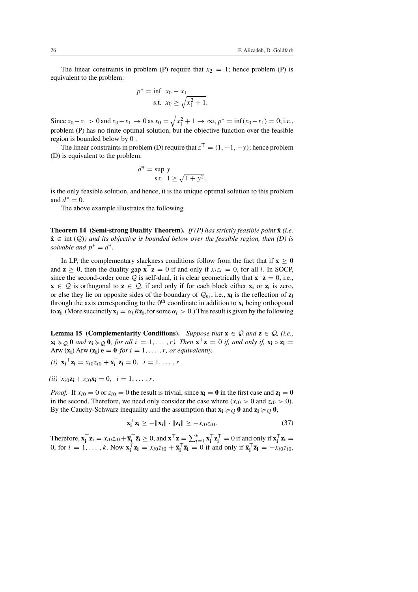The linear constraints in problem (P) require that  $x_2 = 1$ ; hence problem (P) is equivalent to the problem:

$$
p^* = \inf_{s,t} x_0 - x_1
$$
  
s.t.  $x_0 \ge \sqrt{x_1^2 + 1}$ .

Since  $x_0 - x_1 > 0$  and  $x_0 - x_1 \to 0$  as  $x_0 = \sqrt{x_1^2 + 1} \to \infty$ ,  $p^* = \inf(x_0 - x_1) = 0$ ; i.e., problem (P) has no finite optimal solution, but the objective function over the feasible region is bounded below by 0 .

The linear constraints in problem (D) require that  $z^{\top} = (1, -1, -y)$ ; hence problem (D) is equivalent to the problem:

$$
d^* = \sup y
$$
  
s.t.  $1 \ge \sqrt{1 + y^2}$ .

is the only feasible solution, and hence, it is the unique optimal solution to this problem and  $d^* = 0$ .

The above example illustrates the following

**Theorem 14 (Semi-strong Duality Theorem).** *If (P) has strictly feasible point* **x**ˆ *(i.e.*  $\hat{\mathbf{x}} \in \text{int}(\mathcal{Q})$  and its objective is bounded below over the feasible region, then (D) is *solvable and*  $p^* = d^*$ .

In LP, the complementary slackness conditions follow from the fact that if  $\mathbf{x} > 0$ and  $z \ge 0$ , then the duality gap  $x^\top z = 0$  if and only if  $x_i z_i = 0$ , for all i. In SOCP, since the second-order cone Q is self-dual, it is clear geometrically that  $\mathbf{x}^\top \mathbf{z} = 0$ , i.e., **x** ∈  $Q$  is orthogonal to **z** ∈  $Q$ , if and only if for each block either **x**<sub>i</sub> or **z**<sub>i</sub> is zero, or else they lie on opposite sides of the boundary of  $Q_{n_i}$ , i.e.,  $\mathbf{x}_i$  is the reflection of  $\mathbf{z}_i$ through the axis corresponding to the  $0<sup>th</sup>$  coordinate in addition to  $\mathbf{x}_i$  being orthogonal to **z<sub>i</sub>**. (More succinctly  $\mathbf{x_i} = \alpha_i R \mathbf{z_i}$ , for some  $\alpha_i > 0$ .) This result is given by the following

**Lemma 15 (Complementarity Conditions).** *Suppose that*  $\mathbf{x} \in \mathcal{Q}$  *and*  $\mathbf{z} \in \mathcal{Q}$ , *(i.e.,* **x**<sub>**i**</sub>  $\succcurlyeq$  **0** *and* **z<sub><b>i**</sub>  $\succcurlyeq$  **0***, for all*  $i = 1, ..., r$ *). Then*  $\mathbf{x}^\top \mathbf{z} = 0$  *if, and only if,*  $\mathbf{x_i} \circ \mathbf{z_i} = 0$ Arw  $(\mathbf{x_i})$  Arw  $(\mathbf{z_i})$  **e** = **0** *for*  $i = 1, ..., r$ *, or equivalently,* 

- $(i)$  **x**<sub>i</sub><sup>T</sup>**z**<sub>i</sub> =  $x_{i0}z_{i0} + \overline{\mathbf{x}}_{i}^{T}\overline{\mathbf{z}}_{i} = 0, i = 1, ..., r$
- $(iii)$   $x_i \overline{\mathbf{z}}_i + z_i \overline{\mathbf{x}}_i = 0, \quad i = 1, \ldots, r.$

*Proof.* If  $x_{i0} = 0$  or  $z_{i0} = 0$  the result is trivial, since  $\mathbf{x_i} = \mathbf{0}$  in the first case and  $\mathbf{z_i} = \mathbf{0}$ in the second. Therefore, we need only consider the case where  $(x_{i0} > 0$  and  $z_{i0} > 0$ ). By the Cauchy-Schwarz inequality and the assumption that  $\mathbf{x_i} \succcurlyeq_Q 0$  and  $\mathbf{z_i} \succcurlyeq_Q 0$ ,

$$
\overline{\mathbf{x}}_i^\top \overline{\mathbf{z}}_i \ge -\|\overline{\mathbf{x}}_i\| \cdot \|\overline{\mathbf{z}}_i\| \ge -x_{i0} z_{i0}.\tag{37}
$$

Therefore,  $\mathbf{x}_i^{\top} \mathbf{z}_i = x_{i0} z_{i0} + \overline{\mathbf{x}}_i^{\top} \overline{\mathbf{z}}_i \ge 0$ , and  $\mathbf{x}^{\top} \mathbf{z} = \sum_{i=1}^k \mathbf{x}_i^{\top} \mathbf{z}_i^{\top} = 0$  if and only if  $\mathbf{x}_i^{\top} \mathbf{z}_i =$ 0, for  $i = 1, \ldots, k$ . Now  $\mathbf{x}_i^\top \mathbf{z}_i = x_{i0}z_{i0} + \overline{\mathbf{x}}_i^\top \overline{\mathbf{z}}_i = 0$  if and only if  $\overline{\mathbf{x}}_i^\top \overline{\mathbf{z}}_i = -x_{i0}z_{i0}$ ,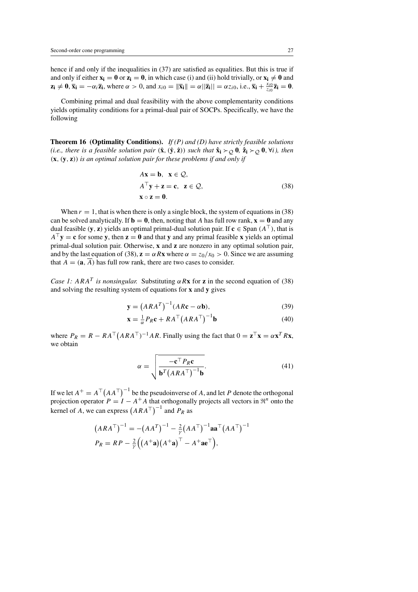hence if and only if the inequalities in  $(37)$  are satisfied as equalities. But this is true if and only if either  $\mathbf{x_i} = \mathbf{0}$  or  $\mathbf{z_i} = \mathbf{0}$ , in which case (i) and (ii) hold trivially, or  $\mathbf{x_i} \neq \mathbf{0}$  and  $\mathbf{z_i} \neq \mathbf{0}, \overline{\mathbf{x_i}} = -\alpha_i \overline{\mathbf{z_i}}, \text{ where } \alpha > 0, \text{ and } x_{i0} = \|\overline{\mathbf{x_i}}\| = \alpha \|\overline{\mathbf{z_i}}\| = \alpha z_{i0}, \text{i.e., } \overline{\mathbf{x_i}} + \frac{x_{i0}}{z_{i0}} \overline{\mathbf{z_i}} = \mathbf{0}.$ 

Combining primal and dual feasibility with the above complementarity conditions yields optimality conditions for a primal-dual pair of SOCPs. Specifically, we have the following

**Theorem 16 (Optimality Conditions).** *If (P) and (D) have strictly feasible solutions (i.e., there is a feasible solution pair*  $(\hat{\mathbf{x}}, (\hat{\mathbf{y}}, \hat{\mathbf{z}}))$  *such that*  $\hat{\mathbf{x}}_i \succ_Q \mathbf{0}$ ,  $\hat{\mathbf{z}}_i \succ_Q \mathbf{0}$ ,  $\forall i$ *), then* (**x**, (**y**, **z**)) *is an optimal solution pair for these problems if and only if*

$$
A\mathbf{x} = \mathbf{b}, \ \mathbf{x} \in \mathcal{Q},
$$
  
\n
$$
A^{\top}\mathbf{y} + \mathbf{z} = \mathbf{c}, \ \mathbf{z} \in \mathcal{Q},
$$
  
\n
$$
\mathbf{x} \circ \mathbf{z} = \mathbf{0}.
$$
\n(38)

When  $r = 1$ , that is when there is only a single block, the system of equations in (38) can be solved analytically. If  $\mathbf{b} = \mathbf{0}$ , then, noting that A has full row rank,  $\mathbf{x} = \mathbf{0}$  and any dual feasible (**y**, **z**) yields an optimal primal-dual solution pair. If **c**  $\in$  Span ( $A^{\top}$ ), that is  $A^{\top}$ **v** = **c** for some **v**, then **z** = **0** and that **v** and any primal feasible **x** yields an optimal primal-dual solution pair. Otherwise, **x** and **z** are nonzero in any optimal solution pair, and by the last equation of (38),  $z = \alpha Rx$  where  $\alpha = z_0/x_0 > 0$ . Since we are assuming that  $A = (\mathbf{a}, \overline{A})$  has full row rank, there are two cases to consider.

*Case 1:* ARA<sup>T</sup> *is nonsingular.* Substituting  $\alpha R$ **x** for **z** in the second equation of (38) and solving the resulting system of equations for **x** and **y** gives

$$
\mathbf{y} = \left( A R A^T \right)^{-1} (A R \mathbf{c} - \alpha \mathbf{b}),\tag{39}
$$

$$
\mathbf{x} = \frac{1}{\alpha} P_R \mathbf{c} + R A^\top (A R A^\top)^{-1} \mathbf{b}
$$
 (40)

where  $P_R = R - RA^{\top} (ARA^{\top})^{-1} AR$ . Finally using the fact that  $0 = \mathbf{z}^{\top} \mathbf{x} = \alpha \mathbf{x}^T R \mathbf{x}$ , we obtain

$$
\alpha = \sqrt{\frac{-\mathbf{c}^\top P_R \mathbf{c}}{\mathbf{b}^T \left( A R A^\top \right)^{-1} \mathbf{b}}}.
$$
\n(41)

If we let  $A^+ = A^\top (AA^\top)^{-1}$  be the pseudoinverse of A, and let P denote the orthogonal projection operator  $P = I - A^+A$  that orthogonally projects all vectors in  $\mathbb{R}^n$  onto the kernel of A, we can express  $(ARA^{\top})^{-1}$  and  $P_R$  as

$$
(ARAT)-1 = -(AAT)-1 - \frac{2}{\gamma}(AAT)-1 aaT (AAT)-1
$$
  

$$
P_R = RP - \frac{2}{\gamma}((A+a)(A+a)T - A+aeT),
$$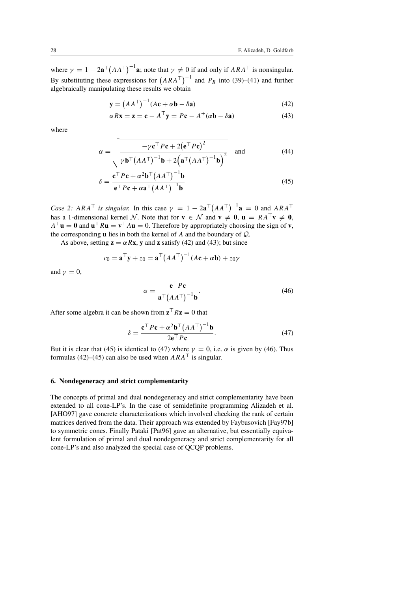where  $\gamma = 1 - 2a^{-1}(AA^{\top})^{-1}$ **a**; note that  $\gamma \neq 0$  if and only if  $ARA^{\top}$  is nonsingular. By substituting these expressions for  $(ARA^{\top})^{-1}$  and  $P_R$  into (39)–(41) and further algebraically manipulating these results we obtain

$$
\mathbf{y} = (AA^{\top})^{-1}(A\mathbf{c} + \alpha \mathbf{b} - \delta \mathbf{a})
$$
(42)

$$
\alpha R \mathbf{x} = \mathbf{z} = \mathbf{c} - A^{\top} \mathbf{y} = P \mathbf{c} - A^+(\alpha \mathbf{b} - \delta \mathbf{a})
$$
(43)

where

$$
\alpha = \sqrt{\frac{-\gamma \mathbf{c}^\top P \mathbf{c} + 2(\mathbf{e}^\top P \mathbf{c})^2}{\gamma \mathbf{b}^\top (A A^\top)^{-1} \mathbf{b} + 2(\mathbf{a}^\top (A A^\top)^{-1} \mathbf{b})^2}}
$$
 and (44)

$$
\delta = \frac{\mathbf{c}^\top P \mathbf{c} + \alpha^2 \mathbf{b}^\top (A A^\top)^{-1} \mathbf{b}}{\mathbf{e}^\top P \mathbf{c} + \alpha \mathbf{a}^\top (A A^\top)^{-1} \mathbf{b}}
$$
(45)

*Case 2:*  $ARA^{\top}$  *is singular.* In this case  $\gamma = 1 - 2\mathbf{a}^{\top} (AA^{\top})^{-1} \mathbf{a} = 0$  and  $ARA^{\top}$ has a 1-dimensional kernel N. Note that for  $\mathbf{v} \in \mathcal{N}$  and  $\mathbf{v} \neq \mathbf{0}$ ,  $\mathbf{u} = RA^{\top} \mathbf{v} \neq \mathbf{0}$ ,  $A^{\top}$ **u** = **0** and **u**<sup> $\top$ </sup> $R$ **u** = **v**<sup> $\top$ </sup> $A$ **u** = 0. Therefore by appropriately choosing the sign of **v**, the corresponding **u** lies in both the kernel of A and the boundary of Q.

As above, setting  $z = \alpha Rx$ , y and z satisfy (42) and (43); but since

$$
c_0 = \mathbf{a}^\top \mathbf{y} + z_0 = \mathbf{a}^\top (A A^\top)^{-1} (A \mathbf{c} + \alpha \mathbf{b}) + z_0 \gamma
$$

and  $\nu = 0$ ,

$$
\alpha = \frac{\mathbf{e}^\top P \mathbf{c}}{\mathbf{a}^\top (A A^\top)^{-1} \mathbf{b}}.\tag{46}
$$

After some algebra it can be shown from  $z^T R z = 0$  that

$$
\delta = \frac{\mathbf{c}^\top P \mathbf{c} + \alpha^2 \mathbf{b}^\top (A A^\top)^{-1} \mathbf{b}}{2 \mathbf{e}^\top P \mathbf{c}}.
$$
 (47)

But it is clear that (45) is identical to (47) where  $\gamma = 0$ , i.e.  $\alpha$  is given by (46). Thus formulas (42)–(45) can also be used when  $ARA<sup>T</sup>$  is singular.

# **6. Nondegeneracy and strict complementarity**

The concepts of primal and dual nondegeneracy and strict complementarity have been extended to all cone-LP's. In the case of semidefinite programming Alizadeh et al. [AHO97] gave concrete characterizations which involved checking the rank of certain matrices derived from the data. Their approach was extended by Faybusovich [Fay97b] to symmetric cones. Finally Pataki [Pat96] gave an alternative, but essentially equivalent formulation of primal and dual nondegeneracy and strict complementarity for all cone-LP's and also analyzed the special case of QCQP problems.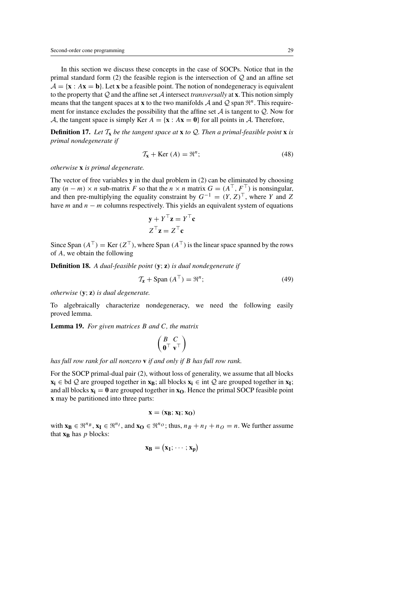In this section we discuss these concepts in the case of SOCPs. Notice that in the primal standard form (2) the feasible region is the intersection of  $Q$  and an affine set  $A = \{x : Ax = b\}$ . Let x be a feasible point. The notion of nondegeneracy is equivalent to the property that  $Q$  and the affine set  $\mathcal A$  intersect *transversally* at **x**. This notion simply means that the tangent spaces at **x** to the two manifolds A and Q span  $\mathbb{R}^n$ . This requirement for instance excludes the possibility that the affine set  $A$  is tangent to  $Q$ . Now for A, the tangent space is simply Ker  $A = \{x : Ax = 0\}$  for all points in A. Therefore,

**Definition 17.** Let  $T_x$  be the tangent space at **x** to Q. Then a primal-feasible point **x** is *primal nondegenerate if*

$$
\mathcal{T}_{\mathbf{x}} + \text{Ker} \left( A \right) = \mathfrak{R}^n; \tag{48}
$$

*otherwise* **x** *is primal degenerate.*

The vector of free variables **y** in the dual problem in (2) can be eliminated by choosing any  $(n - m) \times n$  sub-matrix F so that the  $n \times n$  matrix  $G = (A^{\top}, F^{\top})$  is nonsingular. and then pre-multiplying the equality constraint by  $G^{-1} = (Y, Z)^{\top}$ , where Y and Z have *m* and  $n - m$  columns respectively. This yields an equivalent system of equations

$$
\mathbf{y} + Y^{\top} \mathbf{z} = Y^{\top} \mathbf{c}
$$

$$
Z^{\top} \mathbf{z} = Z^{\top} \mathbf{c}
$$

Since Span  $(A^{\top}) = \text{Ker } (Z^{\top})$ , where Span  $(A^{\top})$  is the linear space spanned by the rows of A, we obtain the following

**Definition 18.** *A dual-feasible point* (**y**; **z**) *is dual nondegenerate if*

$$
\mathcal{T}_{\mathbf{z}} + \text{Span}(A^{\top}) = \mathfrak{R}^n; \tag{49}
$$

*otherwise* (**y**; **z**) *is dual degenerate.*

To algebraically characterize nondegeneracy, we need the following easily proved lemma.

**Lemma 19.** *For given matrices* B *and* C*, the matrix*

$$
\left(\begin{smallmatrix} B & C \\ \mathbf{0}^\top & \mathbf{v}^\top \end{smallmatrix}\right)
$$

*has full row rank for all nonzero* **v** *if and only if* B *has full row rank.*

For the SOCP primal-dual pair (2), without loss of generality, we assume that all blocks  $x_i \in bd Q$  are grouped together in  $x_B$ ; all blocks  $x_i \in int Q$  are grouped together in  $x_I$ ; and all blocks  $\mathbf{x_i} = \mathbf{0}$  are grouped together in  $\mathbf{x_0}$ . Hence the primal SOCP feasible point **x** may be partitioned into three parts:

$$
x=(x_B;\,x_I;\,x_O)
$$

with  $\mathbf{x_B} \in \mathbb{R}^{n_B}$ ,  $\mathbf{x_I} \in \mathbb{R}^{n_I}$ , and  $\mathbf{x_O} \in \mathbb{R}^{n_O}$ ; thus,  $n_B + n_I + n_O = n$ . We further assume that  $\mathbf{x}_\mathbf{B}$  has *p* blocks:

$$
\mathbf{x}_B = (x_1; \cdots; x_p)
$$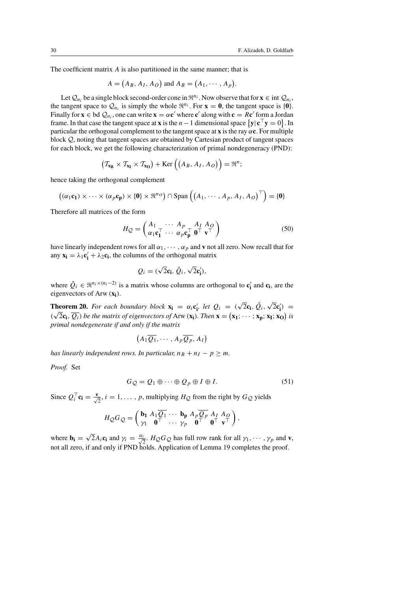The coefficient matrix A is also partitioned in the same manner; that is

$$
A = (A_B, A_I, A_O) \text{ and } A_B = (A_1, \cdots, A_p).
$$

Let  $Q_{n_i}$  be a single block second-order cone in  $\mathbb{R}^{n_i}$ . Now observe that for  $\mathbf{x} \in \text{int } Q_{n_i}$ , the tangent space to  $Q_{n_i}$  is simply the whole  $\mathbb{R}^{n_i}$ . For  $\mathbf{x} = \mathbf{0}$ , the tangent space is {**0**}. Finally for  $\mathbf{x} \in \text{bd } Q_n$ , one can write  $\mathbf{x} = \alpha \mathbf{c}'$  where  $\mathbf{c}'$  along with  $\mathbf{c} = R\mathbf{c}'$  form a Jordan frame. In that case the tangent space at **x** is the  $n-1$  dimensional space  $\{y | c^\top y = 0\}$ . In particular the orthogonal complement to the tangent space at **x** is the ray  $\alpha$ **c**. For multiple block Q, noting that tangent spaces are obtained by Cartesian product of tangent spaces for each block, we get the following characterization of primal nondegeneracy (PND):

$$
\left(\mathcal{T}_{\mathbf{x_B}} \times \mathcal{T}_{\mathbf{x_I}} \times \mathcal{T}_{\mathbf{x_O}}\right) + \text{Ker}\left(\left(A_B, A_I, A_O\right)\right) = \mathfrak{R}^n;
$$

hence taking the orthogonal complement

$$
((\alpha_1 \mathbf{c}_1) \times \cdots \times (\alpha_p \mathbf{c}_p) \times \{\mathbf{0}\} \times \mathfrak{R}^{n_O}) \cap \mathrm{Span} \left( (A_1, \cdots, A_p, A_I, A_O)^{\top} \right) = \{\mathbf{0}\}\
$$

Therefore all matrices of the form

$$
H_{\mathcal{Q}} = \begin{pmatrix} A_1 & \cdots & A_p & A_I & A_O \\ \alpha_1 \mathbf{c}_1^{\top} & \cdots & \alpha_p \mathbf{c}_p^{\top} & \mathbf{0}^{\top} & \mathbf{v}^{\top} \end{pmatrix}
$$
(50)

have linearly independent rows for all  $\alpha_1, \cdots, \alpha_p$  and **v** not all zero. Now recall that for any  $\mathbf{x}_i = \lambda_1 \mathbf{c}'_i + \lambda_2 \mathbf{c}_i$ , the columns of the orthogonal matrix

$$
Q_i = (\sqrt{2}\mathbf{c_i}, \hat{Q}_i, \sqrt{2}\mathbf{c'_i}),
$$

where  $\hat{Q}_i \in \mathbb{R}^{n_i \times (n_i - 2)}$  is a matrix whose columns are orthogonal to  $\mathbf{c}'_i$  and  $\mathbf{c}_i$ , are the eigenvectors of Arw (**xi**).

**Theorem 20.** *For each boundary block*  $\mathbf{x_i} = \alpha_i \mathbf{c}_i'$ , *let*  $Q_i = (\sqrt{2} \mathbf{c}_i, \hat{Q}_i, \sqrt{2} \mathbf{c}_i') =$ **i i**  $\alpha_i \mathbf{Q}_i \mathbf{Q}_i$ ,  $\alpha_i \mathbf{Q}_i \mathbf{Q}_i$  and  $\alpha_i \mathbf{Q}_i \mathbf{Q}_i$  and  $\alpha_i \mathbf{Q}_i \mathbf{Q}_i$  is  $\alpha_i \mathbf{Q}_i \mathbf{Q}_i \mathbf{Q}_i$ ,  $\alpha_i \mathbf{Q}_i \mathbf{Q}_i$ ,  $\alpha_i \mathbf{Q}_i \mathbf{Q}_i$  and  $\alpha_i \mathbf{Q}_i \mathbf{Q}_i$  are  $\alpha_i \mathbf{Q}_i \mathbf{Q}_i \mathbf{Q}_$ *primal nondegenerate if and only if the matrix*

$$
(A_1\overline{Q_1},\cdots,A_p\overline{Q_p},A_I)
$$

*has linearly independent rows. In particular,*  $n_B + n_I - p \ge m$ .

*Proof.* Set

$$
G_{\mathcal{Q}} = Q_1 \oplus \cdots \oplus Q_p \oplus I \oplus I. \tag{51}
$$

Since  $Q_i^T \mathbf{c_i} = \frac{\mathbf{e}}{\sqrt{2}}, i = 1, \dots, p$ , multiplying  $H_Q$  from the right by  $G_Q$  yields

$$
H_{\mathcal{Q}}G_{\mathcal{Q}} = \begin{pmatrix} \mathbf{b_1} & A_1 \overline{Q_1} & \cdots & \mathbf{b_p} & A_p \overline{Q_p} & A_I & A_O \\ \gamma_1 & \mathbf{0}^\top & \cdots & \gamma_p & \mathbf{0}^\top & \mathbf{0}^\top & \mathbf{v}^\top \end{pmatrix},
$$

where  $\mathbf{b_i} = \sqrt{2} A_i \mathbf{c_i}$  and  $\gamma_i = \frac{\alpha_i}{\sqrt{2}}$  $\frac{1}{2}$ .  $H_Q G_Q$  has full row rank for all  $\gamma_1, \cdots, \gamma_p$  and **v**, not all zero, if and only if PND holds. Application of Lemma 19 completes the proof.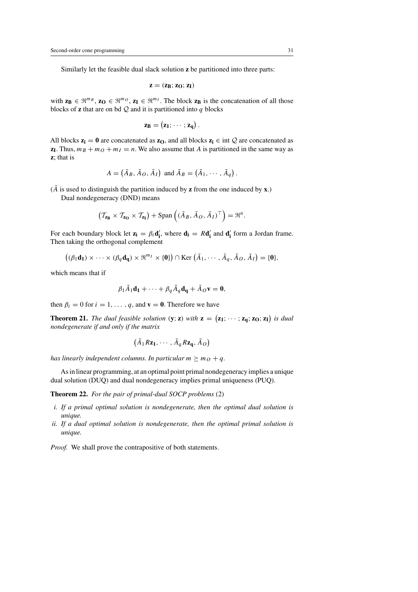Similarly let the feasible dual slack solution **z** be partitioned into three parts:

$$
z=(z_B;z_O;z_I)\,
$$

with  $z_B \in \mathbb{R}^{m_B}$ ,  $z_O \in \mathbb{R}^{m_O}$ ,  $z_I \in \mathbb{R}^{m_I}$ . The block  $z_B$  is the concatenation of all those blocks of **z** that are on bd  $\mathcal{Q}$  and it is partitioned into q blocks

$$
z_B = (z_1; \cdots; z_q).
$$

All blocks  $z_i = 0$  are concatenated as  $z_0$ , and all blocks  $z_i \in \text{int } Q$  are concatenated as **z**<sub>I</sub>. Thus,  $m_B + m_O + m_I = n$ . We also assume that A is partitioned in the same way as **z**; that is

$$
A = (\tilde{A}_B, \tilde{A}_O, \tilde{A}_I) \text{ and } \tilde{A}_B = (\tilde{A}_1, \cdots, \tilde{A}_q).
$$

( $\tilde{A}$  is used to distinguish the partition induced by **z** from the one induced by **x**.)

Dual nondegeneracy (DND) means

$$
\left(\mathcal{T}_{\mathbf{z}_{\mathbf{B}}} \times \mathcal{T}_{\mathbf{z}_{\mathbf{O}}} \times \mathcal{T}_{\mathbf{z}_{\mathbf{I}}}\right) + \mathrm{Span}\left((\tilde{A}_{B}, \tilde{A}_{O}, \tilde{A}_{I})^{\top}\right) = \mathfrak{R}^{n}.
$$

For each boundary block let  $z_i = \beta_i d'_i$ , where  $d_i = R d'_i$  and  $d'_i$  form a Jordan frame. Then taking the orthogonal complement

$$
((\beta_1\mathbf{d}_1)\times\cdots\times(\beta_q\mathbf{d}_q)\times\mathfrak{R}^{m_1}\times\{0\})\cap\text{Ker}(\tilde{A}_1,\cdots,\tilde{A}_q,\tilde{A}_O,\tilde{A}_I)=\{0\},\,
$$

which means that if

$$
\beta_1 \tilde{A}_1 \mathbf{d}_1 + \cdots + \beta_q \tilde{A}_q \mathbf{d}_q + \tilde{A}_Q \mathbf{v} = \mathbf{0},
$$

then  $\beta_i = 0$  for  $i = 1, \ldots, q$ , and  $\mathbf{v} = \mathbf{0}$ . Therefore we have

**Theorem 21.** *The dual feasible solution* (**y**; **z**) *with*  $z = (z_1; \cdots; z_q; z_0; z_1)$  *is dual nondegenerate if and only if the matrix*

$$
(\tilde{A}_1 R \mathbf{z}_1, \cdots, \tilde{A}_q R \mathbf{z}_q, \tilde{A}_O)
$$

*has linearly independent columns. In particular*  $m \geq m_Q + q$ .

As in linear programming, at an optimal point primal nondegeneracy implies a unique dual solution (DUQ) and dual nondegeneracy implies primal uniqueness (PUQ).

**Theorem 22.** *For the pair of primal-dual SOCP problems* (2)

- *i. If a primal optimal solution is nondegenerate, then the optimal dual solution is unique.*
- *ii. If a dual optimal solution is nondegenerate, then the optimal primal solution is unique.*

*Proof.* We shall prove the contrapositive of both statements.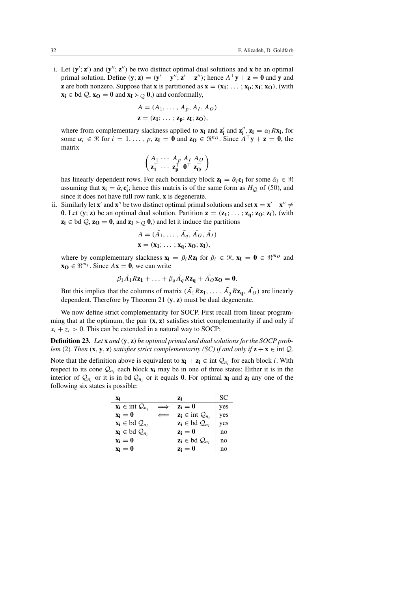i. Let  $(\mathbf{y}'; \mathbf{z}')$  and  $(\mathbf{y}''; \mathbf{z}'')$  be two distinct optimal dual solutions and **x** be an optimal primal solution. Define  $(\mathbf{y}; \mathbf{z}) = (\mathbf{y}' - \mathbf{y}''; \mathbf{z}' - \mathbf{z}'')$ ; hence  $A^{\top} \mathbf{y} + \mathbf{z} = \mathbf{0}$  and **y** and **z** are both nonzero. Suppose that **x** is partitioned as  $\mathbf{x} = (\mathbf{x}_1; \dots; \mathbf{x}_p; \mathbf{x}_I; \mathbf{x}_O)$ , (with **x**<sub>i</sub> ∈ bd  $Q$ , **x**<sub>0</sub> = **0** and **x**<sub>I</sub>  $>$   $\phi$  **0**,) and conformally,

$$
A = (A_1, \dots, A_p, A_I, A_O)
$$
  

$$
\mathbf{z} = (\mathbf{z}_1; \dots; \mathbf{z}_p; \mathbf{z}_I; \mathbf{z}_O),
$$

where from complementary slackness applied to  $\mathbf{x_i}$  and  $\mathbf{z'_i}$  and  $\mathbf{z''_i}$ ,  $\mathbf{z_i} = \alpha_i R \mathbf{x_i}$ , for some  $\alpha_i \in \mathbb{R}$  for  $i = 1, \ldots, p$ ,  $\mathbf{z}_I = \mathbf{0}$  and  $\mathbf{z}_O \in \mathbb{R}^{n_O}$ . Since  $A^{\top} \mathbf{y} + \mathbf{z} = \mathbf{0}$ , the matrix

$$
\begin{pmatrix} A_1 \cdots A_p & A_I & A_O \\ \mathbf{z}_1^\top \cdots & \mathbf{z}_p^\top & \mathbf{0}^\top & \mathbf{z}_O^\top \end{pmatrix}
$$

has linearly dependent rows. For each boundary block  $z_i = \hat{\alpha}_i c_i$  for some  $\hat{\alpha}_i \in \Re$ assuming that  $\mathbf{x_i} = \tilde{\alpha}_i \mathbf{c}'_i$ ; hence this matrix is of the same form as  $H_Q$  of (50), and since it does not have full row rank, **x** is degenerate.

ii. Similarly let **x**' and **x**" be two distinct optimal primal solutions and set **x** = **x**' - **x**"  $\neq$ **0**. Let  $(y; z)$  be an optimal dual solution. Partition  $z = (z_1; \ldots; z_q; z_0; z_1)$ , (with  $z_i \in bd \mathcal{Q}, z_0 = 0$ , and  $z_i \succ \bigcirc 0$ ,) and let it induce the partitions

$$
A = (\tilde{A}_1, \dots, \tilde{A}_q, \tilde{A}_0, \tilde{A}_I)
$$
  
**x** = (**x**<sub>1</sub>; ..., **x**<sub>q</sub>; **x**<sub>0</sub>; **x**<sub>I</sub>),

where by complementary slackness  $\mathbf{x_i} = \beta_i R \mathbf{z_i}$  for  $\beta_i \in \Re$ ,  $\mathbf{x_i} = \mathbf{0} \in \Re^{m_o}$  and **x**∩ ∈  $\mathbb{R}^{m_I}$ . Since  $A$ **x** = **0**, we can write

$$
\beta_1 \tilde{A_1} R \mathbf{z_1} + \ldots + \beta_q \tilde{A_q} R \mathbf{z_q} + \tilde{A_0} \mathbf{x_0} = \mathbf{0}.
$$

But this implies that the columns of matrix  $(\tilde{A}_1 Rz_1, \ldots, \tilde{A}_q Rz_q, \tilde{A}_Q)$  are linearly dependent. Therefore by Theorem 21 (**y**, **z**) must be dual degenerate.

We now define strict complementarity for SOCP. First recall from linear programming that at the optimum, the pair (**x**, **z**) satisfies strict complementarity if and only if  $x_i + z_i > 0$ . This can be extended in a natural way to SOCP:

**Definition 23.** *Let* **x** *and* (**y**, **z**) *be optimal primal and dual solutions for the SOCP problem* (2)*. Then*  $(\mathbf{x}, \mathbf{y}, \mathbf{z})$  *satisfies strict complementarity (SC) if and only if*  $\mathbf{z} + \mathbf{x} \in \text{int } Q$ *.* 

Note that the definition above is equivalent to  $\mathbf{x_i} + \mathbf{z_i} \in \text{int } Q_{n_i}$  for each block i. With respect to its cone  $\mathcal{Q}_{n_i}$  each block  $\mathbf{x}_i$  may be in one of three states: Either it is in the interior of  $\mathcal{Q}_{n_i}$  or it is in bd  $\mathcal{Q}_{n_i}$  or it equals **0**. For optimal **x**<sub>i</sub> and **z**<sub>i</sub> any one of the following six states is possible:

| Xi                                               | Zi                            | SС  |
|--------------------------------------------------|-------------------------------|-----|
| $\mathbf{x_i} \in \text{int } \mathcal{Q}_{n_i}$ | $z_i=0$                       | yes |
| $x_i = 0$                                        | $z_i \in \text{int } Q_{n_i}$ | yes |
| $\mathbf{x_i} \in \text{bd } \mathcal{Q}_{n_i}$  | $z_i \in bd Q_n$              | yes |
| $\mathbf{x_i} \in \text{bd } \mathcal{Q}_{n_i}$  | $z_i=0$                       | no  |
| $x_i = 0$                                        | $z_i \in bd Q_{n_i}$          | no  |
| $x_i = 0$                                        | $z_i = 0$                     | no  |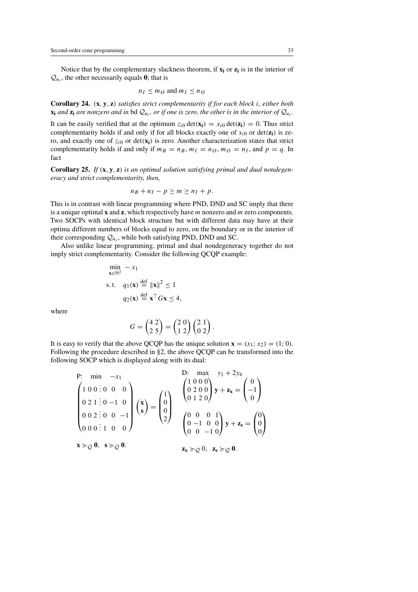Notice that by the complementary slackness theorem, if  $\mathbf{x}_i$  or  $\mathbf{z}_i$  is in the interior of  $\mathcal{Q}_n$ , the other necessarily equals **0**; that is

$$
n_I \le m_O \text{ and } m_I \le n_O
$$

**Corollary 24.** (**x**, **y**, **z**) *satisfies strict complementarity if for each block* i*, either both*  $\mathbf{x}_i$  *and*  $\mathbf{z}_i$  *are nonzero and in* bd  $\mathcal{Q}_n$ *, or if one is zero, the other is in the interior of*  $\mathcal{Q}_n$ *.* 

It can be easily verified that at the optimum  $z_{i0} \det(\mathbf{x_i}) = x_{i0} \det(\mathbf{z_i}) = 0$ . Thus strict complementarity holds if and only if for all blocks exactly one of  $x_{i0}$  or det( $z_i$ ) is zero, and exactly one of  $z_{i0}$  or det( $\mathbf{x_i}$ ) is zero. Another characterization states that strict complementarity holds if and only if  $m_B = n_B$ ,  $m_I = n_O$ ,  $m_O = n_I$ , and  $p = q$ . In fact

**Corollary 25.** *If* (**x**, **y**, **z**) *is an optimal solution satisfying primal and dual nondegeneracy and strict complementarity, then,*

$$
n_B + n_I - p \ge m \ge n_I + p.
$$

This is in contrast with linear programming where PND, DND and SC imply that there is a unique optimal **x** and **z**, which respectively have m nonzero and m zero components. Two SOCPs with identical block structure but with different data may have at their optima different numbers of blocks equal to zero, on the boundary or in the interior of their corresponding  $Q_{ni}$ , while both satisfying PND, DND and SC.

Also unlike linear programming, primal and dual nondegeneracy together do not imply strict complementarity. Consider the following QCQP example:

$$
\min_{\mathbf{x} \in \mathfrak{R}^2} - x_1
$$
\ns.t.  $q_1(\mathbf{x}) \stackrel{\text{def}}{=} ||\mathbf{x}||^2 \le 1$   
\n $q_2(\mathbf{x}) \stackrel{\text{def}}{=} \mathbf{x}^\top G \mathbf{x} \le 4$ ,

where

$$
G = \begin{pmatrix} 4 & 2 \\ 2 & 5 \end{pmatrix} = \begin{pmatrix} 2 & 0 \\ 1 & 2 \end{pmatrix} \begin{pmatrix} 2 & 1 \\ 0 & 2 \end{pmatrix}.
$$

It is easy to verify that the above QCQP has the unique solution  $\mathbf{x} = (x_1; x_2) = (1; 0)$ . Following the procedure described in §2, the above QCQP can be transformed into the following SOCP which is displayed along with its dual:

P: min 
$$
-x_1
$$
  
\n
$$
\begin{pmatrix}\n1 & 0 & 0 & 0 & 0 \\
0 & 2 & 1 & 0 & -1 & 0 \\
0 & 0 & 2 & 0 & 0 & -1 \\
0 & 0 & 0 & 1 & 0 & 0\n\end{pmatrix}\n\begin{pmatrix}\nx \\
s\n\end{pmatrix} = \n\begin{pmatrix}\n1 \\
0 \\
0 \\
2\n\end{pmatrix}\n\begin{pmatrix}\n1 & 0 & 0 & 0 \\
0 & 2 & 0 & 0 \\
0 & 1 & 2 & 0\n\end{pmatrix}\n\mathbf{y} + \mathbf{z}_x = \n\begin{pmatrix}\n0 \\
-1 \\
0\n\end{pmatrix}
$$
\n
$$
\mathbf{x} \geq 0, \quad s \geq 0.
$$
\n
$$
\mathbf{z}_x \geq 0, \quad \mathbf{z}_s \geq 0.
$$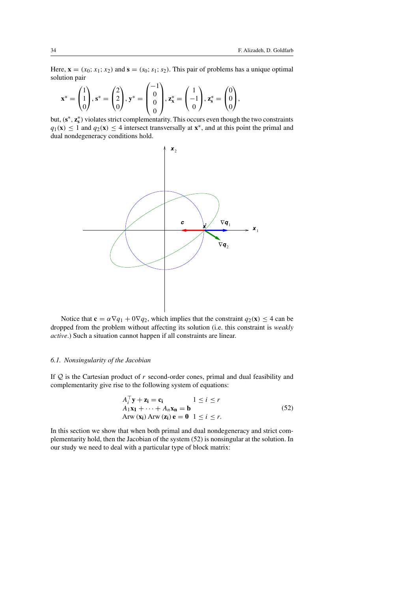Here,  $\mathbf{x} = (x_0; x_1; x_2)$  and  $\mathbf{s} = (s_0; s_1; s_2)$ . This pair of problems has a unique optimal solution pair

$$
\mathbf{x}^* = \begin{pmatrix} 1 \\ 1 \\ 0 \end{pmatrix}, \mathbf{s}^* = \begin{pmatrix} 2 \\ 2 \\ 0 \end{pmatrix}, \mathbf{y}^* = \begin{pmatrix} -1 \\ 0 \\ 0 \\ 0 \end{pmatrix}, \mathbf{z}_\mathbf{x}^* = \begin{pmatrix} 1 \\ -1 \\ 0 \end{pmatrix}, \mathbf{z}_\mathbf{s}^* = \begin{pmatrix} 0 \\ 0 \\ 0 \end{pmatrix},
$$

but, (**s**∗, **z**<sup>∗</sup> **<sup>s</sup>** ) violates strict complementarity. This occurs even though the two constraints  $q_1(\mathbf{x}) \leq 1$  and  $q_2(\mathbf{x}) \leq 4$  intersect transversally at  $\mathbf{x}^*$ , and at this point the primal and dual nondegeneracy conditions hold.



Notice that  $\mathbf{c} = \alpha \nabla q_1 + 0 \nabla q_2$ , which implies that the constraint  $q_2(\mathbf{x}) \leq 4$  can be dropped from the problem without affecting its solution (i.e. this constraint is *weakly active*.) Such a situation cannot happen if all constraints are linear.

### *6.1. Nonsingularity of the Jacobian*

If  $Q$  is the Cartesian product of r second-order cones, primal and dual feasibility and complementarity give rise to the following system of equations:

$$
A_i^{\top} \mathbf{y} + \mathbf{z_i} = \mathbf{c_i} \qquad 1 \le i \le r
$$
  
\n
$$
A_1 \mathbf{x_1} + \dots + A_n \mathbf{x_n} = \mathbf{b}
$$
  
\nArw ( $\mathbf{x_i}$ ) Arw ( $\mathbf{z_i}$ )  $\mathbf{e} = \mathbf{0}$   $1 \le i \le r$ . (52)

In this section we show that when both primal and dual nondegeneracy and strict complementarity hold, then the Jacobian of the system (52) is nonsingular at the solution. In our study we need to deal with a particular type of block matrix: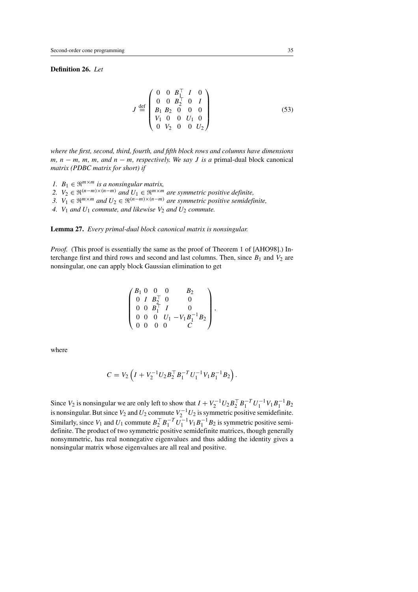# **Definition 26.** *Let*

$$
J \stackrel{\text{def}}{=} \begin{pmatrix} 0 & 0 & B_1^\top & I & 0 \\ 0 & 0 & B_2^\top & 0 & I \\ B_1 & B_2 & 0 & 0 & 0 \\ V_1 & 0 & 0 & U_1 & 0 \\ 0 & V_2 & 0 & 0 & U_2 \end{pmatrix}
$$
(53)

*where the first, second, third, fourth, and fifth block rows and columns have dimensions* m*,* n − m*,* m*,* m*, and* n − m*, respectively. We say* J *is a* primal-dual block canonical *matrix (PDBC matrix for short) if*

- *1.*  $B_1 \in \mathbb{R}^{m \times m}$  *is a nonsingular matrix,*
- 2.  $V_2 \in \mathfrak{R}^{(n-m)\times(n-m)}$  *and*  $U_1 \in \mathfrak{R}^{m\times m}$  *are symmetric positive definite,*
- *3.*  $V_1$  ∈  $\mathbb{R}^{m \times m}$  *and*  $U_2$  ∈  $\mathbb{R}^{(n-m)\times(n-m)}$  *are symmetric positive semidefinite,*
- 4.  $V_1$  *and*  $U_1$  *commute, and likewise*  $V_2$  *and*  $U_2$  *commute.*

**Lemma 27.** *Every primal-dual block canonical matrix is nonsingular.*

*Proof.* (This proof is essentially the same as the proof of Theorem 1 of [AHO98].) Interchange first and third rows and second and last columns. Then, since  $B_1$  and  $V_2$  are nonsingular, one can apply block Gaussian elimination to get

$$
\begin{pmatrix} B_1 & 0 & 0 & 0 & B_2 \\ 0 & I & B_2^\top & 0 & 0 \\ 0 & 0 & B_1^\top & I & 0 \\ 0 & 0 & 0 & U_1 - V_1B_1^{-1}B_2 \\ 0 & 0 & 0 & 0 & C \end{pmatrix},
$$

where

$$
C = V_2 \left( I + V_2^{-1} U_2 B_2^{\top} B_1^{-T} U_1^{-1} V_1 B_1^{-1} B_2 \right).
$$

Since  $V_2$  is nonsingular we are only left to show that  $I + V_2^{-1}U_2B_2^{\top}B_1^{-T}U_1^{-1}V_1B_1^{-1}B_2$ is nonsingular. But since  $V_2$  and  $U_2$  commute  $V_2^{-1}U_2$  is symmetric positive semidefinite. Similarly, since  $V_1$  and  $U_1$  commute  $B_2^{\top} B_1^{-T} U_1^{-1} V_1 B_1^{-1} B_2$  is symmetric positive semidefinite. The product of two symmetric positive semidefinite matrices, though generally nonsymmetric, has real nonnegative eigenvalues and thus adding the identity gives a nonsingular matrix whose eigenvalues are all real and positive.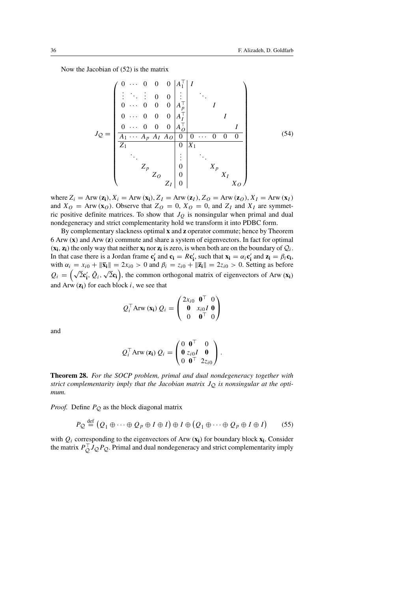Now the Jacobian of (52) is the matrix

$$
J_{Q} = \begin{pmatrix}\n0 & \cdots & 0 & 0 & 0 & |A_{1}^{T}| & I \\
\vdots & \ddots & \vdots & 0 & 0 & \vdots & \vdots \\
0 & \cdots & 0 & 0 & 0 & |A_{I}^{T}| & I \\
0 & \cdots & 0 & 0 & 0 & |A_{I}^{T}| & I \\
\hline\n& 0 & \cdots & 0 & 0 & 0 & |A_{I}^{T}| & I \\
\hline\n& 1 & \cdots & 1 & 0 & 0 & \cdots & 0 & 0 \\
\hline\n& 2 & 0 & |A_{I}^{T}| & 0 & |A_{I}^{T}| & I \\
\vdots & \ddots & \vdots & \ddots & \vdots & \ddots & \vdots \\
& 0 & |A_{I}^{T}| & 0 & |A_{I}^{T}| & I \\
\hline\n& 0 & |A_{I}^{T}| & 0 & |A_{I}^{T}| & I \\
\hline\n& 0 & |A_{I}^{T}| & 0 & |A_{I}^{T}| & I \\
\hline\n& 0 & |A_{I}^{T}| & 0 & |A_{I}^{T}| & I \\
\hline\n& 0 & |A_{I}^{T}| & 0 & |A_{I}^{T}| & I\n\end{pmatrix}
$$
\n(54)

where  $Z_i = \text{Arw}(\mathbf{z_i})$ ,  $X_i = \text{Arw}(\mathbf{x_i})$ ,  $Z_i = \text{Arw}(\mathbf{z_i})$ ,  $Z_0 = \text{Arw}(\mathbf{z_0})$ ,  $X_i = \text{Arw}(\mathbf{x_i})$ and  $X_O$  = Arw (**x**<sub>O</sub>). Observe that  $Z_O = 0$ ,  $X_O = 0$ , and  $Z_I$  and  $X_I$  are symmetric positive definite matrices. To show that  $J<sub>O</sub>$  is nonsingular when primal and dual nondegeneracy and strict complementarity hold we transform it into PDBC form.

By complementary slackness optimal **x** and **z** operator commute; hence by Theorem 6 Arw (**x**) and Arw (**z**) commute and share a system of eigenvectors. In fact for optimal  $(\mathbf{x_i}, \mathbf{z_i})$  the only way that neither  $\mathbf{x_i}$  nor  $\mathbf{z_i}$  is zero, is when both are on the boundary of  $Q_i$ . In that case there is a Jordan frame  $\mathbf{c}'_i$  and  $\mathbf{c}_i = R\mathbf{c}'_i$ , such that  $\mathbf{x}_i = \alpha_i \mathbf{c}'_i$  and  $\mathbf{z}_i = \beta_i \mathbf{c}_i$ , with  $\alpha_i = x_{i0} + ||\bar{x}_i|| = 2x_{i0} > 0$  and  $\beta_i = z_{i0} + ||\bar{z}_i|| = 2z_{i0} > 0$ . Setting as before  $Q_i = (\sqrt{2}c'_i, \hat{Q}_i, \sqrt{2}c_i)$ , the common orthogonal matrix of eigenvectors of Arw (**x**<sub>i</sub>) and Arw  $(z_i)$  for each block  $i$ , we see that

$$
Q_i^{\top} \operatorname{Arw} (\mathbf{x_i}) Q_i = \begin{pmatrix} 2x_{i0} & \mathbf{0}^{\top} & 0 \\ \mathbf{0} & x_{i0} I & \mathbf{0} \\ 0 & \mathbf{0}^{\top} & 0 \end{pmatrix}
$$

and

$$
Q_i^{\top} \text{Arw} (\mathbf{z_i}) Q_i = \begin{pmatrix} 0 & \mathbf{0}^{\top} & 0 \\ \mathbf{0} & z_{i0}I & \mathbf{0} \\ 0 & \mathbf{0}^{\top} & 2z_{i0} \end{pmatrix}.
$$

**Theorem 28.** *For the SOCP problem, primal and dual nondegeneracy together with* strict complementarity imply that the Jacobian matrix  $J<sub>O</sub>$  is nonsingular at the opti*mum.*

*Proof.* Define  $P_Q$  as the block diagonal matrix

$$
P_{\mathcal{Q}} \stackrel{\text{def}}{=} (Q_1 \oplus \cdots \oplus Q_p \oplus I \oplus I) \oplus I \oplus (Q_1 \oplus \cdots \oplus Q_p \oplus I \oplus I) \tag{55}
$$

with  $Q_i$  corresponding to the eigenvectors of Arw  $(\mathbf{x_i})$  for boundary block  $\mathbf{x_i}$ . Consider the matrix  $P_{Q}^{\top}J_{Q}P_{Q}$ . Primal and dual nondegeneracy and strict complementarity imply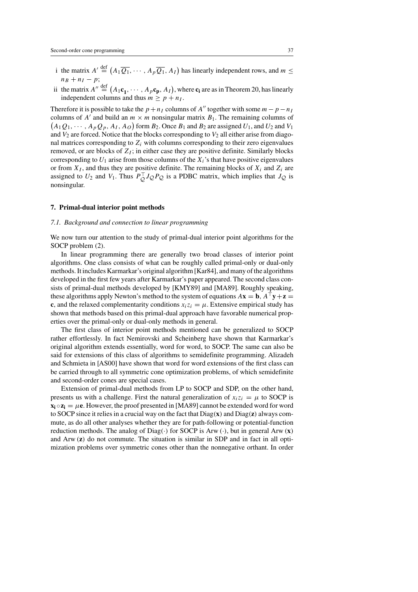- i the matrix  $A' \stackrel{\text{def}}{=} (A_1 \overline{Q_1}, \cdots, A_p \overline{Q_1}, A_I)$  has linearly independent rows, and  $m \leq$  $n_B + n_I - p$ ;
- ii the matrix  $A'' \stackrel{\text{def}}{=} (A_1\mathbf{c}_1, \dots, A_p\mathbf{c}_p, A_I)$ , where  $\mathbf{c}_i$  are as in Theorem 20, has linearly independent columns and thus  $m \ge p + n_I$ .

Therefore it is possible to take the  $p + n_1$  columns of A'' together with some  $m - p - n_1$ columns of A' and build an  $m \times m$  nonsingular matrix  $B_1$ . The remaining columns of  $(A_1Q_1, \dots, A_pQ_p, A_I, A_O)$  form  $B_2$ . Once  $B_1$  and  $B_2$  are assigned  $U_1$ , and  $U_2$  and  $V_1$ and  $V_2$  are forced. Notice that the blocks corresponding to  $V_2$  all either arise from diagonal matrices corresponding to  $Z_i$  with columns corresponding to their zero eigenvalues removed, or are blocks of  $Z_I$ ; in either case they are positive definite. Similarly blocks corresponding to  $U_1$  arise from those columns of the  $X_i$ 's that have positive eigenvalues or from  $X_I$ , and thus they are positive definite. The remaining blocks of  $X_i$  and  $Z_i$  are assigned to  $U_2$  and  $V_1$ . Thus  $P_Q^{\top} J_Q P_Q$  is a PDBC matrix, which implies that  $J_Q$  is nonsingular.

#### **7. Primal-dual interior point methods**

### *7.1. Background and connection to linear programming*

We now turn our attention to the study of primal-dual interior point algorithms for the SOCP problem (2).

In linear programming there are generally two broad classes of interior point algorithms. One class consists of what can be roughly called primal-only or dual-only methods. It includes Karmarkar's original algorithm [Kar84], and many of the algorithms developed in the first few years after Karmarkar's paper appeared. The second class consists of primal-dual methods developed by [KMY89] and [MA89]. Roughly speaking, these algorithms apply Newton's method to the system of equations  $A\mathbf{x} = \mathbf{b}$ ,  $A^{\dagger} \mathbf{y} + \mathbf{z} =$ **c**, and the relaxed complementarity conditions  $x_i z_i = \mu$ . Extensive empirical study has shown that methods based on this primal-dual approach have favorable numerical properties over the primal-only or dual-only methods in general.

The first class of interior point methods mentioned can be generalized to SOCP rather effortlessly. In fact Nemirovski and Scheinberg have shown that Karmarkar's original algorithm extends essentially, word for word, to SOCP. The same can also be said for extensions of this class of algorithms to semidefinite programming. Alizadeh and Schmieta in [AS00] have shown that word for word extensions of the first class can be carried through to all symmetric cone optimization problems, of which semidefinite and second-order cones are special cases.

Extension of primal-dual methods from LP to SOCP and SDP, on the other hand, presents us with a challenge. First the natural generalization of  $x_iz_i = \mu$  to SOCP is  $\mathbf{x}_i \circ \mathbf{z}_i = \mu \mathbf{e}$ . However, the proof presented in [MA89] cannot be extended word for word to SOCP since it relies in a crucial way on the fact that Diag(**x**) and Diag(**z**) always commute, as do all other analyses whether they are for path-following or potential-function reduction methods. The analog of Diag(·) for SOCP is Arw (·), but in general Arw (**x**) and Arw (**z**) do not commute. The situation is similar in SDP and in fact in all optimization problems over symmetric cones other than the nonnegative orthant. In order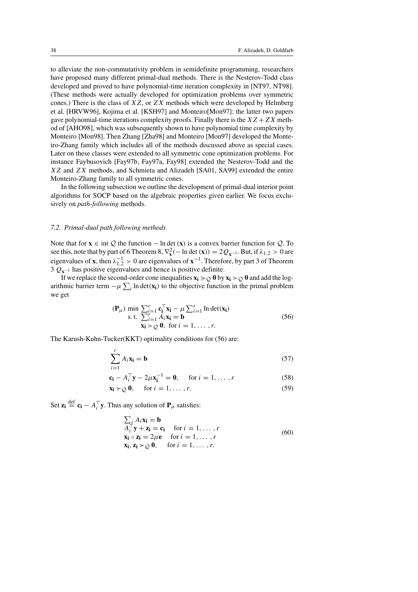to alleviate the non-commutativity problem in semidefinite programming, researchers have proposed many different primal-dual methods. There is the Nesterov-Todd class developed and proved to have polynomial-time iteration complexity in [NT97, NT98]. (These methods were actually developed for optimization problems over symmetric cones.) There is the class of  $XZ$ , or  $ZX$  methods which were developed by Helmberg et al. [HRVW96], Kojima et al. [KSH97] and Monteiro[Mon97]; the latter two papers gave polynomial-time iterations complexity proofs. Finally there is the  $XZ + ZX$  method of [AHO98], which was subsequently shown to have polynomial time complexity by Monteiro [Mon98]. Then Zhang [Zha98] and Monteiro [Mon97] developed the Monteiro-Zhang family which includes all of the methods discussed above as special cases. Later on these classes were extended to all symmetric cone optimization problems. For instance Faybusovich [Fay97b, Fay97a, Fay98] extended the Nesterov-Todd and the XZ and ZX methods, and Schmieta and Alizadeh [SA01, SA99] extended the entire Monteiro-Zhang family to all symmetric cones.

In the following subsection we outline the development of primal-dual interior point algorithms for SOCP based on the algebraic properties given earlier. We focus exclusively on *path-following* methods.

### *7.2. Primal-dual path following methods*

Note that for **x** ∈ int  $Q$  the function – ln det (**x**) is a convex barrier function for  $Q$ . To see this, note that by part of 6 Theorem 8,  $\nabla_{\mathbf{x}}^2$  (− ln det (**x**)) = 2 $Q_{\mathbf{x}^{-1}}$ . But, if  $\lambda_{1,2} > 0$  are eigenvalues of **x**, then  $\lambda_{1,2}^{-1} > 0$  are eigenvalues of **x**<sup>−1</sup>. Therefore, by part 3 of Theorem 3  $Q_{\mathbf{x}^{-1}}$  has positive eigenvalues and hence is positive definite.

If we replace the second-order cone inequalities  $\mathbf{x_i} \succcurlyeq_Q \mathbf{0}$  by  $\mathbf{x_i} \succ_Q \mathbf{0}$  and add the logarithmic barrier term  $-\mu \sum_i \ln \det(\mathbf{x_i})$  to the objective function in the primal problem we get

$$
(\mathbf{P}_{\mu}) \min \sum_{i=1}^{r} \mathbf{c}_{i}^{\top} \mathbf{x}_{i} - \mu \sum_{i=1}^{r} \ln \det(\mathbf{x}_{i})
$$
  
s.t. 
$$
\sum_{i=1}^{r} A_{i} \mathbf{x}_{i} = \mathbf{b}
$$

$$
\mathbf{x}_{i} \succ Q \mathbf{0}, \text{ for } i = 1, ..., r.
$$
 (56)

The Karush-Kuhn-Tucker(KKT) optimality conditions for (56) are:

$$
\sum_{i=1}^{r} A_i \mathbf{x_i} = \mathbf{b} \tag{57}
$$

$$
\mathbf{c}_{\mathbf{i}} - A_{i}^{\top} \mathbf{y} - 2\mu \mathbf{x}_{\mathbf{i}}^{-1} = \mathbf{0}, \quad \text{for } i = 1, \dots, r
$$
 (58)

$$
\mathbf{x_i} \succ_{\mathcal{Q}} \mathbf{0}, \quad \text{ for } i = 1, \dots, r. \tag{59}
$$

Set  $\mathbf{z_i} \stackrel{\text{def}}{=} \mathbf{c_i} - A_i^{\top} \mathbf{y}$ . Thus any solution of  $\mathbf{P}_{\mu}$  satisfies:

$$
\sum_{i} A_{i} \mathbf{x}_{i} = \mathbf{b}
$$
  
\n
$$
A_{i}^{\top} \mathbf{y} + \mathbf{z}_{i} = \mathbf{c}_{i} \quad \text{for } i = 1, ..., r
$$
  
\n
$$
\mathbf{x}_{i} \circ \mathbf{z}_{i} = 2\mu \mathbf{e} \quad \text{for } i = 1, ..., r
$$
  
\n
$$
\mathbf{x}_{i}, \mathbf{z}_{i} \succ_{Q} \mathbf{0}, \quad \text{for } i = 1, ..., r.
$$
 (60)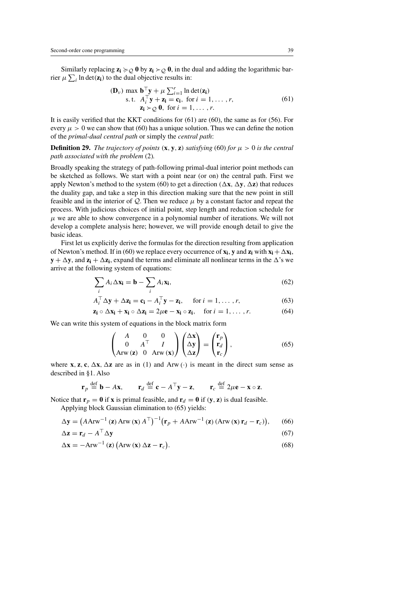Similarly replacing  $z_i \succcurlyeq_O 0$  by  $z_i \succ_O 0$ , in the dual and adding the logarithmic barrier  $\mu \sum_i \ln \det(z_i)$  to the dual objective results in:

$$
(\mathbf{D}_{\nu}) \max \mathbf{b}^{\top} \mathbf{y} + \mu \sum_{i=1}^{r} \ln \det(\mathbf{z}_{i})
$$
  
s.t.  $A_{i}^{\top} \mathbf{y} + \mathbf{z}_{i} = \mathbf{c}_{i}$ , for  $i = 1, ..., r$ ,  
 $\mathbf{z}_{i} \succ Q \mathbf{0}$ , for  $i = 1, ..., r$ . (61)

It is easily verified that the KKT conditions for (61) are (60), the same as for (56). For every  $\mu > 0$  we can show that (60) has a unique solution. Thus we can define the notion of the *primal-dual central path* or simply the *central path*:

**Definition 29.** *The trajectory of points* (**x**, **y**, **z**) *satisfying* (60) *for*  $\mu > 0$  *is the central path associated with the problem* (2)*.*

Broadly speaking the strategy of path-following primal-dual interior point methods can be sketched as follows. We start with a point near (or on) the central path. First we apply Newton's method to the system (60) to get a direction ( $\Delta$ **x**,  $\Delta$ **y**,  $\Delta$ **z**) that reduces the duality gap, and take a step in this direction making sure that the new point in still feasible and in the interior of  $Q$ . Then we reduce  $\mu$  by a constant factor and repeat the process. With judicious choices of initial point, step length and reduction schedule for  $\mu$  we are able to show convergence in a polynomial number of iterations. We will not develop a complete analysis here; however, we will provide enough detail to give the basic ideas.

First let us explicitly derive the formulas for the direction resulting from application of Newton's method. If in (60) we replace every occurrence of  $\mathbf{x_i}$ ,  $\mathbf{y}$  and  $\mathbf{z_i}$  with  $\mathbf{x_i} + \Delta \mathbf{x_i}$ ,  $\mathbf{y} + \Delta \mathbf{y}$ , and  $\mathbf{z_i} + \Delta \mathbf{z_i}$ , expand the terms and eliminate all nonlinear terms in the  $\Delta$ 's we arrive at the following system of equations:

$$
\sum_{i} A_i \Delta \mathbf{x_i} = \mathbf{b} - \sum_{i} A_i \mathbf{x_i},
$$
\n(62)

$$
A_i^{\top} \Delta \mathbf{y} + \Delta \mathbf{z_i} = \mathbf{c_i} - A_i^{\top} \mathbf{y} - \mathbf{z_i}, \quad \text{for } i = 1, ..., r,
$$
 (63)

$$
\mathbf{z_i} \circ \Delta \mathbf{x_i} + \mathbf{x_i} \circ \Delta \mathbf{z_i} = 2\mu \mathbf{e} - \mathbf{x_i} \circ \mathbf{z_i}, \quad \text{for } i = 1, \dots, r. \tag{64}
$$

We can write this system of equations in the block matrix form

$$
\begin{pmatrix} A & 0 & 0 \ 0 & A^{\top} & I \ \text{Arw} \left( \mathbf{z} \right) & 0 & \text{Arw} \left( \mathbf{x} \right) \end{pmatrix} \begin{pmatrix} \Delta \mathbf{x} \\ \Delta \mathbf{y} \\ \Delta \mathbf{z} \end{pmatrix} = \begin{pmatrix} \mathbf{r}_p \\ \mathbf{r}_d \\ \mathbf{r}_c \end{pmatrix},
$$
(65)

where **x**, **z**, **c**,  $\Delta$ **x**,  $\Delta$ **z** are as in (1) and Arw (·) is meant in the direct sum sense as described in §1. Also

$$
\mathbf{r}_p \stackrel{\text{def}}{=} \mathbf{b} - A\mathbf{x}, \quad \mathbf{r}_d \stackrel{\text{def}}{=} \mathbf{c} - A^\top \mathbf{y} - \mathbf{z}, \quad \mathbf{r}_c \stackrel{\text{def}}{=} 2\mu \mathbf{e} - \mathbf{x} \circ \mathbf{z}.
$$

Notice that  $\mathbf{r}_p = \mathbf{0}$  if **x** is primal feasible, and  $\mathbf{r}_d = \mathbf{0}$  if  $(\mathbf{y}, \mathbf{z})$  is dual feasible.

Applying block Gaussian elimination to (65) yields:

$$
\Delta \mathbf{y} = \left( A A \mathbf{r} \mathbf{w}^{-1} \left( \mathbf{z} \right) A \mathbf{r} \mathbf{w} \left( \mathbf{x} \right) A^{\top} \right)^{-1} \left( \mathbf{r}_p + A A \mathbf{r} \mathbf{w}^{-1} \left( \mathbf{z} \right) \left( A \mathbf{r} \mathbf{w} \left( \mathbf{x} \right) \mathbf{r}_d - \mathbf{r}_c \right) \right), \tag{66}
$$

$$
\Delta z = \mathbf{r}_d - A^\top \Delta \mathbf{y} \tag{67}
$$

$$
\Delta \mathbf{x} = -\text{Arw}^{-1} \left( \mathbf{z} \right) \left( \text{Arw} \left( \mathbf{x} \right) \Delta \mathbf{z} - \mathbf{r}_c \right). \tag{68}
$$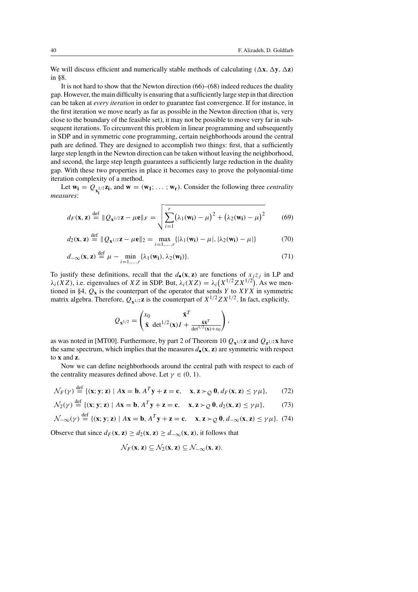We will discuss efficient and numerically stable methods of calculating  $(\Delta x, \Delta y, \Delta z)$ in §8.

It is not hard to show that the Newton direction (66)–(68) indeed reduces the duality gap. However, the main difficulty is ensuring that a sufficiently large step in that direction can be taken at *every iteration* in order to guarantee fast convergence. If for instance, in the first iteration we move nearly as far as possible in the Newton direction (that is, very close to the boundary of the feasible set), it may not be possible to move very far in subsequent iterations. To circumvent this problem in linear programming and subsequently in SDP and in symmetric cone programming, certain neighborhoods around the central path are defined. They are designed to accomplish two things: first, that a sufficiently large step length in the Newton direction can be taken without leaving the neighborhood, and second, the large step length guarantees a sufficiently large reduction in the duality gap. With these two properties in place it becomes easy to prove the polynomial-time iteration complexity of a method.

Let  $w_i = Q_{x_i^{1/2}}z_i$ , and  $w = (w_1; \dots; w_r)$ . Consider the following three *centrality* **i** *measures*:

$$
d_F(\mathbf{x}, \mathbf{z}) \stackrel{\text{def}}{=} \|Q_{\mathbf{x}^{1/2}}\mathbf{z} - \mu \mathbf{e}\|_F = \sqrt{\sum_{i=1}^r (\lambda_1(\mathbf{w_i}) - \mu)^2 + (\lambda_2(\mathbf{w_i}) - \mu)^2}
$$
(69)

$$
d_2(\mathbf{x}, \mathbf{z}) \stackrel{\text{def}}{=} \|Q_{\mathbf{x}^{1/2}}\mathbf{z} - \mu \mathbf{e}\|_2 = \max_{i=1,\dots,r} \{ |\lambda_1(\mathbf{w_i}) - \mu|, |\lambda_2(\mathbf{w_i}) - \mu| \}
$$
(70)

$$
d_{-\infty}(\mathbf{x}, \mathbf{z}) \stackrel{\text{def}}{=} \mu - \min_{i=1,\dots,r} \{\lambda_1(\mathbf{w_i}), \lambda_2(\mathbf{w_i})\}.
$$
 (71)

To justify these definitions, recall that the  $d_{\bullet}(x, z)$  are functions of  $x_i z_j$  in LP and  $\lambda_i(XZ)$ , i.e. eigenvalues of XZ in SDP. But,  $\lambda_i(XZ) = \lambda_i(X^{1/2}ZX^{1/2})$ . As we mentioned in §4,  $Q_x$  is the counterpart of the operator that sends Y to XYX in symmetric matrix algebra. Therefore,  $Q_{x^1/2}$ **z** is the counterpart of  $X^{1/2}ZX^{1/2}$ . In fact, explicitly,

$$
Q_{\mathbf{x}^{1/2}} = \begin{pmatrix} x_0 & \bar{\mathbf{x}}^T \\ \bar{\mathbf{x}} \ \det^{1/2}(\mathbf{x})I + \frac{\bar{\mathbf{x}}\bar{\mathbf{x}}^T}{\det^{1/2}(\mathbf{x}) + x_0} \end{pmatrix},
$$

as was noted in [MT00]. Furthermore, by part 2 of Theorem 10  $Q_{\mathbf{x}^{1/2}}\mathbf{z}$  and  $Q_{\mathbf{z}^{1/2}}\mathbf{x}$  have the same spectrum, which implies that the measures  $d_{\bullet}(x, z)$  are symmetric with respect to **x** and **z**.

Now we can define neighborhoods around the central path with respect to each of the centrality measures defined above. Let  $\gamma \in (0, 1)$ .

$$
\mathcal{N}_F(\gamma) \stackrel{\text{def}}{=} \{ (\mathbf{x}; \mathbf{y}; \mathbf{z}) \mid A\mathbf{x} = \mathbf{b}, A^T \mathbf{y} + \mathbf{z} = \mathbf{c}, \quad \mathbf{x}, \mathbf{z} \succ_Q \mathbf{0}, d_F(\mathbf{x}, \mathbf{z}) \le \gamma \mu \}, \tag{72}
$$

$$
\mathcal{N}_2(\gamma) \stackrel{\text{def}}{=} \{ (\mathbf{x}; \mathbf{y}; \mathbf{z}) \mid A\mathbf{x} = \mathbf{b}, A^T \mathbf{y} + \mathbf{z} = \mathbf{c}, \quad \mathbf{x}, \mathbf{z} \succ_Q \mathbf{0}, d_2(\mathbf{x}, \mathbf{z}) \le \gamma \mu \},\tag{73}
$$

$$
\mathcal{N}_{-\infty}(\gamma) \stackrel{\text{def}}{=} \{ (\mathbf{x}; \mathbf{y}; \mathbf{z}) \mid A\mathbf{x} = \mathbf{b}, A^T \mathbf{y} + \mathbf{z} = \mathbf{c}, \quad \mathbf{x}, \mathbf{z} \succ_Q \mathbf{0}, d_{-\infty}(\mathbf{x}, \mathbf{z}) \le \gamma \mu \}. \tag{74}
$$

Observe that since  $d_F(\mathbf{x}, \mathbf{z}) \ge d_2(\mathbf{x}, \mathbf{z}) \ge d_{-\infty}(\mathbf{x}, \mathbf{z})$ , it follows that

$$
\mathcal{N}_F(\mathbf{x}, \mathbf{z}) \subseteq \mathcal{N}_2(\mathbf{x}, \mathbf{z}) \subseteq \mathcal{N}_{-\infty}(\mathbf{x}, \mathbf{z}).
$$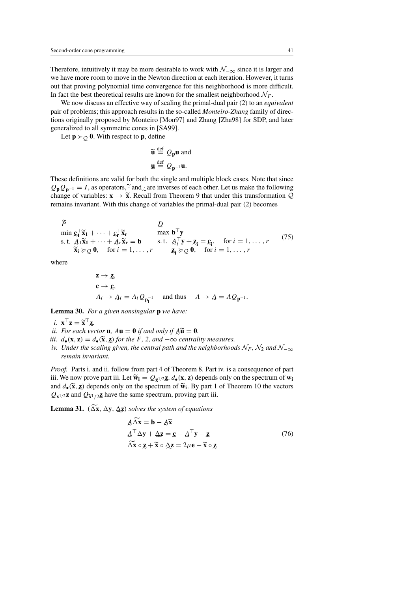Therefore, intuitively it may be more desirable to work with  $\mathcal{N}_{-\infty}$  since it is larger and we have more room to move in the Newton direction at each iteration. However, it turns out that proving polynomial time convergence for this neighborhood is more difficult. In fact the best theoretical results are known for the smallest neighborhood  $\mathcal{N}_F$ .

We now discuss an effective way of scaling the primal-dual pair (2) to an *equivalent* pair of problems; this approach results in the so-called *Monteiro-Zhang* family of directions originally proposed by Monteiro [Mon97] and Zhang [Zha98] for SDP, and later generalized to all symmetric cones in [SA99].

Let  $\mathbf{p} \succ_{\mathcal{Q}} \mathbf{0}$ . With respect to **p**, define

$$
\widetilde{\mathbf{u}} \stackrel{\text{def}}{=} Q_{\mathbf{p}} \mathbf{u} \text{ and}
$$

$$
\mathbf{u} \stackrel{\text{def}}{=} Q_{\mathbf{p}^{-1}} \mathbf{u}.
$$

 These definitions are valid for both the single and multiple block cases. Note that since  $Q_{\bf p}Q_{\bf p^{-1}} = I$ , as operators, $\tilde{\cdot}$  and  $\tilde{\cdot}$  are inverses of each other. Let us make the following change of variables:  $\mathbf{x} \to \tilde{\mathbf{x}}$  Recall from Theorem 9 that under this transformation O change of variables:  $\mathbf{x} \to \tilde{\mathbf{x}}$ . Recall from Theorem 9 that under this transformation  $\mathcal{Q}$ <br>remains invariant. With this change of variables the primal-dual pair (2) becomes remains invariant. With this change of variables the primal-dual pair (2) becomes

$$
\widetilde{P} \qquad Q
$$
\n
$$
\min \mathbf{c}_1^\top \widetilde{\mathbf{x}}_1 + \dots + \mathbf{c}_r^\top \widetilde{\mathbf{x}}_r \qquad \text{max } \mathbf{b}^\top \mathbf{y}
$$
\ns.t.  $\mathbf{A}_1 \widetilde{\mathbf{x}}_1 + \dots + \mathbf{A}_r \widetilde{\mathbf{x}}_r = \mathbf{b}$  s.t.  $\mathbf{A}_i^\top \mathbf{y} + \mathbf{z}_i = \mathbf{c}_i$ , for  $i = 1, \dots, r$ \n
$$
\widetilde{\mathbf{x}}_i \succcurlyeq Q \mathbf{0}, \quad \text{for } i = 1, \dots, r
$$
\n
$$
\mathbf{c}_i \succcurlyeq Q \mathbf{0}, \quad \text{for } i = 1, \dots, r
$$
\n(75)

where

$$
\mathbf{z} \to \mathbf{z},
$$
  
\n
$$
\mathbf{c} \to \mathbf{c},
$$
  
\n
$$
A_i \to A_i = A_i Q_{\mathbf{p}_1^{-1}}
$$
 and thus 
$$
A \to A = A Q_{\mathbf{p}^{-1}}.
$$
  
\n*r* a given nonsingular **p** we have

 $A_i \rightarrow A_i = A_i Q_{\mathbf{p_i^{-1}}}$  and thus<br>**Lemma 30.** *For a given nonsingular* **p** *we have:* 

- *i.* **x**<sup>T</sup>**z** =  $\widetilde{\mathbf{x}}^T \mathbf{z}$ <br>*i.* For each ye.
- *ii.* For each vector **u**,  $A$ **u** = **0** *if and only if*  $A$ **u** = **0***.*  $\alpha$  *central ii*  $\alpha$  (**x z**) =  $\alpha$  (**x z**) for the  $F$  2 and  $-\infty$  central
- *iii.*  $d_{\bullet}(\mathbf{x}, \mathbf{z}) = d_{\bullet}(\widetilde{\mathbf{x}}, \mathbf{z})$  for the F, 2, and  $-\infty$  *centrality measures.*<br>*iv.* Under the scaling given, the central path and the neighborhood.
- *iv. Under the scaling given, the central path and the neighborhoods*  $\mathcal{N}_{F}$  *,*  $\mathcal{N}_{2}$  *and*  $\mathcal{N}_{-\infty}$ *remain invariant.*

*Proof.* Parts i. and ii. follow from part 4 of Theorem 8. Part iv. is a consequence of part iii. We now prove part iii. Let  $\widetilde{\mathbf{w}}_i = Q_{\widetilde{\mathbf{x}}^{1/2}}\mathbf{Z}$ .  $d_{\bullet}(\mathbf{x}, \mathbf{z})$  depends only on the spectrum of  $\widetilde{\mathbf{w}}_i$ . By part 1 of Theorem 10 the vectors and  $d_{\bullet}(\tilde{\mathbf{x}}, \mathbf{z})$  depends only on the spectrum of  $\tilde{\mathbf{w}}_i$ . By part 1 of Theorem 10 the vectors  $\Omega_{\text{max}}$  and  $\Omega_{\text{max}}$  have the same spectrum proving part iii  $Q_{\mathbf{x}^{1/2}}\mathbf{z}$  and  $Q_{\mathbf{\tilde{x}}^{1/2}}\mathbf{z}$  have the same spectrum, proving part iii.<br> **Lemma 31** ( $\widetilde{A}\mathbf{x}$   $\Delta \mathbf{x}$ ) solves the system of equations

**Lemma 31.**  $(\Delta \mathbf{x}, \Delta \mathbf{y}, \Delta \mathbf{z})$  *solves the system of equations*<br> $A \widetilde{\Delta \mathbf{x}} = \mathbf{b} - A \widetilde{\mathbf{x}}$ 

$$
\begin{aligned}\n\mathbf{A}\widetilde{\Delta x} &= \mathbf{b} - \mathbf{A}\widetilde{\mathbf{x}} \\
\mathbf{A}^\top \Delta \mathbf{y} + \Delta \mathbf{z} &= \mathbf{c} - \mathbf{A}^\top \mathbf{y} - \mathbf{z} \\
\widetilde{\Delta x} \circ \mathbf{z} + \widetilde{\mathbf{x}} \circ \Delta \mathbf{z} &= 2\mu \mathbf{e} - \widetilde{\mathbf{x}} \circ \mathbf{z}\n\end{aligned} \tag{76}
$$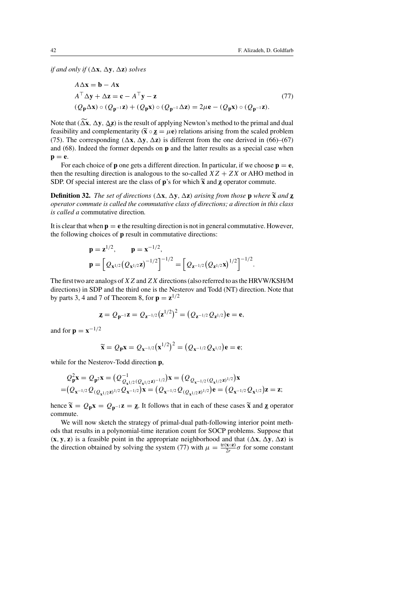*if and only if*  $(\Delta x, \Delta y, \Delta z)$  *solves* 

$$
A\Delta x = \mathbf{b} - A\mathbf{x}
$$
  
\n
$$
A^{\top} \Delta \mathbf{y} + \Delta \mathbf{z} = \mathbf{c} - A^{\top} \mathbf{y} - \mathbf{z}
$$
  
\n
$$
(Q_{\mathbf{p}} \Delta \mathbf{x}) \circ (Q_{\mathbf{p}^{-1}} \mathbf{z}) + (Q_{\mathbf{p}} \mathbf{x}) \circ (Q_{\mathbf{p}^{-1}} \Delta \mathbf{z}) = 2\mu \mathbf{e} - (Q_{\mathbf{p}} \mathbf{x}) \circ (Q_{\mathbf{p}^{-1}} \mathbf{z}).
$$
\n(77)

Note that  $(\Delta x, \Delta y, \Delta z)$ Note that  $(\Delta \mathbf{x}, \Delta \mathbf{y}, \Delta \mathbf{z})$  is the result of applying Newton's method to the primal and dual feasibility and complementarity  $(\mathbf{\tilde{x}} \circ \mathbf{z} = \mu \mathbf{e})$  relations arising from the scaled problem (75). The correspo feasibility and complementarity  $(\tilde{\mathbf{x}} \circ \mathbf{z} = \mu \mathbf{e})$  relations arising from the scaled problem (75). The corresponding ( $\Delta \mathbf{x}$ ,  $\Delta \mathbf{y}$ ,  $\Delta \mathbf{z}$ ) is different from the one derived in (66)–(67) and (68). Indeed the former depends on **p** and the latter results as a special case when  $p = e$ .

For each choice of **p** one gets a different direction. In particular, if we choose  $\mathbf{p} = \mathbf{e}$ , then the resulting direction is analogous to the so-called  $XZ + ZX$  or AHO method in SDP. Of special interest are the class of **p**'s for which  $\tilde{\mathbf{x}}$  and **z** operator commute.<br> **Definition 32**. The set of directions  $(\Delta \mathbf{x} \cdot \Delta \mathbf{y})$  arising from those **p** where  $\tilde{\mathbf{x}}$ 

**Definition 32.** *The set of directions*  $(\Delta x, \Delta y, \Delta z)$  *arising from those* **p** *where*  $\tilde{\mathbf{x}}$  *and* **z**  *operator commute is called the commutative class of directions; a direction in this class is called a* commutative direction*.*

It is clear that when  $\mathbf{p} = \mathbf{e}$  the resulting direction is not in general commutative. However, the following choices of **p** result in commutative directions:

$$
\mathbf{p} = \mathbf{z}^{1/2}, \qquad \mathbf{p} = \mathbf{x}^{-1/2},
$$

$$
\mathbf{p} = \left[ \mathcal{Q}_{\mathbf{x}^{1/2}} (\mathcal{Q}_{\mathbf{x}^{1/2}} \mathbf{z})^{-1/2} \right]^{-1/2} = \left[ \mathcal{Q}_{\mathbf{z}^{-1/2}} (\mathcal{Q}_{\mathbf{z}^{1/2}} \mathbf{x})^{1/2} \right]^{-1/2}.
$$

The first two are analogs of  $XZ$  and  $ZX$  directions (also referred to as the HRVW/KSH/M directions) in SDP and the third one is the Nesterov and Todd (NT) direction. Note that by parts 3, 4 and 7 of Theorem 8, for  $p = z^{1/2}$ 

$$
\mathbf{z} = Q_{\mathbf{p}^{-1}} \mathbf{z} = Q_{\mathbf{z}^{-1/2}} (\mathbf{z}^{1/2})^2 = (Q_{\mathbf{z}^{-1/2}} Q_{\mathbf{z}^{1/2}}) \mathbf{e} = \mathbf{e},
$$

and for **p** =  $x^{-1/2}$ 

$$
\widetilde{\mathbf{x}} = Q_{\mathbf{p}} \mathbf{x} = Q_{\mathbf{x}^{-1/2}} (\mathbf{x}^{1/2})^2 = (Q_{\mathbf{x}^{-1/2}} Q_{\mathbf{x}^{1/2}}) \mathbf{e} = \mathbf{e};
$$

while for the Nesterov-Todd direction **p**,

$$
Q_{\mathbf{p}}^2 \mathbf{x} = Q_{\mathbf{p}}^2 \mathbf{x} = (Q_{Q_{\mathbf{x}^{1/2}}(Q_{\mathbf{x}^{1/2}}\mathbf{z})^{-1/2}}^{-1})\mathbf{x} = (Q_{Q_{\mathbf{x}^{-1/2}}(Q_{\mathbf{x}^{1/2}}\mathbf{z})^{1/2}})\mathbf{x}
$$
  
=  $(Q_{\mathbf{x}^{-1/2}}Q_{(Q_{\mathbf{x}^{1/2}}\mathbf{z})^{1/2}}Q_{\mathbf{x}^{-1/2}})\mathbf{x} = (Q_{\mathbf{x}^{-1/2}}Q_{(Q_{\mathbf{x}^{1/2}}\mathbf{z})^{1/2}})\mathbf{e} = (Q_{\mathbf{x}^{-1/2}}Q_{\mathbf{x}^{1/2}})\mathbf{z} = \mathbf{z};$ 

hence  $\tilde{\mathbf{x}} = Q_{\mathbf{p}} \mathbf{x} = Q_{\mathbf{p}^{-1}} \mathbf{z} = \mathbf{z}$ . It follows that in each of these cases  $\tilde{\mathbf{x}}$  and  $\mathbf{z}$  operator commute. commute.

We will now sketch the strategy of primal-dual path-following interior point methods that results in a polynomial-time iteration count for SOCP problems. Suppose that  $(\mathbf{x}, \mathbf{y}, \mathbf{z})$  is a feasible point in the appropriate neighborhood and that  $(\Delta \mathbf{x}, \Delta \mathbf{y}, \Delta \mathbf{z})$  is the direction obtained by solving the system (77) with  $\mu = \frac{\text{tr}(\mathbf{x} \circ \mathbf{z})}{2r} \sigma$  for some constant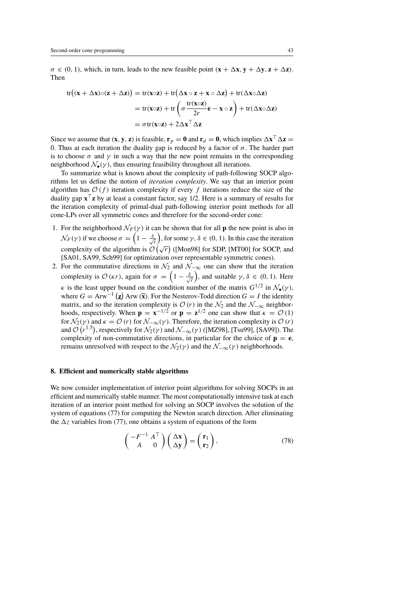$\sigma \in (0, 1)$ , which, in turn, leads to the new feasible point  $(\mathbf{x} + \Delta \mathbf{x}, \mathbf{y} + \Delta \mathbf{y}, \mathbf{z} + \Delta \mathbf{z})$ . Then

$$
\begin{aligned} \text{tr}\big((\mathbf{x} + \Delta \mathbf{x}) \circ (\mathbf{z} + \Delta \mathbf{z})\big) &= \text{tr}(\mathbf{x} \circ \mathbf{z}) + \text{tr}\big(\Delta \mathbf{x} \circ \mathbf{z} + \mathbf{x} \circ \Delta \mathbf{z}\big) + \text{tr}(\Delta \mathbf{x} \circ \Delta \mathbf{z}) \\ &= \text{tr}(\mathbf{x} \circ \mathbf{z}) + \text{tr}\left(\sigma \frac{\text{tr}(\mathbf{x} \circ \mathbf{z})}{2r} \mathbf{e} - \mathbf{x} \circ \mathbf{z}\right) + \text{tr}(\Delta \mathbf{x} \circ \Delta \mathbf{z}) \\ &= \sigma \text{tr}(\mathbf{x} \circ \mathbf{z}) + 2\Delta \mathbf{x}^\top \Delta \mathbf{z} \end{aligned}
$$

Since we assume that  $(\mathbf{x}, \mathbf{y}, \mathbf{z})$  is feasible,  $\mathbf{r}_p = \mathbf{0}$  and  $\mathbf{r}_d = \mathbf{0}$ , which implies  $\Delta \mathbf{x}^\top \Delta \mathbf{z} =$ 0. Thus at each iteration the duality gap is reduced by a factor of  $\sigma$ . The harder part is to choose  $\sigma$  and  $\gamma$  in such a way that the new point remains in the corresponding neighborhood  $\mathcal{N}_{\bullet}(\gamma)$ , thus ensuring feasibility throughout all iterations.

To summarize what is known about the complexity of path-following SOCP algorithms let us define the notion of *iteration complexity*. We say that an interior point algorithm has  $\mathcal{O}(f)$  iteration complexity if every f iterations reduce the size of the duality gap  $\mathbf{x}^\top \mathbf{z}$  by at least a constant factor, say 1/2. Here is a summary of results for the iteration complexity of primal-dual path-following interior point methods for all cone-LPs over all symmetric cones and therefore for the second-order cone:

- 1. For the neighborhood  $\mathcal{N}_F(\gamma)$  it can be shown that for all **p** the new point is also in  $\mathcal{N}_F(\gamma)$  if we choose  $\sigma = \left(1 - \frac{\delta}{\sqrt{2\pi}}\right)$ r ), for some  $\gamma, \delta \in (0, 1)$ . In this case the iteration complexity of the algorithm is  $\mathcal{O}(\sqrt{r})$  ([Mon98] for SDP, [MT00] for SOCP, and [SA01, SA99, Sch99] for optimization over representable symmetric cones).
- 2. For the commutative directions in  $\mathcal{N}_2$  and  $\mathcal{N}_{-\infty}$  one can show that the iteration complexity is  $\mathcal{O}(\kappa r)$ , again for  $\sigma = \left(1 - \frac{\delta}{\sqrt{r}}\right)$ r ), and suitable  $\gamma, \delta \in (0, 1)$ . Here κ is the least upper bound on the condition number of the matrix  $G^{1/2}$  in  $\mathcal{N}_{\bullet}(\gamma)$ , where  $G = Arw^{-1}(\mathbf{z})$  Arw  $(\widetilde{\mathbf{x}})$ . For the Nesterov-Todd direction  $G = I$  the identity matrix and so the iteration complexity is  $(2 \pi)$  in the  $\mathcal{N}_0$  and the  $\mathcal{N}_1$  neighbormatrix, and so the iteration complexity is  $\mathcal{O}(r)$  in the  $\mathcal{N}_2$  and the  $\mathcal{N}_{-\infty}$  neighborhoods, respectively. When  $\mathbf{p} = \mathbf{x}^{-1/2}$  or  $\mathbf{p} = \mathbf{z}^{1/2}$  one can show that  $\kappa = \mathcal{O}(1)$ for  $\mathcal{N}_2(\gamma)$  and  $\kappa = \mathcal{O}(r)$  for  $\mathcal{N}_{-\infty}(\gamma)$ . Therefore, the iteration complexity is  $\mathcal{O}(r)$ and  $\mathcal{O}(r^{1.5})$ , respectively for  $\mathcal{N}_2(\gamma)$  and  $\mathcal{N}_{-\infty}(\gamma)$  ([MZ98], [Tsu99], [SA99]). The complexity of non-commutative directions, in particular for the choice of  $p = e$ , remains unresolved with respect to the  $\mathcal{N}_2(\gamma)$  and the  $\mathcal{N}_{-\infty}(\gamma)$  neighborhoods.

#### **8. Efficient and numerically stable algorithms**

We now consider implementation of interior point algorithms for solving SOCPs in an efficient and numerically stable manner. The most computationally intensive task at each iteration of an interior point method for solving an SOCP involves the solution of the system of equations (77) for computing the Newton search direction. After eliminating the  $\Delta z$  variables from (77), one obtains a system of equations of the form

$$
\begin{pmatrix} -F^{-1} & A^{\top} \\ A & 0 \end{pmatrix} \begin{pmatrix} \Delta \mathbf{x} \\ \Delta \mathbf{y} \end{pmatrix} = \begin{pmatrix} \mathbf{r}_1 \\ \mathbf{r}_2 \end{pmatrix},\tag{78}
$$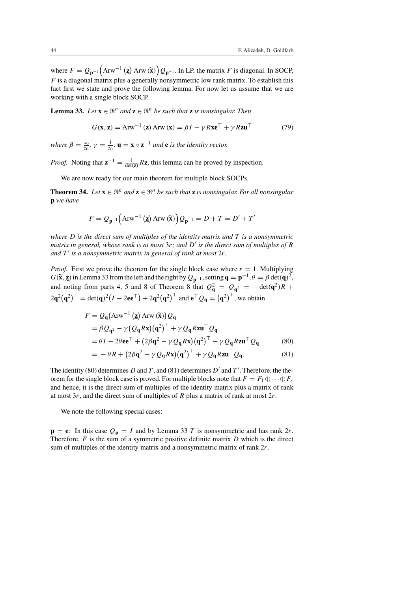where  $F = Q_{\mathbf{p}^{-1}}\left(\text{Arw}^{-1}\left(\mathbf{z}\right)\text{Arw}\left(\mathbf{\tilde{x}}\right)\right)Q_{\mathbf{p}^{-1}}$ . In LP, the matrix F is diagonal. In SOCP,  $F$  is a diagonal matrix plus a generally nonsymmetric low rank matrix. To establish this fact first we state and prove the following lemma. For now let us assume that we are working with a single block SOCP.

**Lemma 33.** *Let*  $\mathbf{x} \in \mathbb{R}^n$  *and*  $\mathbf{z} \in \mathbb{R}^n$  *be such that* **z** *is nonsingular. Then* 

$$
G(\mathbf{x}, \mathbf{z}) = \text{Arw}^{-1}(\mathbf{z}) \text{Arw}(\mathbf{x}) = \beta I - \gamma R \mathbf{x} \mathbf{e}^{\top} + \gamma R \mathbf{z} \mathbf{u}^{\top}
$$
(79)

*where*  $\beta = \frac{x_0}{z_0}$ ,  $\gamma = \frac{1}{z_0}$ ,  $\mathbf{u} = \mathbf{x} \circ \mathbf{z}^{-1}$  *and* **e** *is the identity vector.* 

*Proof.* Noting that  $z^{-1} = \frac{1}{\det(z)}Rz$ , this lemma can be proved by inspection.

We are now ready for our main theorem for multiple block SOCPs.

**Theorem 34.** *Let*  $\mathbf{x} \in \mathbb{R}^n$  *and*  $\mathbf{z} \in \mathbb{R}^n$  *be such that* **z** *is nonsingular. For all nonsingular* **p** *we have*

$$
F = Q_{\mathbf{p}^{-1}}\left(\text{Arw}^{-1}\left(\mathbf{z}\right)\text{Arw}\left(\widetilde{\mathbf{x}}\right)\right)Q_{\mathbf{p}^{-1}} = D + T = D' + T'
$$

*where* D *is the direct sum of multiples of the identity matrix and* T *is a nonsymmetric matrix in general, whose rank is at most*  $3r$ ; and D' is the direct sum of multiples of R *and*  $T'$  *is a nonsymmetric matrix in general of rank at most*  $2r$ *.* 

*Proof.* First we prove the theorem for the single block case where  $r = 1$ . Multiplying  $G(\tilde{\mathbf{x}}, \mathbf{z})$  in Lemma 33 from the left and the right by  $Q_{\mathbf{p}^{-1}}$ , setting  $\mathbf{q} = \mathbf{p}^{-1}, \theta = \beta \det(\mathbf{q})^2$ , and noting from nexts 4, 5 and 8 of Theorem 8 that  $Q^2$ ,  $Q$  and  $\det(g^2)R$ . and noting from parts 4, 5 and 8 of Theorem 8 that  $Q_{\bf q}^2 = Q_{\bf q}^2 = -\det({\bf q}^2)R +$  $2\mathbf{q}^2(\mathbf{q}^2)^\top = \det(\mathbf{q})^2(I - 2\mathbf{e}\mathbf{e}^\top) + 2\mathbf{q}^2(\mathbf{q}^2)^\top$  and  $\mathbf{e}^\top Q_\mathbf{q} = (\mathbf{q}^2)^\top$ , we obtain

$$
F = Q_{q}(\text{Arw}^{-1}(\mathbf{z}) \text{ Arw}(\widetilde{\mathbf{x}})) Q_{q}
$$
  
=  $\beta Q_{q^2} - \gamma (Q_{q} R \mathbf{x}) (q^2)^{\top} + \gamma Q_{q} R \mathbf{z} \mathbf{u}^{\top} Q_{q}$   
=  $\theta I - 2\theta \mathbf{e} \mathbf{e}^{\top} + (2\beta q^2 - \gamma Q_{q} R \mathbf{x}) (q^2)^{\top} + \gamma Q_{q} R \mathbf{z} \mathbf{u}^{\top} Q_{q}$  (80)

$$
= -\theta R + (2\beta \alpha^2 - \gamma Q_1 R \mathbf{x}) (\alpha^2)^{\top} + \gamma Q_1 R \mathbf{z} \mathbf{u} \quad \mathcal{Q} \mathbf{q}
$$
  
= 
$$
- \theta R + (2\beta \alpha^2 - \gamma Q_1 R \mathbf{x}) (\alpha^2)^{\top} + \gamma Q_2 R \mathbf{z} \mathbf{u}^{\top} Q_2
$$
 (81)

$$
= -\theta R + (2\beta \mathbf{q}^2 - \gamma Q_{\mathbf{q}} R \mathbf{x}) (\mathbf{q}^2)^{\top} + \gamma Q_{\mathbf{q}} R \mathbf{z} \mathbf{u}^{\top} Q_{\mathbf{q}}.
$$
 (81)

The identity (80) determines D and T, and (81) determines  $D'$  and T'. Therefore, the theorem for the single block case is proved. For multiple blocks note that  $F = F_1 \oplus \cdots \oplus F_r$ and hence, it is the direct sum of multiples of the identity matrix plus a matrix of rank at most  $3r$ , and the direct sum of multiples of R plus a matrix of rank at most  $2r$ .

We note the following special cases:

 $p = e$ : In this case  $Q_p = I$  and by Lemma 33 T is nonsymmetric and has rank  $2r$ . Therefore,  $F$  is the sum of a symmetric positive definite matrix  $D$  which is the direct sum of multiples of the identity matrix and a nonsymmetric matrix of rank 2r.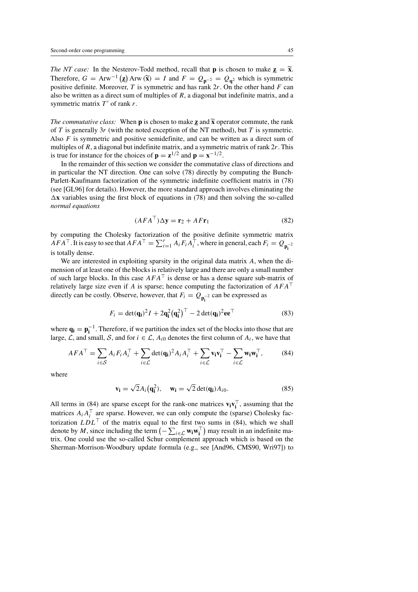*The NT case:* In the Nesterov-Todd method, recall that **p** is chosen to make  $z = \tilde{x}$ . The NT case: In the Nesterov-Todd method, recall that **p** is chosen to make  $\mathbf{z} = \tilde{\mathbf{x}}$ .<br>Therefore,  $G = \text{Arw}^{-1}(\mathbf{z}) \text{Arw}(\tilde{\mathbf{x}}) = I$  and  $F = Q_{\mathbf{p}^{-2}} = Q_{\mathbf{q}^2}$  which is symmetric positive definite Moreover positive definite. Moreover,  $T$  is symmetric and has rank  $2r$ . On the other hand  $F$  can also be written as a direct sum of multiples of  $R$ , a diagonal but indefinite matrix, and a symmetric matrix  $T'$  of rank r.

*The commutative class:* When **p** is chosen to make **z** and  $\tilde{\mathbf{x}}$  operator commute, the rank The commutative class: When **p** is chosen to make **z** and  $\tilde{\mathbf{x}}$  operator commute, the rank of *T* is generally 3*r* (with the noted exception of the NT method), but *T* is symmetric. Also  $F$  is symmetric and positive semidefinite, and can be written as a direct sum of multiples of  $R$ , a diagonal but indefinite matrix, and a symmetric matrix of rank  $2r$ . This is true for instance for the choices of  $\mathbf{p} = \mathbf{z}^{1/2}$  and  $\mathbf{p} = \mathbf{x}^{-1/2}$ .

In the remainder of this section we consider the commutative class of directions and in particular the NT direction. One can solve (78) directly by computing the Bunch-Parlett-Kaufmann factorization of the symmetric indefinite coefficient matrix in (78) (see [GL96] for details). However, the more standard approach involves eliminating the  $\Delta x$  variables using the first block of equations in (78) and then solving the so-called *normal equations*

$$
(AFA^{\top})\Delta y = \mathbf{r}_2 + AF\mathbf{r}_1\tag{82}
$$

by computing the Cholesky factorization of the positive definite symmetric matrix  $AFA^{\top}$ . It is easy to see that  $AFA^{\top} = \sum_{i=1}^{r} A_i F_i A_i^{\top}$ , where in general, each  $F_i = Q_{\mathbf{p_i}^{-2}}$ is totally dense.

We are interested in exploiting sparsity in the original data matrix A, when the dimension of at least one of the blocks is relatively large and there are only a small number of such large blocks. In this case  $AFA^{\top}$  is dense or has a dense square sub-matrix of relatively large size even if A is sparse; hence computing the factorization of  $AFA^{\top}$ directly can be costly. Observe, however, that  $F_i = Q_{\mathbf{p}_i^{-2}}$  can be expressed as

$$
F_i = \det(\mathbf{q_i})^2 I + 2\mathbf{q_i}^2 (\mathbf{q_i}^2)^\top - 2 \det(\mathbf{q_i})^2 \mathbf{e} \mathbf{e}^\top
$$
 (83)

where  $\mathbf{q_i} = \mathbf{p_i}^{-1}$ . Therefore, if we partition the index set of the blocks into those that are large,  $\mathcal{L}$ , and small, S, and for  $i \in \mathcal{L}$ ,  $A_{i0}$  denotes the first column of  $A_i$ , we have that

$$
AFA^{\top} = \sum_{i \in S} A_i F_i A_i^{\top} + \sum_{i \in \mathcal{L}} \det(\mathbf{q_i})^2 A_i A_i^{\top} + \sum_{i \in \mathcal{L}} \mathbf{v_i} \mathbf{v_i}^{\top} - \sum_{i \in \mathcal{L}} \mathbf{w_i} \mathbf{w_i}^{\top},
$$
(84)

where

$$
\mathbf{v_i} = \sqrt{2} A_i (\mathbf{q_i}^2), \quad \mathbf{w_i} = \sqrt{2} \det(\mathbf{q_i}) A_{i0}.
$$
 (85)

All terms in (84) are sparse except for the rank-one matrices  $\mathbf{v}_i \mathbf{v}_i^{\top}$ , assuming that the matrices  $A_i A_i^{\top}$  are sparse. However, we can only compute the (sparse) Cholesky factorization  $LDL^{\top}$  of the matrix equal to the first two sums in (84), which we shall denote by M, since including the term  $(-\sum_{i \in \mathcal{L}} \mathbf{w}_i \mathbf{w}_i^\top)$  may result in an indefinite matrix. One could use the so-called Schur complement approach which is based on the Sherman-Morrison-Woodbury update formula (e.g., see [And96, CMS90, Wri97]) to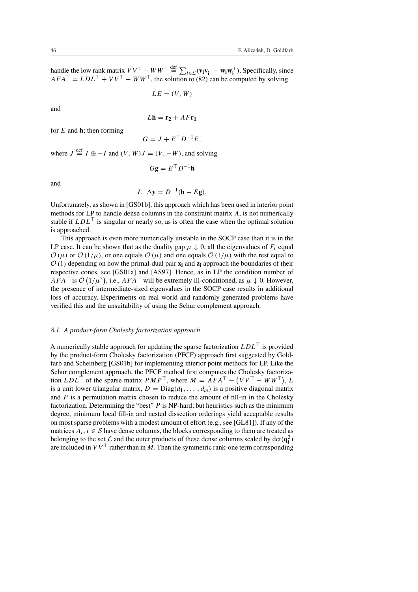$$
LE = (V, W)
$$

and

$$
L\mathbf{h} = \mathbf{r}_2 + AF\mathbf{r}_1
$$

for  $E$  and  $\mathbf{h}$ ; then forming

$$
G = J + E^{\top} D^{-1} E,
$$

where  $J \stackrel{\text{def}}{=} I \oplus -I$  and  $(V, W)J = (V, -W)$ , and solving

$$
G\mathbf{g} = E^{\top}D^{-1}\mathbf{h}
$$

and

$$
L^{\top} \Delta \mathbf{y} = D^{-1}(\mathbf{h} - E\mathbf{g}).
$$

Unfortunately, as shown in [GS01b], this approach which has been used in interior point methods for LP to handle dense columns in the constraint matrix A, is not numerically stable if  $LDL^{\top}$  is singular or nearly so, as is often the case when the optimal solution is approached.

This approach is even more numerically unstable in the SOCP case than it is in the LP case. It can be shown that as the duality gap  $\mu \downarrow 0$ , all the eigenvalues of  $F_i$  equal  $\mathcal{O}(\mu)$  or  $\mathcal{O}(1/\mu)$ , or one equals  $\mathcal{O}(\mu)$  and one equals  $\mathcal{O}(1/\mu)$  with the rest equal to  $\mathcal{O}(1)$  depending on how the primal-dual pair  $\mathbf{x}_i$  and  $\mathbf{z}_i$  approach the boundaries of their respective cones, see [GS01a] and [AS97]. Hence, as in LP the condition number of  $AFA^{\top}$  is  $\mathcal{O}(1/\mu^2)$ , i.e.,  $AFA^{\top}$  will be extremely ill-conditioned, as  $\mu \downarrow 0$ . However, the presence of intermediate-sized eigenvalues in the SOCP case results in additional loss of accuracy. Experiments on real world and randomly generated problems have verified this and the unsuitability of using the Schur complement approach.

# *8.1. A product-form Cholesky factorization approach*

A numerically stable approach for updating the sparse factorization  $LDL^{\top}$  is provided by the product-form Cholesky factorization (PFCF) approach first suggested by Goldfarb and Scheinberg [GS01b] for implementing interior point methods for LP. Like the Schur complement approach, the PFCF method first computes the Cholesky factorization  $LDL^{\top}$  of the sparse matrix  $PMP^{\top}$ , where  $M = AFA^{\top} - (VV^{\top} - WW^{\top})$ , L is a unit lower triangular matrix,  $D = Diag(d_1, \ldots, d_m)$  is a positive diagonal matrix and  $P$  is a permutation matrix chosen to reduce the amount of fill-in in the Cholesky factorization. Determining the "best" P is NP-hard; but heuristics such as the minimum degree, minimum local fill-in and nested dissection orderings yield acceptable results on most sparse problems with a modest amount of effort (e.g., see [GL81]). If any of the matrices  $A_i$ ,  $i \in S$  have dense columns, the blocks corresponding to them are treated as belonging to the set  $\mathcal{L}$  and the outer products of these dense columns scaled by det $(\mathbf{q}_i^2)$ are included in  $VV^\top$  rather than in M. Then the symmetric rank-one term corresponding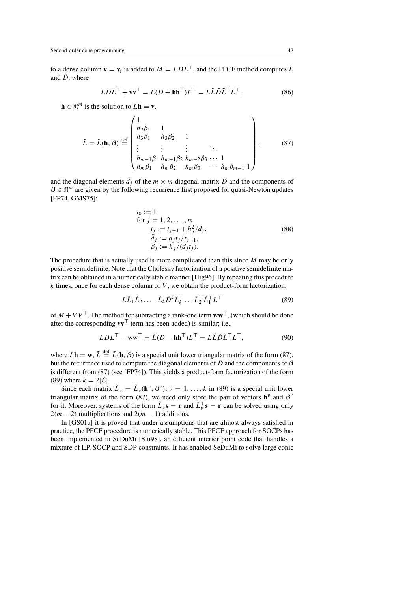to a dense column  $\mathbf{v} = \mathbf{v_i}$  is added to  $M = LDL^\top$ , and the PFCF method computes  $\tilde{L}$ and  $\tilde{D}$ , where

$$
LDLT + \mathbf{v}\mathbf{v}T = L(D + \mathbf{h}\mathbf{h}T)LT = L\tilde{L}\tilde{D}\tilde{L}TLT,
$$
 (86)

 $\mathbf{h} \in \mathbb{R}^m$  is the solution to  $L\mathbf{h} = \mathbf{v}$ ,

$$
\tilde{L} = \tilde{L}(\mathbf{h}, \beta) \stackrel{\text{def}}{=} \begin{pmatrix} 1 & 1 & & & \\ h_2 \beta_1 & 1 & & & \\ h_3 \beta_1 & h_3 \beta_2 & 1 & & \\ \vdots & \vdots & \vdots & \ddots & \\ h_{m-1} \beta_1 & h_{m-1} \beta_2 & h_{m-2} \beta_3 & \cdots & 1 \\ h_m \beta_1 & h_m \beta_2 & h_m \beta_3 & \cdots & h_m \beta_{m-1} & 1 \end{pmatrix},
$$
(87)

and the diagonal elements  $\tilde{d}_j$  of the  $m \times m$  diagonal matrix  $\tilde{D}$  and the components of  $\beta \in \mathbb{R}^m$  are given by the following recurrence first proposed for quasi-Newton updates [FP74, GMS75]:

*t*<sub>0</sub> := 1  
\nfor 
$$
j = 1, 2, ..., m
$$
  
\n*t*<sub>j</sub> := *t*<sub>j-1</sub> + *h*<sup>2</sup><sub>j</sub>/*d*<sub>j</sub>,  
\n $\tilde{d}_j := d_j t_j / t_{j-1},$   
\n $\beta_j := h_j / (d_j t_j).$  (88)

The procedure that is actually used is more complicated than this since  $M$  may be only positive semidefinite. Note that the Cholesky factorization of a positive semidefinite matrix can be obtained in a numerically stable manner [Hig96]. By repeating this procedure  $k$  times, once for each dense column of  $V$ , we obtain the product-form factorization,

$$
L\tilde{L}_1\tilde{L}_2\ldots,\tilde{L}_k\tilde{D}^k\tilde{L}_k^\top\ldots\tilde{L}_2^\top\tilde{L}_1^\top L^\top
$$
\n(89)

of  $M + VV^{\top}$ . The method for subtracting a rank-one term  $ww^{\top}$ , (which should be done after the corresponding  $\mathbf{v}\mathbf{v}^{\top}$  term has been added) is similar; i.e.,

$$
LDLT - wwT = \tilde{L}(D - hhT)LT = L\tilde{L}\tilde{D}\tilde{L}TLT,
$$
\n(90)

where  $L\mathbf{h} = \mathbf{w}$ ,  $\tilde{L} \stackrel{\text{def}}{=} \tilde{L}(\mathbf{h}, \beta)$  is a special unit lower triangular matrix of the form (87), but the recurrence used to compute the diagonal elements of  $\tilde{D}$  and the components of  $\beta$ is different from (87) (see [FP74]). This yields a product-form factorization of the form (89) where  $k = 2|\mathcal{L}|$ .

Since each matrix  $\tilde{L}_v = \tilde{L}_v(\mathbf{h}^v, \beta^v)$ ,  $v = 1, ..., k$  in (89) is a special unit lower triangular matrix of the form (87), we need only store the pair of vectors  $\mathbf{h}^{\nu}$  and  $\beta^{\nu}$ for it. Moreover, systems of the form  $\tilde{L}_v \mathbf{s} = \mathbf{r}$  and  $\tilde{L}_v^T \mathbf{s} = \mathbf{r}$  can be solved using only  $2(m - 2)$  multiplications and  $2(m - 1)$  additions.

In [GS01a] it is proved that under assumptions that are almost always satisfied in practice, the PFCF procedure is numerically stable. This PFCF approach for SOCPs has been implemented in SeDuMi [Stu98], an efficient interior point code that handles a mixture of LP, SOCP and SDP constraints. It has enabled SeDuMi to solve large conic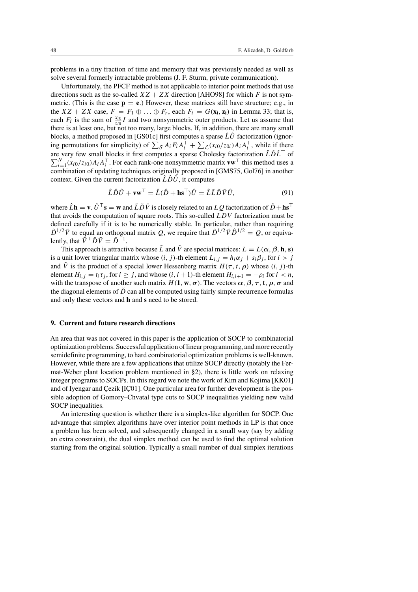problems in a tiny fraction of time and memory that was previously needed as well as solve several formerly intractable problems (J. F. Sturm, private communication).

Unfortunately, the PFCF method is not applicable to interior point methods that use directions such as the so-called  $XZ + ZX$  direction [AHO98] for which F is not symmetric. (This is the case  $p = e$ .) However, these matrices still have structure; e.g., in the  $XZ + ZX$  case,  $F = F_1 \oplus \ldots \oplus F_r$ , each  $F_i = G(\mathbf{x_i}, \mathbf{z_i})$  in Lemma 33; that is, each  $F_i$  is the sum of  $\frac{x_{i0}}{z_{i0}}I$  and two nonsymmetric outer products. Let us assume that there is at least one, but not too many, large blocks. If, in addition, there are many small blocks, a method proposed in [GS01c] first computes a sparse  $\hat{L}\hat{U}$  factorization (ignoring permutations for simplicity) of  $\sum_{\mathcal{S}} A_i F_i A_i^{\top} + \sum_{\mathcal{L}} (x_{i0}/z_{0i}) A_i A_i^{\top}$ , while if there are very few small blocks it first computes a sparse Cholesky factorization  $\hat{L}\hat{D}\hat{L}^{\top}$  of  $\sum_{i=1}^{N} (x_{i0}/z_{i0})A_iA_i^{\top}$ . For each rank-one nonsymmetric matrix **vw**  $\top$  this method uses a combination of updating techniques originally proposed in [GMS75, Gol76] in another context. Given the current factorization  $\hat{L}\hat{D}\hat{U}$ , it computes

$$
\hat{L}\hat{D}\hat{U} + \mathbf{v}\mathbf{w}^{\top} = \hat{L}(\hat{D} + \mathbf{h}\mathbf{s}^{\top})\hat{U} = \hat{L}\tilde{L}\tilde{D}\tilde{V}\hat{U},\tag{91}
$$

where  $\hat{L}$ **h** = **v**.  $\hat{U}^{\top}$ **s** = **w** and  $\tilde{L}\tilde{D}\tilde{V}$  is closely related to an  $LQ$  factorization of  $\hat{D}$  + **hs**<sup>T</sup> that avoids the computation of square roots. This so-called LDV factorization must be defined carefully if it is to be numerically stable. In particular, rather than requiring  $\tilde{D}^{1/2}\tilde{V}$  to equal an orthogonal matrix Q, we require that  $\tilde{D}^{1/2}\tilde{V}\tilde{D}^{1/2} = Q$ , or equivalently, that  $\tilde{V}^{\top} \tilde{D} \tilde{V} = \hat{D}^{-1}$ .

This approach is attractive because  $\tilde{L}$  and  $\tilde{V}$  are special matrices:  $L = L(\alpha, \beta, \mathbf{h}, \mathbf{s})$ is a unit lower triangular matrix whose  $(i, j)$ -th element  $L_{i,j} = h_i \alpha_j + s_i \beta_j$ , for  $i > j$ and  $\tilde{V}$  is the product of a special lower Hessenberg matrix  $H(\tau, t, \rho)$  whose  $(i, j)$ -th element  $H_{i,j} = t_i \tau_j$ , for  $i \geq j$ , and whose  $(i, i + 1)$ -th element  $H_{i,i+1} = -\rho_i$  for  $i < n$ , with the transpose of another such matrix  $H(1, w, \sigma)$ . The vectors  $\alpha$ ,  $\beta$ ,  $\tau$ , **t**,  $\rho$ ,  $\sigma$  and the diagonal elements of  $\tilde{D}$  can all be computed using fairly simple recurrence formulas and only these vectors and **h** and **s** need to be stored.

# **9. Current and future research directions**

An area that was not covered in this paper is the application of SOCP to combinatorial optimization problems. Successful application of linear programming, and more recently semidefinite programming, to hard combinatorial optimization problems is well-known. However, while there are a few applications that utilize SOCP directly (notably the Fermat-Weber plant location problem mentioned in §2), there is little work on relaxing integer programs to SOCPs. In this regard we note the work of Kim and Kojima [KK01] and of Iyengar and Cezik [IC<sub>O1</sub>]. One particular area for further development is the possible adoption of Gomory–Chvatal type cuts to SOCP inequalities yielding new valid SOCP inequalities.

An interesting question is whether there is a simplex-like algorithm for SOCP. One advantage that simplex algorithms have over interior point methods in LP is that once a problem has been solved, and subsequently changed in a small way (say by adding an extra constraint), the dual simplex method can be used to find the optimal solution starting from the original solution. Typically a small number of dual simplex iterations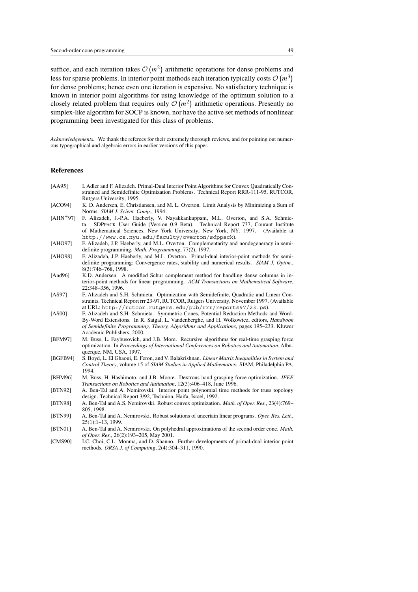suffice, and each iteration takes  $\mathcal{O}(m^2)$  arithmetic operations for dense problems and less for sparse problems. In interior point methods each iteration typically costs  $O(m^3)$ for dense problems; hence even one iteration is expensive. No satisfactory technique is known in interior point algorithms for using knowledge of the optimum solution to a closely related problem that requires only  $\mathcal{O}(m^2)$  arithmetic operations. Presently no simplex-like algorithm for SOCP is known, nor have the active set methods of nonlinear programming been investigated for this class of problems.

*Acknowledgements.* We thank the referees for their extremely thorough reviews, and for pointing out numerous typographical and algebraic errors in earlier versions of this paper.

#### **References**

- [AA95] I. Adler and F. Alizadeh. Primal-Dual Interior Point Algorithms for Convex Quadratically Constrained and Semidefinite Optimization Problems. Technical Report RRR-111-95, RUTCOR, Rutgers University, 1995.
- [ACO94] K. D. Andersen, E. Christiansen, and M. L. Overton. Limit Analysis by Minimizing a Sum of Norms. *SIAM J. Scient. Comp.*, 1994.
- [AHN<sup>+97]</sup> F. Alizadeh, J.-P.A. Haeberly, V. Nayakkankuppam, M.L. Overton, and S.A. Schmieta. SDPpack User Guide (Version 0.9 Beta). Technical Report 737, Courant Institute of Mathematical Sciences, New York University, New York, NY, 1997. (Available at http://www.cs.nyu.edu/faculty/overton/sdppack).
- [AHO97] F. Alizadeh, J.P. Haeberly, and M.L. Overton. Complementarity and nondegeneracy in semidefinite programming. *Math. Programming*, 77(2), 1997.
- [AHO98] F. Alizadeh, J.P. Haeberly, and M.L. Overton. Primal-dual interior-point methods for semidefinite programming: Convergence rates, stability and numerical results. *SIAM J. Optim.*, 8(3):746–768, 1998.
- [And96] K.D. Andersen. A modified Schur complement method for handling dense columns in interior-point methods for linear programming. *ACM Transactions on Mathematical Software*, 22:348–356, 1996.
- [AS97] F. Alizadeh and S.H. Schmieta. Optimization with Semidefinite, Quadratic and Linear Constraints. Technical Report rrr 23-97, RUTCOR, Rutgers University, November 1997. (Available at URL: http://rutcor.rutgers.edu/pub/rrr/reports97/23.ps).
- [AS00] F. Alizadeh and S.H. Schmieta. Symmetric Cones, Potential Reduction Methods and Word-By-Word Extensions. In R. Saigal, L. Vandenberghe, and H. Wolkowicz, editors, *Handbook of Semidefinite Programming, Theory, Algorithms and Applications*, pages 195–233. Kluwer Academic Publishers, 2000.
- [BFM97] M. Buss, L. Faybusovich, and J.B. More. Recursive algorithms for real-time grasping force optimization. In *Proceedings of International Conferences on Robotics and Automation*, Albuquerque, NM, USA, 1997.
- [BGFB94] S. Boyd, L. El Ghaoui, E. Feron, and V. Balakrishnan. *Linear Matrix Inequalities in System and Control Theory*, volume 15 of *SIAM Studies in Applied Mathematics*. SIAM, Philadelphia PA, 1994.
- [BHM96] M. Buss, H. Hashimoto, and J.B. Moore. Dextrous hand grasping force optimization. *IEEE Transactions on Robotics and Autimation*, 12(3):406–418, June 1996.
- [BTN92] A. Ben-Tal and A. Nemirovski. Interior point polynomial time methods for truss topology design. Technical Report 3/92, Technion, Haifa, Israel, 1992.
- [BTN98] A. Ben-Tal and A.S. Nemirovski. Robust convex optimization. *Math. of Oper. Res.*, 23(4):769– 805, 1998.
- [BTN99] A. Ben-Tal and A. Nemirovski. Robust solutions of uncertain linear programs. *Oper. Res. Lett.*, 25(1):1–13, 1999.
- [BTN01] A. Ben-Tal and A. Nemirovski. On polyhedral approximations of the second order cone. *Math. of Oper. Res.*, 26(2):193–205, May 2001.
- [CMS90] I.C. Choi, C.L. Monma, and D. Shanno. Further developments of primal-dual interior point methods. *ORSA J. of Computing*, 2(4):304–311, 1990.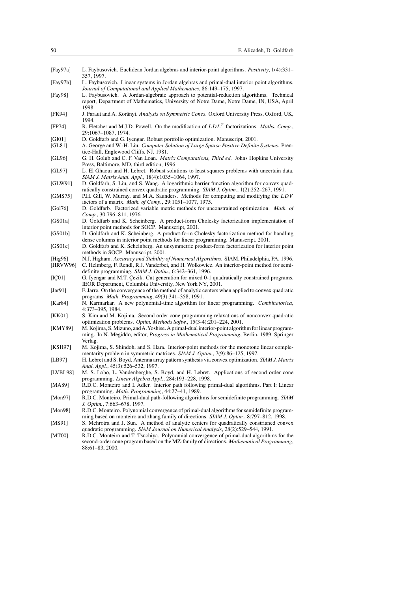| [Fay97a] | L. Faybusovich. Euclidean Jordan algebras and interior-point algorithms. Positivity, 1(4):331– |  |
|----------|------------------------------------------------------------------------------------------------|--|
|          | 357, 1997.                                                                                     |  |

- [Fay97b] L. Faybusovich. Linear systems in Jordan algebras and primal-dual interior point algorithms. *Journal of Computational and Applied Mathematics*, 86:149–175, 1997.
- [Fay98] L. Faybusovich. A Jordan-algebraic approach to potential-reduction algorithms. Technical report, Department of Mathematics, University of Notre Dame, Notre Dame, IN, USA, April 1998.
- [FK94] J. Faraut and A. Kor´anyi. *Analysis on Symmetric Cones*. Oxford University Press, Oxford, UK, 1994.
- [FP74] R. Fletcher and M.J.D. Powell. On the modification of LDL<sup>T</sup> factorizations. *Maths. Comp.*, 29:1067–1087, 1974.
- [GI01] D. Goldfarb and G. Iyengar. Robust portfolio optimization. Manuscript, 2001.
- [GL81] A. George and W.-H. Liu. *Computer Solution of Large Sparse Positive Definite Systems*. Prentice-Hall, Englewood Cliffs, NJ, 1981.
- [GL96] G. H. Golub and C. F. Van Loan. *Matrix Computations, Third ed.* Johns Hopkins University Press, Baltimore, MD, third edition, 1996.
- [GL97] L. El Ghaoui and H. Lebret. Robust solutions to least squares problems with uncertain data. *SIAM J. Matrix Anal. Appl.*, 18(4):1035–1064, 1997.
- [GLW91] D. Goldfarb, S. Liu, and S. Wang. A logarithmic barrier function algorithm for convex quadratically constrained convex quadratic programming. *SIAM J. Optim.*, 1(2):252–267, 1991.
- [GMS75] P.H. Gill, W. Murray, and M.A. Saunders. Methods for computing and modifying the LDV factors of a matrix. *Math. of Comp.*, 29:1051–1077, 1975.
- [Gol76] D. Goldfarb. Factorized variable metric methods for unconstrained optimization. *Math. of Comp.*, 30:796–811, 1976.
- [GS01a] D. Goldfarb and K. Scheinberg. A product-form Cholesky factorization implementation of interior point methods for SOCP. Manuscript, 2001.
- [GS01b] D. Goldfarb and K. Scheinberg. A product-form Cholesky factorization method for handling dense columns in interior point methods for linear programming. Manuscript, 2001.
- [GS01c] D. Goldfarb and K. Scheinberg. An unsymmetric product-form factorization for interior point methods in SOCP. Manuscript, 2001.
- [Hig96] N.J. Higham. *Accuracy and Stability of Numerical Algorithms*. SIAM, Philadelphia, PA, 1996. [HRVW96] C. Helmberg, F. Rendl, R.J. Vanderbei, and H. Wolkowicz. An interior-point method for semi-
- definite programming. *SIAM J. Optim.*, 6:342–361, 1996. [IC<sub>01]</sub> G. Iyengar and M.T. Cezik. Cut generation for mixed 0-1 quadratically constrained programs.
- IEOR Department, Columbia University, New York NY, 2001. [Jar91] F. Jarre. On the convergence of the method of analytic centers when applied to convex quadratic programs. *Math. Programming*, 49(3):341–358, 1991.
- [Kar84] N. Karmarkar. A new polynomial-time algorithm for linear programming. *Combinatorica*, 4:373–395, 1984.
- [KK01] S. Kim and M. Kojima. Second order cone programming relaxations of nonconvex quadratic optimization problems. *Optim. Methods Softw.*, 15(3-4):201–224, 2001.
- [KMY89] M. Kojima, S. Mizuno, and A. Yoshise. A primal-dual interior-point algorithm for linear programming. In N. Megiddo, editor, *Progress in Mathematical Programming*, Berlin, 1989. Springer Verlag.
- [KSH97] M. Kojima, S. Shindoh, and S. Hara. Interior-point methods for the monotone linear complementarity problem in symmetric matrices. *SIAM J. Optim.*, 7(9):86–125, 1997.
- [LB97] H. Lebret and S. Boyd. Antenna array pattern synthesis via convex optimization. *SIAM J. Matrix Anal. Appl.*, 45(3):526–532, 1997.
- [LVBL98] M. S. Lobo, L. Vandenberghe, S. Boyd, and H. Lebret. Applications of second order cone programming. *Linear Algebra Appl.*, 284:193–228, 1998.
- [MA89] R.D.C. Monteiro and I. Adler. Interior path following primal-dual algorithms. Part I: Linear programming. *Math. Programming*, 44:27–41, 1989.
- [Mon97] R.D.C. Monteiro. Primal-dual path-following algorithms for semidefinite programming. *SIAM J. Optim.*, 7:663–678, 1997.
- [Mon98] R.D.C. Monteiro. Polynomial convergence of primal-dual algorithms for semidefinite programming based on monteiro and zhang family of directions. *SIAM J. Optim.*, 8:797–812, 1998.
- [MS91] S. Mehrotra and J. Sun. A method of analytic centers for quadratically constrianed convex quadratic programming. *SIAM Journal on Numerical Analysis*, 28(2):529–544, 1991.
- [MT00] R.D.C. Monteiro and T. Tsuchiya. Polynomial convergence of primal-dual algorithms for the second-order cone program based on the MZ-family of directions. *Mathematical Programming*, 88:61–83, 2000.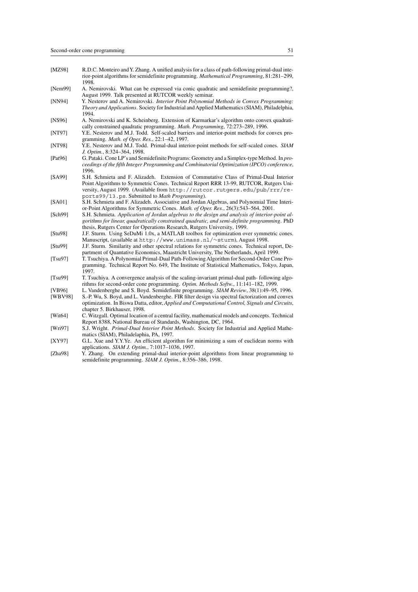- [MZ98] R.D.C. Monteiro andY. Zhang. A unified analysis for a class of path-following primal-dual interior-point algorithms for semidefinite programming. *Mathematical Programming*, 81:281–299, 1998.
- [Nem99] A. Nemirovski. What can be expressed via conic quadratic and semidefinite programming?, August 1999. Talk presented at RUTCOR weekly seminar.
- [NN94] Y. Nesterov and A. Nemirovski. *Interior Point Polynomial Methods in Convex Programming: Theory and Applications*. Society for Industrial and Applied Mathematics (SIAM), Philadelphia, 1994.
- [NS96] A. Nemirovski and K. Scheinberg. Extension of Karmarkar's algorithm onto convex quadratically constrained quadratic programming. *Math. Programming*, 72:273–289, 1996.
- [NT97] Y.E. Nesterov and M.J. Todd. Self-scaled barriers and interior-point methods for convex programming. *Math. of Oper. Res.*, 22:1–42, 1997.
- [NT98] Y.E. Nesterov and M.J. Todd. Primal-dual interior-point methods for self-scaled cones. *SIAM J. Optim.*, 8:324–364, 1998.
- [Pat96] G. Pataki. Cone LP's and Semidefinite Programs: Geometry and a Simplex-type Method. In *proceedings of the fifth Integer Programming and Combinatorial Optimization (IPCO) conference*, 1996.
- [SA99] S.H. Schmieta and F. Alizadeh. Extension of Commutative Class of Primal-Dual Interior Point Algorithms to Symmetric Cones. Technical Report RRR 13-99, RUTCOR, Rutgers University, August 1999. (Available from http://rutcor.rutgers.edu/pub/rrr/reports99/13.ps. Submitted to *Math Programming*).
- [SA01] S.H. Schmieta and F. Alizadeh. Associative and Jordan Algebras, and Polynomial Time Interior-Point Algorithms for Symmetric Cones. *Math. of Oper. Res.*, 26(3):543–564, 2001.
- [Sch99] S.H. Schmieta. *Application of Jordan algebras to the design and analysis of interior-point algorithms for linear, quadratically constrained quadratic, and semi-definite programming*. PhD thesis, Rutgers Center for Operations Research, Rutgers University, 1999.
- [Stu98] J.F. Sturm. Using SeDuMi 1.0x, a MATLAB toolbox for optimization over symmetric cones. Manuscript, (available at http://www.unimass.nl/∼sturm), August 1998.
- [Stu99] J.F. Sturm. Similarity and other spectral relations for symmetric cones. Technical report, Department of Quantative Economics, Maastricht University, The Netherlands, April 1999.
- [Tsu97] T. Tsuchiya. A Polynomial Primal-Dual Path-Following Algorithm for Second-Order Cone Programming. Technical Report No. 649, The Institute of Statistical Mathematics, Tokyo, Japan, 1997.
- [Tsu99] T. Tsuchiya. A convergence analysis of the scaling-invariant primal-dual path- following algorithms for second-order cone programming. *Optim. Methods Softw.*, 11:141–182, 1999.
- [VB96] L. Vandenberghe and S. Boyd. Semidefinite programming. *SIAM Review*, 38(1):49–95, 1996.
- [WBV98] S.-P. Wu, S. Boyd, and L. Vandenberghe. FIR filter design via spectral factorization and convex optimization. In Biswa Datta, editor, *Applied and Computational Control, Signals and Circuits*, chapter 5. Birkhauser, 1998.
- [Wit64] C. Witzgall. Optimal location of a central facility, mathematical models and concepts. Technical Report 8388, National Bureau of Standards, Washington, DC, 1964.
- [Wri97] S.J. Wright. *Primal-Dual Interior Point Methods*. Society for Industrial and Applied Mathematics (SIAM), Philadelaphia, PA, 1997.
- [XY97] G.L. Xue and Y.Y.Ye. An efficient algorithm for minimizing a sum of euclidean norms with applications. *SIAM J. Optim.*, 7:1017–1036, 1997.
- [Zha98] Y. Zhang. On extending primal-dual interior-point algorithms from linear programming to semidefinite programming. *SIAM J. Optim.*, 8:356–386, 1998.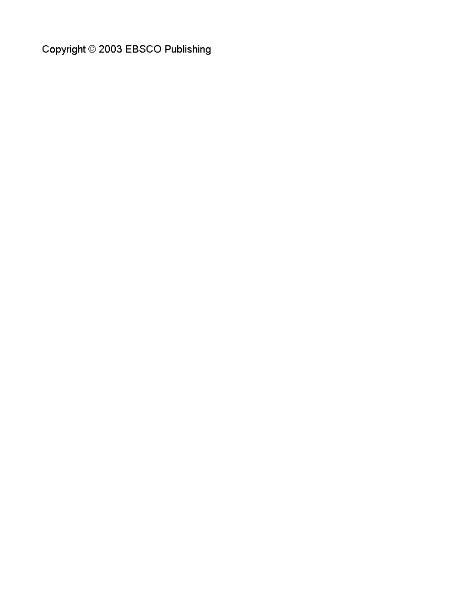Copyright © 2003 EBSCO Publishing